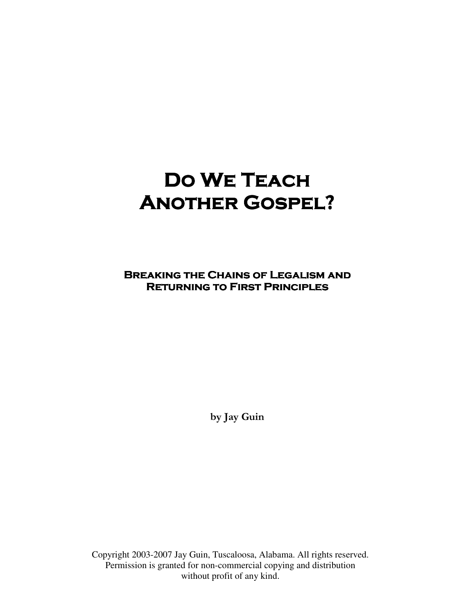**BREAKING THE CHAINS OF LEGALISM AND RETURNING TO FIRST PRINCIPLES** 

by Jay Guin

Copyright 2003-2007 Jay Guin, Tuscaloosa, Alabama. All rights reserved. Permission is granted for non-commercial copying and distribution without profit of any kind.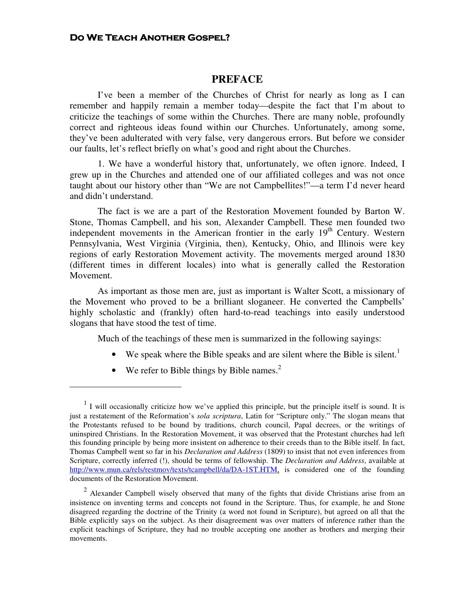## **PREFACE**

I've been a member of the Churches of Christ for nearly as long as I can remember and happily remain a member today—despite the fact that I'm about to criticize the teachings of some within the Churches. There are many noble, profoundly correct and righteous ideas found within our Churches. Unfortunately, among some, they've been adulterated with very false, very dangerous errors. But before we consider our faults, let's reflect briefly on what's good and right about the Churches.

1. We have a wonderful history that, unfortunately, we often ignore. Indeed, I grew up in the Churches and attended one of our affiliated colleges and was not once taught about our history other than "We are not Campbellites!"—a term I'd never heard and didn't understand.

The fact is we are a part of the Restoration Movement founded by Barton W. Stone, Thomas Campbell, and his son, Alexander Campbell. These men founded two independent movements in the American frontier in the early  $19<sup>th</sup>$  Century. Western Pennsylvania, West Virginia (Virginia, then), Kentucky, Ohio, and Illinois were key regions of early Restoration Movement activity. The movements merged around 1830 (different times in different locales) into what is generally called the Restoration Movement.

As important as those men are, just as important is Walter Scott, a missionary of the Movement who proved to be a brilliant sloganeer. He converted the Campbells' highly scholastic and (frankly) often hard-to-read teachings into easily understood slogans that have stood the test of time.

Much of the teachings of these men is summarized in the following sayings:

- We speak where the Bible speaks and are silent where the Bible is silent.<sup>1</sup>
- We refer to Bible things by Bible names. $<sup>2</sup>$ </sup>

 $\overline{a}$ 

 $<sup>1</sup>$  I will occasionally criticize how we've applied this principle, but the principle itself is sound. It is</sup> just a restatement of the Reformation's *sola scriptura*, Latin for "Scripture only." The slogan means that the Protestants refused to be bound by traditions, church council, Papal decrees, or the writings of uninspired Christians. In the Restoration Movement, it was observed that the Protestant churches had left this founding principle by being more insistent on adherence to their creeds than to the Bible itself. In fact, Thomas Campbell went so far in his *Declaration and Address* (1809) to insist that not even inferences from Scripture, correctly inferred (!), should be terms of fellowship. The *Declaration and Address*, available at http://www.mun.ca/rels/restmov/texts/tcampbell/da/DA-1ST.HTM, is considered one of the founding documents of the Restoration Movement.

 $2$  Alexander Campbell wisely observed that many of the fights that divide Christians arise from an insistence on inventing terms and concepts not found in the Scripture. Thus, for example, he and Stone disagreed regarding the doctrine of the Trinity (a word not found in Scripture), but agreed on all that the Bible explicitly says on the subject. As their disagreement was over matters of inference rather than the explicit teachings of Scripture, they had no trouble accepting one another as brothers and merging their movements.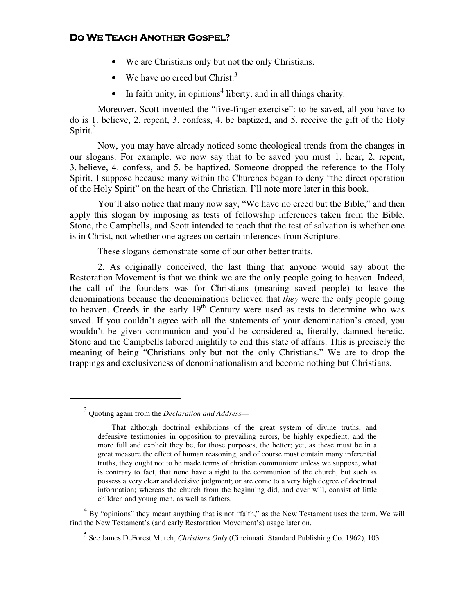- We are Christians only but not the only Christians.
- We have no creed but Christ. $3$
- $\bullet$  In faith unity, in opinions<sup>4</sup> liberty, and in all things charity.

Moreover, Scott invented the "five-finger exercise": to be saved, all you have to do is 1. believe, 2. repent, 3. confess, 4. be baptized, and 5. receive the gift of the Holy Spirit. $5$ 

Now, you may have already noticed some theological trends from the changes in our slogans. For example, we now say that to be saved you must 1. hear, 2. repent, 3. believe, 4. confess, and 5. be baptized. Someone dropped the reference to the Holy Spirit, I suppose because many within the Churches began to deny "the direct operation of the Holy Spirit" on the heart of the Christian. I'll note more later in this book.

You'll also notice that many now say, "We have no creed but the Bible," and then apply this slogan by imposing as tests of fellowship inferences taken from the Bible. Stone, the Campbells, and Scott intended to teach that the test of salvation is whether one is in Christ, not whether one agrees on certain inferences from Scripture.

These slogans demonstrate some of our other better traits.

2. As originally conceived, the last thing that anyone would say about the Restoration Movement is that we think we are the only people going to heaven. Indeed, the call of the founders was for Christians (meaning saved people) to leave the denominations because the denominations believed that *they* were the only people going to heaven. Creeds in the early  $19<sup>th</sup>$  Century were used as tests to determine who was saved. If you couldn't agree with all the statements of your denomination's creed, you wouldn't be given communion and you'd be considered a, literally, damned heretic. Stone and the Campbells labored mightily to end this state of affairs. This is precisely the meaning of being "Christians only but not the only Christians." We are to drop the trappings and exclusiveness of denominationalism and become nothing but Christians.

 $\overline{a}$ 

 $4$  By "opinions" they meant anything that is not "faith," as the New Testament uses the term. We will find the New Testament's (and early Restoration Movement's) usage later on.

<sup>3</sup> Quoting again from the *Declaration and Address*—

That although doctrinal exhibitions of the great system of divine truths, and defensive testimonies in opposition to prevailing errors, be highly expedient; and the more full and explicit they be, for those purposes, the better; yet, as these must be in a great measure the effect of human reasoning, and of course must contain many inferential truths, they ought not to be made terms of christian communion: unless we suppose, what is contrary to fact, that none have a right to the communion of the church, but such as possess a very clear and decisive judgment; or are come to a very high degree of doctrinal information; whereas the church from the beginning did, and ever will, consist of little children and young men, as well as fathers.

<sup>5</sup> See James DeForest Murch, *Christians Only* (Cincinnati: Standard Publishing Co. 1962), 103.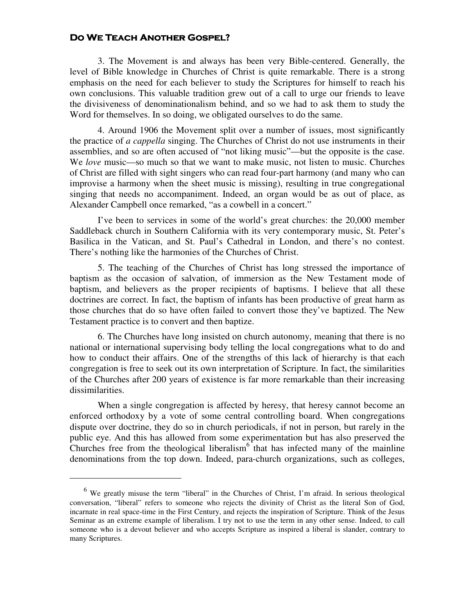$\overline{a}$ 

3. The Movement is and always has been very Bible-centered. Generally, the level of Bible knowledge in Churches of Christ is quite remarkable. There is a strong emphasis on the need for each believer to study the Scriptures for himself to reach his own conclusions. This valuable tradition grew out of a call to urge our friends to leave the divisiveness of denominationalism behind, and so we had to ask them to study the Word for themselves. In so doing, we obligated ourselves to do the same.

4. Around 1906 the Movement split over a number of issues, most significantly the practice of *a cappella* singing. The Churches of Christ do not use instruments in their assemblies, and so are often accused of "not liking music"—but the opposite is the case. We *love* music—so much so that we want to make music, not listen to music. Churches of Christ are filled with sight singers who can read four-part harmony (and many who can improvise a harmony when the sheet music is missing), resulting in true congregational singing that needs no accompaniment. Indeed, an organ would be as out of place, as Alexander Campbell once remarked, "as a cowbell in a concert."

I've been to services in some of the world's great churches: the 20,000 member Saddleback church in Southern California with its very contemporary music, St. Peter's Basilica in the Vatican, and St. Paul's Cathedral in London, and there's no contest. There's nothing like the harmonies of the Churches of Christ.

5. The teaching of the Churches of Christ has long stressed the importance of baptism as the occasion of salvation, of immersion as the New Testament mode of baptism, and believers as the proper recipients of baptisms. I believe that all these doctrines are correct. In fact, the baptism of infants has been productive of great harm as those churches that do so have often failed to convert those they've baptized. The New Testament practice is to convert and then baptize.

6. The Churches have long insisted on church autonomy, meaning that there is no national or international supervising body telling the local congregations what to do and how to conduct their affairs. One of the strengths of this lack of hierarchy is that each congregation is free to seek out its own interpretation of Scripture. In fact, the similarities of the Churches after 200 years of existence is far more remarkable than their increasing dissimilarities.

When a single congregation is affected by heresy, that heresy cannot become an enforced orthodoxy by a vote of some central controlling board. When congregations dispute over doctrine, they do so in church periodicals, if not in person, but rarely in the public eye. And this has allowed from some experimentation but has also preserved the Churches free from the theological liberalism $6$  that has infected many of the mainline denominations from the top down. Indeed, para-church organizations, such as colleges,

<sup>&</sup>lt;sup>6</sup> We greatly misuse the term "liberal" in the Churches of Christ, I'm afraid. In serious theological conversation, "liberal" refers to someone who rejects the divinity of Christ as the literal Son of God, incarnate in real space-time in the First Century, and rejects the inspiration of Scripture. Think of the Jesus Seminar as an extreme example of liberalism. I try not to use the term in any other sense. Indeed, to call someone who is a devout believer and who accepts Scripture as inspired a liberal is slander, contrary to many Scriptures.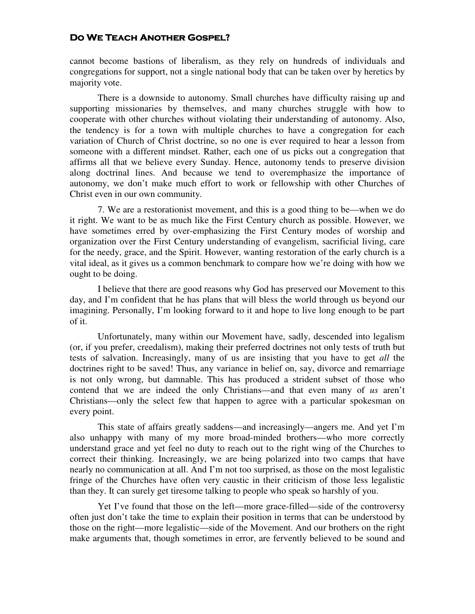cannot become bastions of liberalism, as they rely on hundreds of individuals and congregations for support, not a single national body that can be taken over by heretics by majority vote.

There is a downside to autonomy. Small churches have difficulty raising up and supporting missionaries by themselves, and many churches struggle with how to cooperate with other churches without violating their understanding of autonomy. Also, the tendency is for a town with multiple churches to have a congregation for each variation of Church of Christ doctrine, so no one is ever required to hear a lesson from someone with a different mindset. Rather, each one of us picks out a congregation that affirms all that we believe every Sunday. Hence, autonomy tends to preserve division along doctrinal lines. And because we tend to overemphasize the importance of autonomy, we don't make much effort to work or fellowship with other Churches of Christ even in our own community.

7. We are a restorationist movement, and this is a good thing to be—when we do it right. We want to be as much like the First Century church as possible. However, we have sometimes erred by over-emphasizing the First Century modes of worship and organization over the First Century understanding of evangelism, sacrificial living, care for the needy, grace, and the Spirit. However, wanting restoration of the early church is a vital ideal, as it gives us a common benchmark to compare how we're doing with how we ought to be doing.

I believe that there are good reasons why God has preserved our Movement to this day, and I'm confident that he has plans that will bless the world through us beyond our imagining. Personally, I'm looking forward to it and hope to live long enough to be part of it.

Unfortunately, many within our Movement have, sadly, descended into legalism (or, if you prefer, creedalism), making their preferred doctrines not only tests of truth but tests of salvation. Increasingly, many of us are insisting that you have to get *all* the doctrines right to be saved! Thus, any variance in belief on, say, divorce and remarriage is not only wrong, but damnable. This has produced a strident subset of those who contend that we are indeed the only Christians—and that even many of *us* aren't Christians—only the select few that happen to agree with a particular spokesman on every point.

This state of affairs greatly saddens—and increasingly—angers me. And yet I'm also unhappy with many of my more broad-minded brothers—who more correctly understand grace and yet feel no duty to reach out to the right wing of the Churches to correct their thinking. Increasingly, we are being polarized into two camps that have nearly no communication at all. And I'm not too surprised, as those on the most legalistic fringe of the Churches have often very caustic in their criticism of those less legalistic than they. It can surely get tiresome talking to people who speak so harshly of you.

Yet I've found that those on the left—more grace-filled—side of the controversy often just don't take the time to explain their position in terms that can be understood by those on the right—more legalistic—side of the Movement. And our brothers on the right make arguments that, though sometimes in error, are fervently believed to be sound and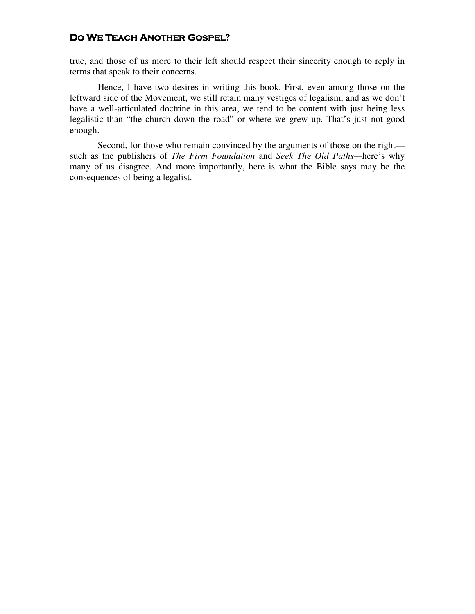true, and those of us more to their left should respect their sincerity enough to reply in terms that speak to their concerns.

Hence, I have two desires in writing this book. First, even among those on the leftward side of the Movement, we still retain many vestiges of legalism, and as we don't have a well-articulated doctrine in this area, we tend to be content with just being less legalistic than "the church down the road" or where we grew up. That's just not good enough.

Second, for those who remain convinced by the arguments of those on the right such as the publishers of *The Firm Foundation* and *Seek The Old Paths—*here's why many of us disagree. And more importantly, here is what the Bible says may be the consequences of being a legalist.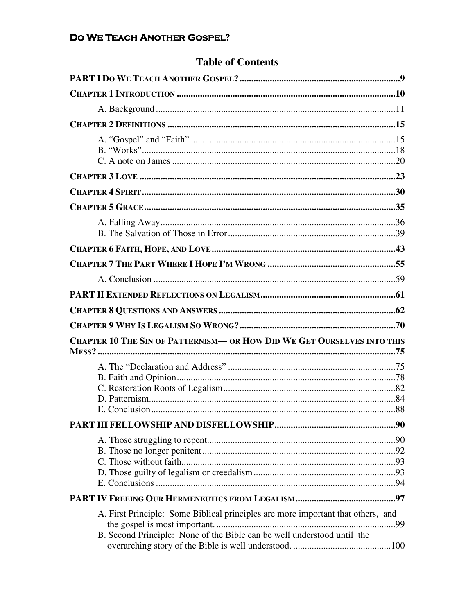# **Table of Contents**

| <b>CHAPTER 10 THE SIN OF PATTERNISM- OR HOW DID WE GET OURSELVES INTO THIS</b> |
|--------------------------------------------------------------------------------|
|                                                                                |
|                                                                                |
|                                                                                |
|                                                                                |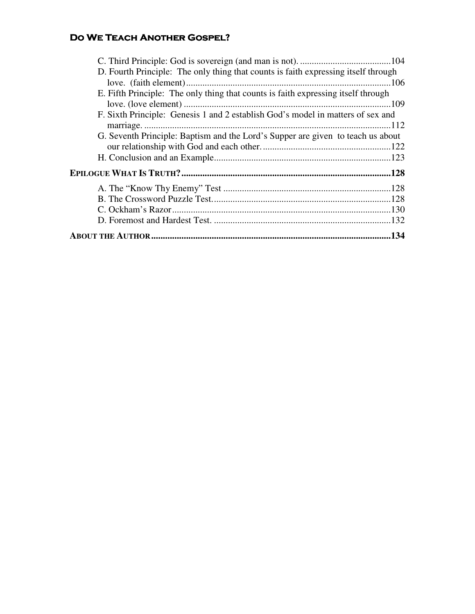| D. Fourth Principle: The only thing that counts is faith expressing itself through |
|------------------------------------------------------------------------------------|
|                                                                                    |
| E. Fifth Principle: The only thing that counts is faith expressing itself through  |
|                                                                                    |
| F. Sixth Principle: Genesis 1 and 2 establish God's model in matters of sex and    |
|                                                                                    |
| G. Seventh Principle: Baptism and the Lord's Supper are given to teach us about    |
|                                                                                    |
|                                                                                    |
|                                                                                    |
|                                                                                    |
|                                                                                    |
|                                                                                    |
|                                                                                    |
|                                                                                    |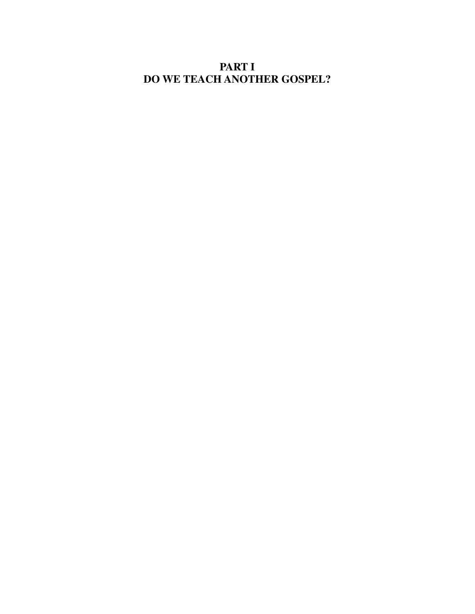**PART I DO WE TEACH ANOTHER GOSPEL?**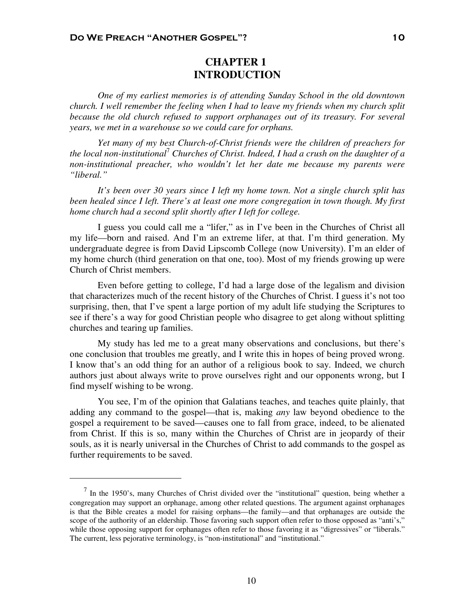# **CHAPTER 1 INTRODUCTION**

*One of my earliest memories is of attending Sunday School in the old downtown church. I well remember the feeling when I had to leave my friends when my church split because the old church refused to support orphanages out of its treasury. For several years, we met in a warehouse so we could care for orphans.* 

*Yet many of my best Church-of-Christ friends were the children of preachers for the local non-institutional*<sup>7</sup>  *Churches of Christ. Indeed, I had a crush on the daughter of a non-institutional preacher, who wouldn't let her date me because my parents were "liberal."* 

*It's been over 30 years since I left my home town. Not a single church split has been healed since I left. There's at least one more congregation in town though. My first home church had a second split shortly after I left for college.* 

I guess you could call me a "lifer," as in I've been in the Churches of Christ all my life—born and raised. And I'm an extreme lifer, at that. I'm third generation. My undergraduate degree is from David Lipscomb College (now University). I'm an elder of my home church (third generation on that one, too). Most of my friends growing up were Church of Christ members.

Even before getting to college, I'd had a large dose of the legalism and division that characterizes much of the recent history of the Churches of Christ. I guess it's not too surprising, then, that I've spent a large portion of my adult life studying the Scriptures to see if there's a way for good Christian people who disagree to get along without splitting churches and tearing up families.

My study has led me to a great many observations and conclusions, but there's one conclusion that troubles me greatly, and I write this in hopes of being proved wrong. I know that's an odd thing for an author of a religious book to say. Indeed, we church authors just about always write to prove ourselves right and our opponents wrong, but I find myself wishing to be wrong.

You see, I'm of the opinion that Galatians teaches, and teaches quite plainly, that adding any command to the gospel—that is, making *any* law beyond obedience to the gospel a requirement to be saved—causes one to fall from grace, indeed, to be alienated from Christ. If this is so, many within the Churches of Christ are in jeopardy of their souls, as it is nearly universal in the Churches of Christ to add commands to the gospel as further requirements to be saved.

 $\overline{a}$ 

 $<sup>7</sup>$  In the 1950's, many Churches of Christ divided over the "institutional" question, being whether a</sup> congregation may support an orphanage, among other related questions. The argument against orphanages is that the Bible creates a model for raising orphans—the family—and that orphanages are outside the scope of the authority of an eldership. Those favoring such support often refer to those opposed as "anti's," while those opposing support for orphanages often refer to those favoring it as "digressives" or "liberals." The current, less pejorative terminology, is "non-institutional" and "institutional."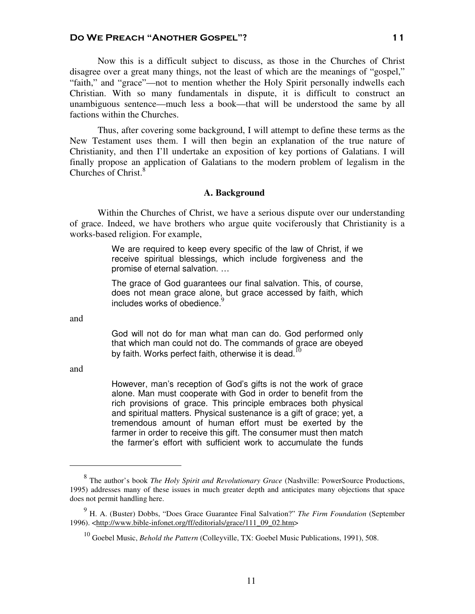Now this is a difficult subject to discuss, as those in the Churches of Christ disagree over a great many things, not the least of which are the meanings of "gospel," "faith," and "grace"—not to mention whether the Holy Spirit personally indwells each Christian. With so many fundamentals in dispute, it is difficult to construct an unambiguous sentence—much less a book—that will be understood the same by all factions within the Churches.

Thus, after covering some background, I will attempt to define these terms as the New Testament uses them. I will then begin an explanation of the true nature of Christianity, and then I'll undertake an exposition of key portions of Galatians. I will finally propose an application of Galatians to the modern problem of legalism in the Churches of Christ. $8$ 

#### **A. Background**

Within the Churches of Christ, we have a serious dispute over our understanding of grace. Indeed, we have brothers who argue quite vociferously that Christianity is a works-based religion. For example,

> We are required to keep every specific of the law of Christ, if we receive spiritual blessings, which include forgiveness and the promise of eternal salvation. …

> The grace of God guarantees our final salvation. This, of course, does not mean grace alone, but grace accessed by faith, which includes works of obedience.<sup>9</sup>

and

God will not do for man what man can do. God performed only that which man could not do. The commands of grace are obeyed by faith. Works perfect faith, otherwise it is dead.<sup>1</sup>

and

 $\overline{a}$ 

However, man's reception of God's gifts is not the work of grace alone. Man must cooperate with God in order to benefit from the rich provisions of grace. This principle embraces both physical and spiritual matters. Physical sustenance is a gift of grace; yet, a tremendous amount of human effort must be exerted by the farmer in order to receive this gift. The consumer must then match the farmer's effort with sufficient work to accumulate the funds

<sup>8</sup> The author's book *The Holy Spirit and Revolutionary Grace* (Nashville: PowerSource Productions, 1995) addresses many of these issues in much greater depth and anticipates many objections that space does not permit handling here.

<sup>9</sup> H. A. (Buster) Dobbs, "Does Grace Guarantee Final Salvation?" *The Firm Foundation* (September 1996). <http://www.bible-infonet.org/ff/editorials/grace/111\_09\_02.htm>

<sup>10</sup> Goebel Music, *Behold the Pattern* (Colleyville, TX: Goebel Music Publications, 1991), 508.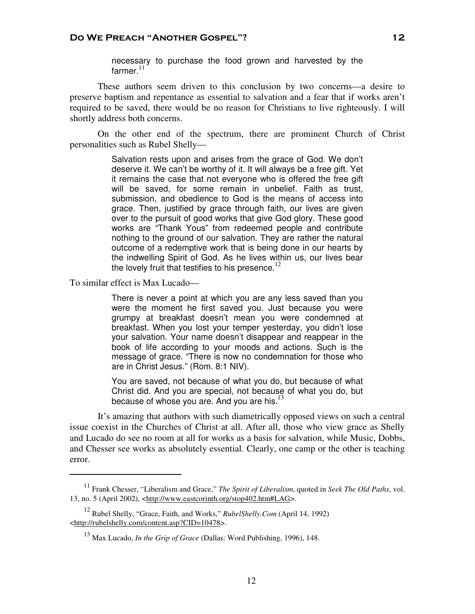necessary to purchase the food grown and harvested by the farmer. $^{11}\,$ 

These authors seem driven to this conclusion by two concerns—a desire to preserve baptism and repentance as essential to salvation and a fear that if works aren't required to be saved, there would be no reason for Christians to live righteously. I will shortly address both concerns.

On the other end of the spectrum, there are prominent Church of Christ personalities such as Rubel Shelly—

> Salvation rests upon and arises from the grace of God. We don't deserve it. We can't be worthy of it. It will always be a free gift. Yet it remains the case that not everyone who is offered the free gift will be saved, for some remain in unbelief. Faith as trust, submission, and obedience to God is the means of access into grace. Then, justified by grace through faith, our lives are given over to the pursuit of good works that give God glory. These good works are "Thank Yous" from redeemed people and contribute nothing to the ground of our salvation. They are rather the natural outcome of a redemptive work that is being done in our hearts by the indwelling Spirit of God. As he lives within us, our lives bear the lovely fruit that testifies to his presence.<sup>12</sup>

To similar effect is Max Lucado—

 $\overline{a}$ 

There is never a point at which you are any less saved than you were the moment he first saved you. Just because you were grumpy at breakfast doesn't mean you were condemned at breakfast. When you lost your temper yesterday, you didn't lose your salvation. Your name doesn't disappear and reappear in the book of life according to your moods and actions. Such is the message of grace. "There is now no condemnation for those who are in Christ Jesus." (Rom. 8:1 NIV).

You are saved, not because of what you do, but because of what Christ did. And you are special, not because of what you do, but because of whose you are. And you are his. $^{13}$ 

It's amazing that authors with such diametrically opposed views on such a central issue coexist in the Churches of Christ at all. After all, those who view grace as Shelly and Lucado do see no room at all for works as a basis for salvation, while Music, Dobbs, and Chesser see works as absolutely essential. Clearly, one camp or the other is teaching error.

<sup>11</sup> Frank Chesser, "Liberalism and Grace," *The Spirit of Liberalism*, quoted in *Seek The Old Paths*, vol. 13, no. 5 (April 2002), <http://www.eastcorinth.org/stop402.htm#LAG>.

<sup>12</sup> Rubel Shelly, "Grace, Faith, and Works," *RubelShelly.Com* (April 14, 1992) <http://rubelshelly.com/content.asp?CID=10478>.

<sup>13</sup> Max Lucado, *In the Grip of Grace* (Dallas: Word Publishing, 1996), 148.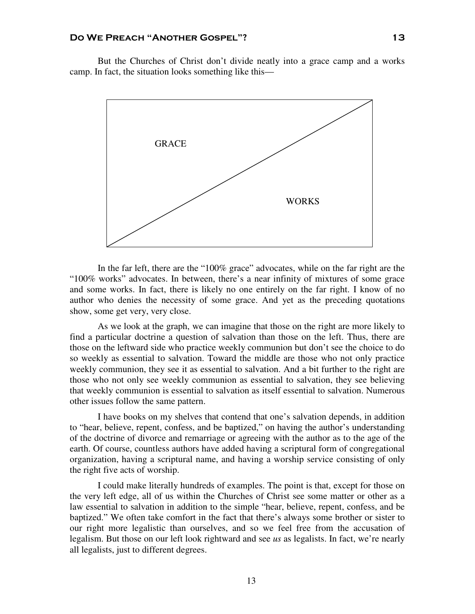But the Churches of Christ don't divide neatly into a grace camp and a works camp. In fact, the situation looks something like this—



In the far left, there are the "100% grace" advocates, while on the far right are the "100% works" advocates. In between, there's a near infinity of mixtures of some grace and some works. In fact, there is likely no one entirely on the far right. I know of no author who denies the necessity of some grace. And yet as the preceding quotations show, some get very, very close.

As we look at the graph, we can imagine that those on the right are more likely to find a particular doctrine a question of salvation than those on the left. Thus, there are those on the leftward side who practice weekly communion but don't see the choice to do so weekly as essential to salvation. Toward the middle are those who not only practice weekly communion, they see it as essential to salvation. And a bit further to the right are those who not only see weekly communion as essential to salvation, they see believing that weekly communion is essential to salvation as itself essential to salvation. Numerous other issues follow the same pattern.

I have books on my shelves that contend that one's salvation depends, in addition to "hear, believe, repent, confess, and be baptized," on having the author's understanding of the doctrine of divorce and remarriage or agreeing with the author as to the age of the earth. Of course, countless authors have added having a scriptural form of congregational organization, having a scriptural name, and having a worship service consisting of only the right five acts of worship.

I could make literally hundreds of examples. The point is that, except for those on the very left edge, all of us within the Churches of Christ see some matter or other as a law essential to salvation in addition to the simple "hear, believe, repent, confess, and be baptized." We often take comfort in the fact that there's always some brother or sister to our right more legalistic than ourselves, and so we feel free from the accusation of legalism. But those on our left look rightward and see *us* as legalists. In fact, we're nearly all legalists, just to different degrees.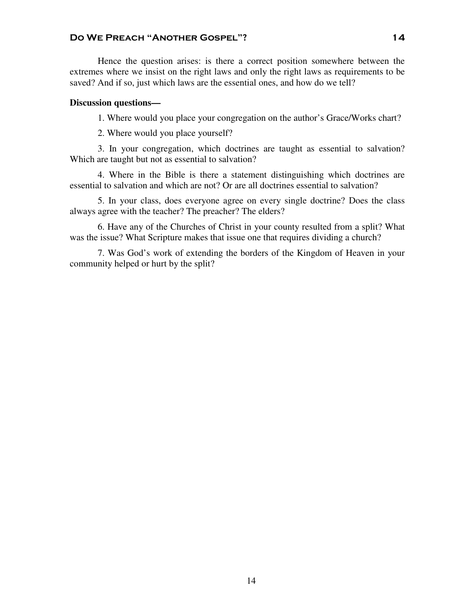Hence the question arises: is there a correct position somewhere between the extremes where we insist on the right laws and only the right laws as requirements to be saved? And if so, just which laws are the essential ones, and how do we tell?

#### **Discussion questions—**

1. Where would you place your congregation on the author's Grace/Works chart?

2. Where would you place yourself?

3. In your congregation, which doctrines are taught as essential to salvation? Which are taught but not as essential to salvation?

4. Where in the Bible is there a statement distinguishing which doctrines are essential to salvation and which are not? Or are all doctrines essential to salvation?

5. In your class, does everyone agree on every single doctrine? Does the class always agree with the teacher? The preacher? The elders?

6. Have any of the Churches of Christ in your county resulted from a split? What was the issue? What Scripture makes that issue one that requires dividing a church?

7. Was God's work of extending the borders of the Kingdom of Heaven in your community helped or hurt by the split?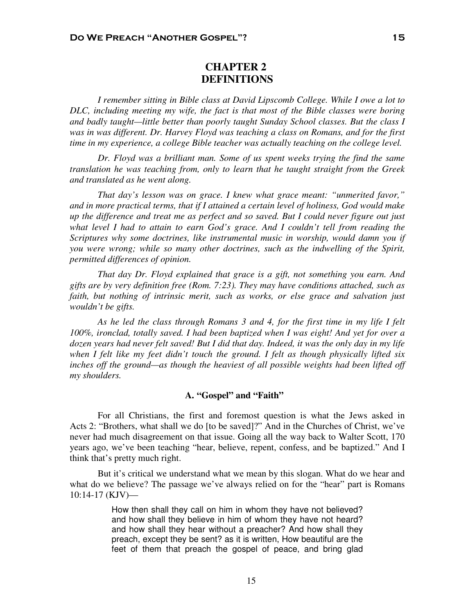## **CHAPTER 2 DEFINITIONS**

*I remember sitting in Bible class at David Lipscomb College. While I owe a lot to DLC, including meeting my wife, the fact is that most of the Bible classes were boring and badly taught—little better than poorly taught Sunday School classes. But the class I was in was different. Dr. Harvey Floyd was teaching a class on Romans, and for the first time in my experience, a college Bible teacher was actually teaching on the college level.* 

*Dr. Floyd was a brilliant man. Some of us spent weeks trying the find the same translation he was teaching from, only to learn that he taught straight from the Greek and translated as he went along.* 

*That day's lesson was on grace. I knew what grace meant: "unmerited favor," and in more practical terms, that if I attained a certain level of holiness, God would make up the difference and treat me as perfect and so saved. But I could never figure out just what level I had to attain to earn God's grace. And I couldn't tell from reading the Scriptures why some doctrines, like instrumental music in worship, would damn you if you were wrong; while so many other doctrines, such as the indwelling of the Spirit, permitted differences of opinion.* 

*That day Dr. Floyd explained that grace is a gift, not something you earn. And gifts are by very definition free (Rom. 7:23). They may have conditions attached, such as faith, but nothing of intrinsic merit, such as works, or else grace and salvation just wouldn't be gifts.* 

*As he led the class through Romans 3 and 4, for the first time in my life I felt 100%, ironclad, totally saved. I had been baptized when I was eight! And yet for over a dozen years had never felt saved! But I did that day. Indeed, it was the only day in my life when I felt like my feet didn't touch the ground. I felt as though physically lifted six inches off the ground—as though the heaviest of all possible weights had been lifted off my shoulders.* 

#### **A. "Gospel" and "Faith"**

For all Christians, the first and foremost question is what the Jews asked in Acts 2: "Brothers, what shall we do [to be saved]?" And in the Churches of Christ, we've never had much disagreement on that issue. Going all the way back to Walter Scott, 170 years ago, we've been teaching "hear, believe, repent, confess, and be baptized." And I think that's pretty much right.

But it's critical we understand what we mean by this slogan. What do we hear and what do we believe? The passage we've always relied on for the "hear" part is Romans 10:14-17 (KJV)—

> How then shall they call on him in whom they have not believed? and how shall they believe in him of whom they have not heard? and how shall they hear without a preacher? And how shall they preach, except they be sent? as it is written, How beautiful are the feet of them that preach the gospel of peace, and bring glad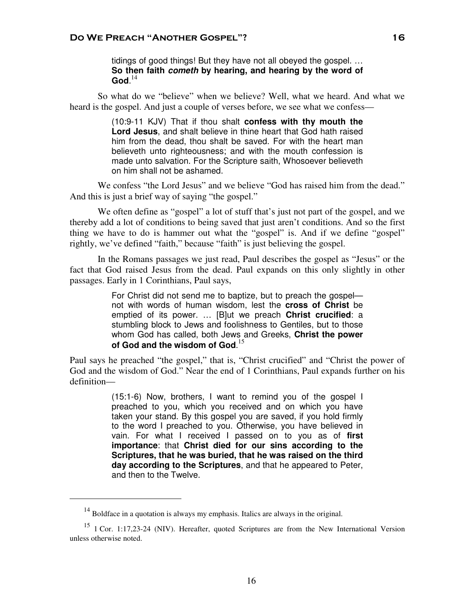tidings of good things! But they have not all obeyed the gospel. … **So then faith cometh by hearing, and hearing by the word of**   $\text{God.}^{14}$ 

So what do we "believe" when we believe? Well, what we heard. And what we heard is the gospel. And just a couple of verses before, we see what we confess—

> (10:9-11 KJV) That if thou shalt **confess with thy mouth the Lord Jesus**, and shalt believe in thine heart that God hath raised him from the dead, thou shalt be saved. For with the heart man believeth unto righteousness; and with the mouth confession is made unto salvation. For the Scripture saith, Whosoever believeth on him shall not be ashamed.

We confess "the Lord Jesus" and we believe "God has raised him from the dead." And this is just a brief way of saying "the gospel."

We often define as "gospel" a lot of stuff that's just not part of the gospel, and we thereby add a lot of conditions to being saved that just aren't conditions. And so the first thing we have to do is hammer out what the "gospel" is. And if we define "gospel" rightly, we've defined "faith," because "faith" is just believing the gospel.

In the Romans passages we just read, Paul describes the gospel as "Jesus" or the fact that God raised Jesus from the dead. Paul expands on this only slightly in other passages. Early in 1 Corinthians, Paul says,

> For Christ did not send me to baptize, but to preach the gospel not with words of human wisdom, lest the **cross of Christ** be emptied of its power. … [B]ut we preach **Christ crucified**: a stumbling block to Jews and foolishness to Gentiles, but to those whom God has called, both Jews and Greeks, **Christ the power of God and the wisdom of God**. 15

Paul says he preached "the gospel," that is, "Christ crucified" and "Christ the power of God and the wisdom of God." Near the end of 1 Corinthians, Paul expands further on his definition—

> (15:1-6) Now, brothers, I want to remind you of the gospel I preached to you, which you received and on which you have taken your stand. By this gospel you are saved, if you hold firmly to the word I preached to you. Otherwise, you have believed in vain. For what I received I passed on to you as of **first importance**: that **Christ died for our sins according to the Scriptures, that he was buried, that he was raised on the third day according to the Scriptures**, and that he appeared to Peter, and then to the Twelve.

 $\overline{a}$ 

<sup>&</sup>lt;sup>14</sup> Boldface in a quotation is always my emphasis. Italics are always in the original.

<sup>&</sup>lt;sup>15</sup> 1 Cor. 1:17,23-24 (NIV). Hereafter, quoted Scriptures are from the New International Version unless otherwise noted.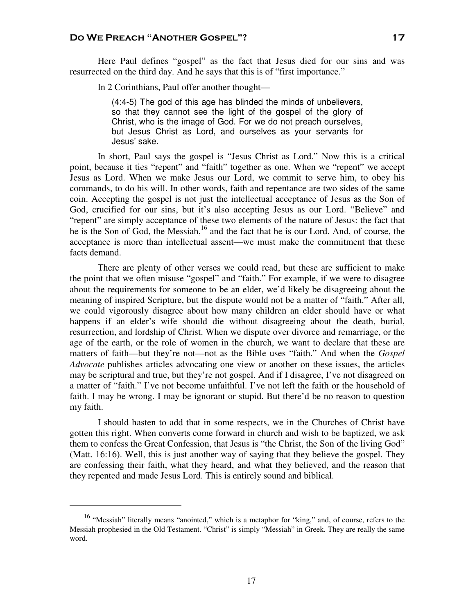Here Paul defines "gospel" as the fact that Jesus died for our sins and was resurrected on the third day. And he says that this is of "first importance."

In 2 Corinthians, Paul offer another thought—

(4:4-5) The god of this age has blinded the minds of unbelievers, so that they cannot see the light of the gospel of the glory of Christ, who is the image of God. For we do not preach ourselves, but Jesus Christ as Lord, and ourselves as your servants for Jesus' sake.

In short, Paul says the gospel is "Jesus Christ as Lord." Now this is a critical point, because it ties "repent" and "faith" together as one. When we "repent" we accept Jesus as Lord. When we make Jesus our Lord, we commit to serve him, to obey his commands, to do his will. In other words, faith and repentance are two sides of the same coin. Accepting the gospel is not just the intellectual acceptance of Jesus as the Son of God, crucified for our sins, but it's also accepting Jesus as our Lord. "Believe" and "repent" are simply acceptance of these two elements of the nature of Jesus: the fact that he is the Son of God, the Messiah,<sup>16</sup> and the fact that he is our Lord. And, of course, the acceptance is more than intellectual assent—we must make the commitment that these facts demand.

There are plenty of other verses we could read, but these are sufficient to make the point that we often misuse "gospel" and "faith." For example, if we were to disagree about the requirements for someone to be an elder, we'd likely be disagreeing about the meaning of inspired Scripture, but the dispute would not be a matter of "faith." After all, we could vigorously disagree about how many children an elder should have or what happens if an elder's wife should die without disagreeing about the death, burial, resurrection, and lordship of Christ. When we dispute over divorce and remarriage, or the age of the earth, or the role of women in the church, we want to declare that these are matters of faith—but they're not—not as the Bible uses "faith." And when the *Gospel Advocate* publishes articles advocating one view or another on these issues, the articles may be scriptural and true, but they're not gospel. And if I disagree, I've not disagreed on a matter of "faith." I've not become unfaithful. I've not left the faith or the household of faith. I may be wrong. I may be ignorant or stupid. But there'd be no reason to question my faith.

I should hasten to add that in some respects, we in the Churches of Christ have gotten this right. When converts come forward in church and wish to be baptized, we ask them to confess the Great Confession, that Jesus is "the Christ, the Son of the living God" (Matt. 16:16). Well, this is just another way of saying that they believe the gospel. They are confessing their faith, what they heard, and what they believed, and the reason that they repented and made Jesus Lord. This is entirely sound and biblical.

 $\overline{a}$ 

<sup>&</sup>lt;sup>16</sup> "Messiah" literally means "anointed," which is a metaphor for "king," and, of course, refers to the Messiah prophesied in the Old Testament. "Christ" is simply "Messiah" in Greek. They are really the same word.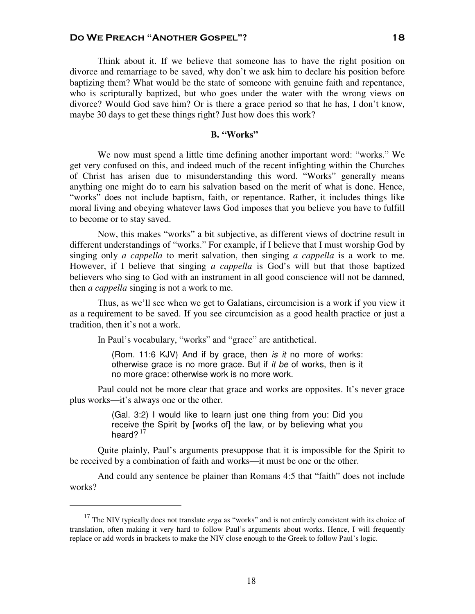Think about it. If we believe that someone has to have the right position on divorce and remarriage to be saved, why don't we ask him to declare his position before baptizing them? What would be the state of someone with genuine faith and repentance, who is scripturally baptized, but who goes under the water with the wrong views on divorce? Would God save him? Or is there a grace period so that he has, I don't know, maybe 30 days to get these things right? Just how does this work?

#### **B. "Works"**

We now must spend a little time defining another important word: "works." We get very confused on this, and indeed much of the recent infighting within the Churches of Christ has arisen due to misunderstanding this word. "Works" generally means anything one might do to earn his salvation based on the merit of what is done. Hence, "works" does not include baptism, faith, or repentance. Rather, it includes things like moral living and obeying whatever laws God imposes that you believe you have to fulfill to become or to stay saved.

Now, this makes "works" a bit subjective, as different views of doctrine result in different understandings of "works." For example, if I believe that I must worship God by singing only *a cappella* to merit salvation, then singing *a cappella* is a work to me. However, if I believe that singing *a cappella* is God's will but that those baptized believers who sing to God with an instrument in all good conscience will not be damned, then *a cappella* singing is not a work to me.

Thus, as we'll see when we get to Galatians, circumcision is a work if you view it as a requirement to be saved. If you see circumcision as a good health practice or just a tradition, then it's not a work.

In Paul's vocabulary, "works" and "grace" are antithetical.

 $\overline{a}$ 

(Rom. 11:6 KJV) And if by grace, then is it no more of works: otherwise grace is no more grace. But if it be of works, then is it no more grace: otherwise work is no more work.

Paul could not be more clear that grace and works are opposites. It's never grace plus works—it's always one or the other.

> (Gal. 3:2) I would like to learn just one thing from you: Did you receive the Spirit by [works of] the law, or by believing what you heard? $17$

Quite plainly, Paul's arguments presuppose that it is impossible for the Spirit to be received by a combination of faith and works—it must be one or the other.

And could any sentence be plainer than Romans 4:5 that "faith" does not include works?

<sup>&</sup>lt;sup>17</sup> The NIV typically does not translate *erga* as "works" and is not entirely consistent with its choice of translation, often making it very hard to follow Paul's arguments about works. Hence, I will frequently replace or add words in brackets to make the NIV close enough to the Greek to follow Paul's logic.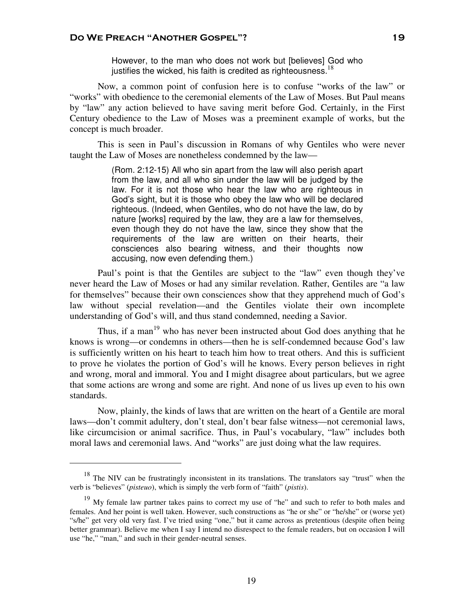However, to the man who does not work but [believes] God who justifies the wicked, his faith is credited as righteousness.<sup>18</sup>

Now, a common point of confusion here is to confuse "works of the law" or "works" with obedience to the ceremonial elements of the Law of Moses. But Paul means by "law" any action believed to have saving merit before God. Certainly, in the First Century obedience to the Law of Moses was a preeminent example of works, but the concept is much broader.

This is seen in Paul's discussion in Romans of why Gentiles who were never taught the Law of Moses are nonetheless condemned by the law—

> (Rom. 2:12-15) All who sin apart from the law will also perish apart from the law, and all who sin under the law will be judged by the law. For it is not those who hear the law who are righteous in God's sight, but it is those who obey the law who will be declared righteous. (Indeed, when Gentiles, who do not have the law, do by nature [works] required by the law, they are a law for themselves, even though they do not have the law, since they show that the requirements of the law are written on their hearts, their consciences also bearing witness, and their thoughts now accusing, now even defending them.)

Paul's point is that the Gentiles are subject to the "law" even though they've never heard the Law of Moses or had any similar revelation. Rather, Gentiles are "a law for themselves" because their own consciences show that they apprehend much of God's law without special revelation—and the Gentiles violate their own incomplete understanding of God's will, and thus stand condemned, needing a Savior.

Thus, if a man<sup>19</sup> who has never been instructed about God does anything that he knows is wrong—or condemns in others—then he is self-condemned because God's law is sufficiently written on his heart to teach him how to treat others. And this is sufficient to prove he violates the portion of God's will he knows. Every person believes in right and wrong, moral and immoral. You and I might disagree about particulars, but we agree that some actions are wrong and some are right. And none of us lives up even to his own standards.

Now, plainly, the kinds of laws that are written on the heart of a Gentile are moral laws—don't commit adultery, don't steal, don't bear false witness—not ceremonial laws, like circumcision or animal sacrifice. Thus, in Paul's vocabulary, "law" includes both moral laws and ceremonial laws. And "works" are just doing what the law requires.

 $\overline{a}$ 

<sup>&</sup>lt;sup>18</sup> The NIV can be frustratingly inconsistent in its translations. The translators say "trust" when the verb is "believes" (*pisteuo*), which is simply the verb form of "faith" (*pistis*).

<sup>&</sup>lt;sup>19</sup> My female law partner takes pains to correct my use of "he" and such to refer to both males and females. And her point is well taken. However, such constructions as "he or she" or "he/she" or (worse yet) "s/he" get very old very fast. I've tried using "one," but it came across as pretentious (despite often being better grammar). Believe me when I say I intend no disrespect to the female readers, but on occasion I will use "he," "man," and such in their gender-neutral senses.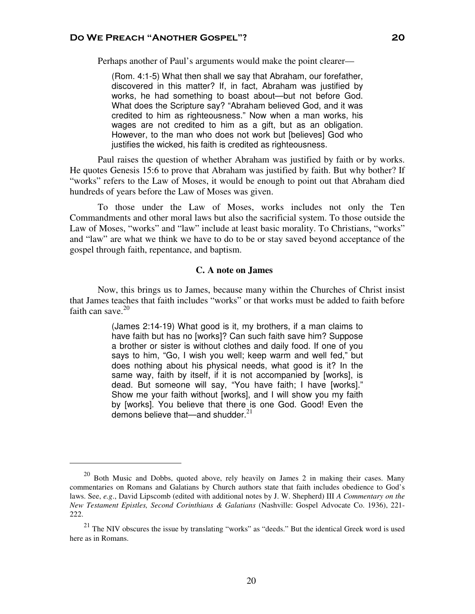$\overline{a}$ 

Perhaps another of Paul's arguments would make the point clearer—

(Rom. 4:1-5) What then shall we say that Abraham, our forefather, discovered in this matter? If, in fact, Abraham was justified by works, he had something to boast about—but not before God. What does the Scripture say? "Abraham believed God, and it was credited to him as righteousness." Now when a man works, his wages are not credited to him as a gift, but as an obligation. However, to the man who does not work but [believes] God who justifies the wicked, his faith is credited as righteousness.

Paul raises the question of whether Abraham was justified by faith or by works. He quotes Genesis 15:6 to prove that Abraham was justified by faith. But why bother? If "works" refers to the Law of Moses, it would be enough to point out that Abraham died hundreds of years before the Law of Moses was given.

To those under the Law of Moses, works includes not only the Ten Commandments and other moral laws but also the sacrificial system. To those outside the Law of Moses, "works" and "law" include at least basic morality. To Christians, "works" and "law" are what we think we have to do to be or stay saved beyond acceptance of the gospel through faith, repentance, and baptism.

#### **C. A note on James**

Now, this brings us to James, because many within the Churches of Christ insist that James teaches that faith includes "works" or that works must be added to faith before faith can save. $20$ 

> (James 2:14-19) What good is it, my brothers, if a man claims to have faith but has no [works]? Can such faith save him? Suppose a brother or sister is without clothes and daily food. If one of you says to him, "Go, I wish you well; keep warm and well fed," but does nothing about his physical needs, what good is it? In the same way, faith by itself, if it is not accompanied by [works], is dead. But someone will say, "You have faith; I have [works]." Show me your faith without [works], and I will show you my faith by [works]. You believe that there is one God. Good! Even the demons believe that—and shudder. $^{21}$

<sup>&</sup>lt;sup>20</sup> Both Music and Dobbs, quoted above, rely heavily on James 2 in making their cases. Many commentaries on Romans and Galatians by Church authors state that faith includes obedience to God's laws. See, *e.g*., David Lipscomb (edited with additional notes by J. W. Shepherd) III *A Commentary on the New Testament Epistles, Second Corinthians & Galatians* (Nashville: Gospel Advocate Co. 1936), 221- 222.

 $21$  The NIV obscures the issue by translating "works" as "deeds." But the identical Greek word is used here as in Romans.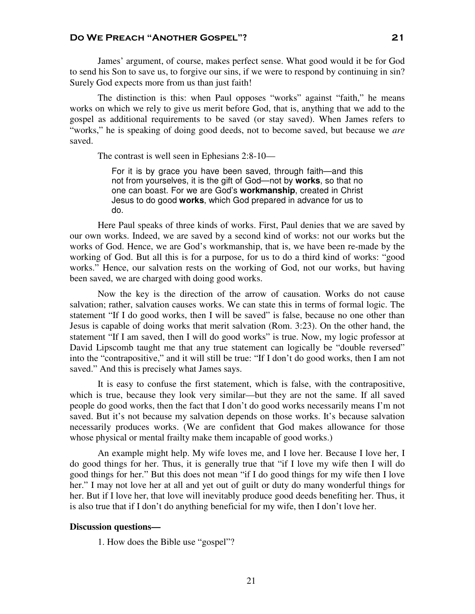James' argument, of course, makes perfect sense. What good would it be for God to send his Son to save us, to forgive our sins, if we were to respond by continuing in sin? Surely God expects more from us than just faith!

The distinction is this: when Paul opposes "works" against "faith," he means works on which we rely to give us merit before God, that is, anything that we add to the gospel as additional requirements to be saved (or stay saved). When James refers to "works," he is speaking of doing good deeds, not to become saved, but because we *are* saved.

The contrast is well seen in Ephesians 2:8-10—

For it is by grace you have been saved, through faith—and this not from yourselves, it is the gift of God—not by **works**, so that no one can boast. For we are God's **workmanship**, created in Christ Jesus to do good **works**, which God prepared in advance for us to do.

Here Paul speaks of three kinds of works. First, Paul denies that we are saved by our own works. Indeed, we are saved by a second kind of works: not our works but the works of God. Hence, we are God's workmanship, that is, we have been re-made by the working of God. But all this is for a purpose, for us to do a third kind of works: "good works." Hence, our salvation rests on the working of God, not our works, but having been saved, we are charged with doing good works.

Now the key is the direction of the arrow of causation. Works do not cause salvation; rather, salvation causes works. We can state this in terms of formal logic. The statement "If I do good works, then I will be saved" is false, because no one other than Jesus is capable of doing works that merit salvation (Rom. 3:23). On the other hand, the statement "If I am saved, then I will do good works" is true. Now, my logic professor at David Lipscomb taught me that any true statement can logically be "double reversed" into the "contrapositive," and it will still be true: "If I don't do good works, then I am not saved." And this is precisely what James says.

It is easy to confuse the first statement, which is false, with the contrapositive, which is true, because they look very similar—but they are not the same. If all saved people do good works, then the fact that I don't do good works necessarily means I'm not saved. But it's not because my salvation depends on those works. It's because salvation necessarily produces works. (We are confident that God makes allowance for those whose physical or mental frailty make them incapable of good works.)

An example might help. My wife loves me, and I love her. Because I love her, I do good things for her. Thus, it is generally true that "if I love my wife then I will do good things for her." But this does not mean "if I do good things for my wife then I love her." I may not love her at all and yet out of guilt or duty do many wonderful things for her. But if I love her, that love will inevitably produce good deeds benefiting her. Thus, it is also true that if I don't do anything beneficial for my wife, then I don't love her.

#### **Discussion questions—**

1. How does the Bible use "gospel"?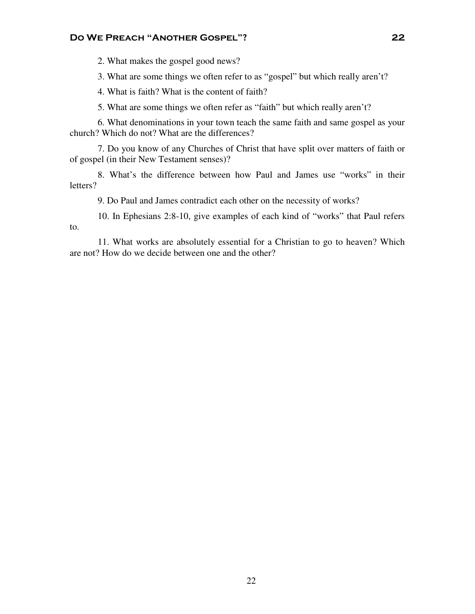2. What makes the gospel good news?

3. What are some things we often refer to as "gospel" but which really aren't?

4. What is faith? What is the content of faith?

5. What are some things we often refer as "faith" but which really aren't?

6. What denominations in your town teach the same faith and same gospel as your church? Which do not? What are the differences?

7. Do you know of any Churches of Christ that have split over matters of faith or of gospel (in their New Testament senses)?

8. What's the difference between how Paul and James use "works" in their letters?

9. Do Paul and James contradict each other on the necessity of works?

10. In Ephesians 2:8-10, give examples of each kind of "works" that Paul refers to.

11. What works are absolutely essential for a Christian to go to heaven? Which are not? How do we decide between one and the other?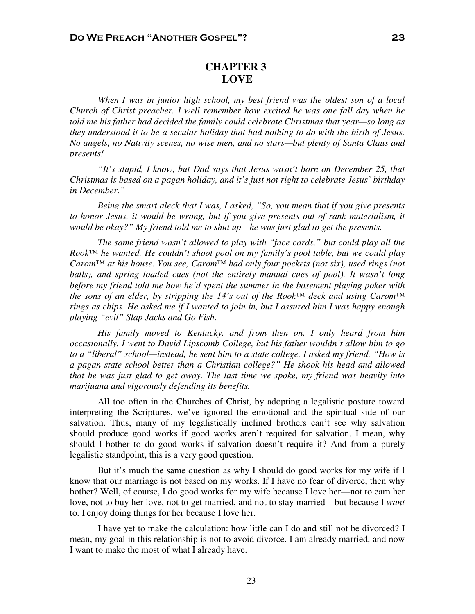# **CHAPTER 3 LOVE**

*When I was in junior high school, my best friend was the oldest son of a local Church of Christ preacher. I well remember how excited he was one fall day when he told me his father had decided the family could celebrate Christmas that year—so long as they understood it to be a secular holiday that had nothing to do with the birth of Jesus. No angels, no Nativity scenes, no wise men, and no stars—but plenty of Santa Claus and presents!* 

*"It's stupid, I know, but Dad says that Jesus wasn't born on December 25, that Christmas is based on a pagan holiday, and it's just not right to celebrate Jesus' birthday in December."* 

*Being the smart aleck that I was, I asked, "So, you mean that if you give presents to honor Jesus, it would be wrong, but if you give presents out of rank materialism, it would be okay?" My friend told me to shut up—he was just glad to get the presents.* 

*The same friend wasn't allowed to play with "face cards," but could play all the Rook™ he wanted. He couldn't shoot pool on my family's pool table, but we could play Carom™ at his house. You see, Carom™ had only four pockets (not six), used rings (not balls), and spring loaded cues (not the entirely manual cues of pool). It wasn't long before my friend told me how he'd spent the summer in the basement playing poker with the sons of an elder, by stripping the 14's out of the Rook™ deck and using Carom™ rings as chips. He asked me if I wanted to join in, but I assured him I was happy enough playing "evil" Slap Jacks and Go Fish.* 

*His family moved to Kentucky, and from then on, I only heard from him occasionally. I went to David Lipscomb College, but his father wouldn't allow him to go to a "liberal" school—instead, he sent him to a state college. I asked my friend, "How is a pagan state school better than a Christian college?" He shook his head and allowed that he was just glad to get away. The last time we spoke, my friend was heavily into marijuana and vigorously defending its benefits.* 

All too often in the Churches of Christ, by adopting a legalistic posture toward interpreting the Scriptures, we've ignored the emotional and the spiritual side of our salvation. Thus, many of my legalistically inclined brothers can't see why salvation should produce good works if good works aren't required for salvation. I mean, why should I bother to do good works if salvation doesn't require it? And from a purely legalistic standpoint, this is a very good question.

But it's much the same question as why I should do good works for my wife if I know that our marriage is not based on my works. If I have no fear of divorce, then why bother? Well, of course, I do good works for my wife because I love her—not to earn her love, not to buy her love, not to get married, and not to stay married—but because I *want* to. I enjoy doing things for her because I love her.

I have yet to make the calculation: how little can I do and still not be divorced? I mean, my goal in this relationship is not to avoid divorce. I am already married, and now I want to make the most of what I already have.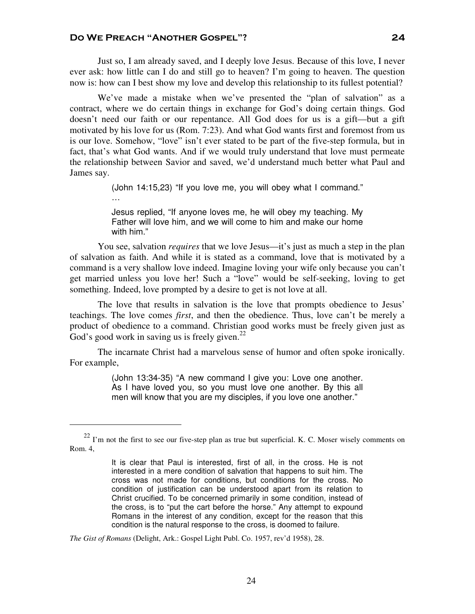Just so, I am already saved, and I deeply love Jesus. Because of this love, I never ever ask: how little can I do and still go to heaven? I'm going to heaven. The question now is: how can I best show my love and develop this relationship to its fullest potential?

We've made a mistake when we've presented the "plan of salvation" as a contract, where we do certain things in exchange for God's doing certain things. God doesn't need our faith or our repentance. All God does for us is a gift—but a gift motivated by his love for us (Rom. 7:23). And what God wants first and foremost from us is our love. Somehow, "love" isn't ever stated to be part of the five-step formula, but in fact, that's what God wants. And if we would truly understand that love must permeate the relationship between Savior and saved, we'd understand much better what Paul and James say.

> (John 14:15,23) "If you love me, you will obey what I command." …

> Jesus replied, "If anyone loves me, he will obey my teaching. My Father will love him, and we will come to him and make our home with him."

You see, salvation *requires* that we love Jesus—it's just as much a step in the plan of salvation as faith. And while it is stated as a command, love that is motivated by a command is a very shallow love indeed. Imagine loving your wife only because you can't get married unless you love her! Such a "love" would be self-seeking, loving to get something. Indeed, love prompted by a desire to get is not love at all.

The love that results in salvation is the love that prompts obedience to Jesus' teachings. The love comes *first*, and then the obedience. Thus, love can't be merely a product of obedience to a command. Christian good works must be freely given just as God's good work in saving us is freely given. $^{22}$ 

The incarnate Christ had a marvelous sense of humor and often spoke ironically. For example,

> (John 13:34-35) "A new command I give you: Love one another. As I have loved you, so you must love one another. By this all men will know that you are my disciples, if you love one another."

*The Gist of Romans* (Delight, Ark.: Gospel Light Publ. Co. 1957, rev'd 1958), 28.

 $\overline{a}$ 

 $22$  I'm not the first to see our five-step plan as true but superficial. K. C. Moser wisely comments on Rom. 4,

It is clear that Paul is interested, first of all, in the cross. He is not interested in a mere condition of salvation that happens to suit him. The cross was not made for conditions, but conditions for the cross. No condition of justification can be understood apart from its relation to Christ crucified. To be concerned primarily in some condition, instead of the cross, is to "put the cart before the horse." Any attempt to expound Romans in the interest of any condition, except for the reason that this condition is the natural response to the cross, is doomed to failure.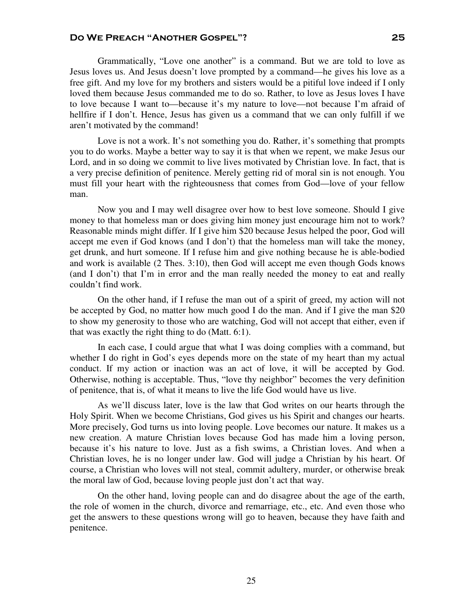Grammatically, "Love one another" is a command. But we are told to love as Jesus loves us. And Jesus doesn't love prompted by a command—he gives his love as a free gift. And my love for my brothers and sisters would be a pitiful love indeed if I only loved them because Jesus commanded me to do so. Rather, to love as Jesus loves I have to love because I want to—because it's my nature to love—not because I'm afraid of hellfire if I don't. Hence, Jesus has given us a command that we can only fulfill if we aren't motivated by the command!

Love is not a work. It's not something you do. Rather, it's something that prompts you to do works. Maybe a better way to say it is that when we repent, we make Jesus our Lord, and in so doing we commit to live lives motivated by Christian love. In fact, that is a very precise definition of penitence. Merely getting rid of moral sin is not enough. You must fill your heart with the righteousness that comes from God—love of your fellow man.

Now you and I may well disagree over how to best love someone. Should I give money to that homeless man or does giving him money just encourage him not to work? Reasonable minds might differ. If I give him \$20 because Jesus helped the poor, God will accept me even if God knows (and I don't) that the homeless man will take the money, get drunk, and hurt someone. If I refuse him and give nothing because he is able-bodied and work is available (2 Thes. 3:10), then God will accept me even though Gods knows (and I don't) that I'm in error and the man really needed the money to eat and really couldn't find work.

On the other hand, if I refuse the man out of a spirit of greed, my action will not be accepted by God, no matter how much good I do the man. And if I give the man \$20 to show my generosity to those who are watching, God will not accept that either, even if that was exactly the right thing to do (Matt. 6:1).

In each case, I could argue that what I was doing complies with a command, but whether I do right in God's eyes depends more on the state of my heart than my actual conduct. If my action or inaction was an act of love, it will be accepted by God. Otherwise, nothing is acceptable. Thus, "love thy neighbor" becomes the very definition of penitence, that is, of what it means to live the life God would have us live.

As we'll discuss later, love is the law that God writes on our hearts through the Holy Spirit. When we become Christians, God gives us his Spirit and changes our hearts. More precisely, God turns us into loving people. Love becomes our nature. It makes us a new creation. A mature Christian loves because God has made him a loving person, because it's his nature to love. Just as a fish swims, a Christian loves. And when a Christian loves, he is no longer under law. God will judge a Christian by his heart. Of course, a Christian who loves will not steal, commit adultery, murder, or otherwise break the moral law of God, because loving people just don't act that way.

On the other hand, loving people can and do disagree about the age of the earth, the role of women in the church, divorce and remarriage, etc., etc. And even those who get the answers to these questions wrong will go to heaven, because they have faith and penitence.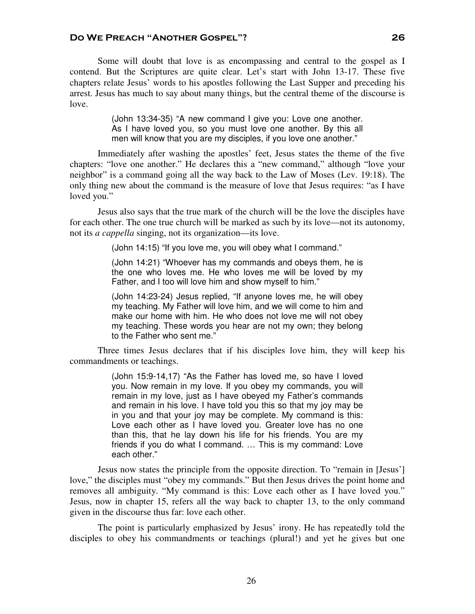Some will doubt that love is as encompassing and central to the gospel as I contend. But the Scriptures are quite clear. Let's start with John 13-17. These five chapters relate Jesus' words to his apostles following the Last Supper and preceding his arrest. Jesus has much to say about many things, but the central theme of the discourse is love.

> (John 13:34-35) "A new command I give you: Love one another. As I have loved you, so you must love one another. By this all men will know that you are my disciples, if you love one another."

Immediately after washing the apostles' feet, Jesus states the theme of the five chapters: "love one another." He declares this a "new command," although "love your neighbor" is a command going all the way back to the Law of Moses (Lev. 19:18). The only thing new about the command is the measure of love that Jesus requires: "as I have loved you."

Jesus also says that the true mark of the church will be the love the disciples have for each other. The one true church will be marked as such by its love—not its autonomy, not its *a cappella* singing, not its organization—its love.

(John 14:15) "If you love me, you will obey what I command."

(John 14:21) "Whoever has my commands and obeys them, he is the one who loves me. He who loves me will be loved by my Father, and I too will love him and show myself to him."

(John 14:23-24) Jesus replied, "If anyone loves me, he will obey my teaching. My Father will love him, and we will come to him and make our home with him. He who does not love me will not obey my teaching. These words you hear are not my own; they belong to the Father who sent me."

Three times Jesus declares that if his disciples love him, they will keep his commandments or teachings.

> (John 15:9-14,17) "As the Father has loved me, so have I loved you. Now remain in my love. If you obey my commands, you will remain in my love, just as I have obeyed my Father's commands and remain in his love. I have told you this so that my joy may be in you and that your joy may be complete. My command is this: Love each other as I have loved you. Greater love has no one than this, that he lay down his life for his friends. You are my friends if you do what I command. … This is my command: Love each other."

Jesus now states the principle from the opposite direction. To "remain in [Jesus'] love," the disciples must "obey my commands." But then Jesus drives the point home and removes all ambiguity. "My command is this: Love each other as I have loved you." Jesus, now in chapter 15, refers all the way back to chapter 13, to the only command given in the discourse thus far: love each other.

The point is particularly emphasized by Jesus' irony. He has repeatedly told the disciples to obey his commandments or teachings (plural!) and yet he gives but one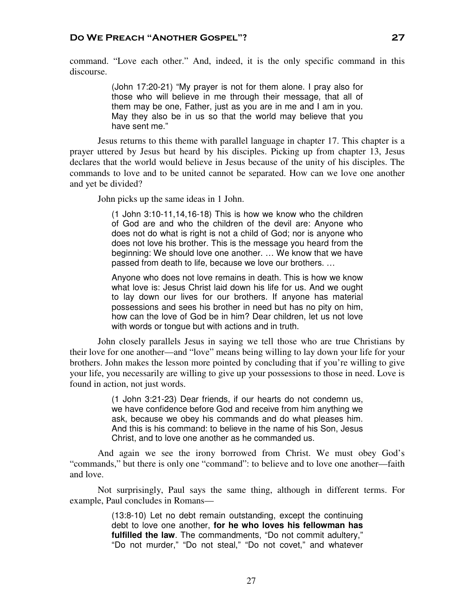command. "Love each other." And, indeed, it is the only specific command in this discourse.

> (John 17:20-21) "My prayer is not for them alone. I pray also for those who will believe in me through their message, that all of them may be one, Father, just as you are in me and I am in you. May they also be in us so that the world may believe that you have sent me."

Jesus returns to this theme with parallel language in chapter 17. This chapter is a prayer uttered by Jesus but heard by his disciples. Picking up from chapter 13, Jesus declares that the world would believe in Jesus because of the unity of his disciples. The commands to love and to be united cannot be separated. How can we love one another and yet be divided?

John picks up the same ideas in 1 John.

(1 John 3:10-11,14,16-18) This is how we know who the children of God are and who the children of the devil are: Anyone who does not do what is right is not a child of God; nor is anyone who does not love his brother. This is the message you heard from the beginning: We should love one another. … We know that we have passed from death to life, because we love our brothers. …

Anyone who does not love remains in death. This is how we know what love is: Jesus Christ laid down his life for us. And we ought to lay down our lives for our brothers. If anyone has material possessions and sees his brother in need but has no pity on him, how can the love of God be in him? Dear children, let us not love with words or tongue but with actions and in truth.

John closely parallels Jesus in saying we tell those who are true Christians by their love for one another—and "love" means being willing to lay down your life for your brothers. John makes the lesson more pointed by concluding that if you're willing to give your life, you necessarily are willing to give up your possessions to those in need. Love is found in action, not just words.

> (1 John 3:21-23) Dear friends, if our hearts do not condemn us, we have confidence before God and receive from him anything we ask, because we obey his commands and do what pleases him. And this is his command: to believe in the name of his Son, Jesus Christ, and to love one another as he commanded us.

And again we see the irony borrowed from Christ. We must obey God's "commands," but there is only one "command": to believe and to love one another—faith and love.

Not surprisingly, Paul says the same thing, although in different terms. For example, Paul concludes in Romans—

> (13:8-10) Let no debt remain outstanding, except the continuing debt to love one another, **for he who loves his fellowman has fulfilled the law**. The commandments, "Do not commit adultery," "Do not murder," "Do not steal," "Do not covet," and whatever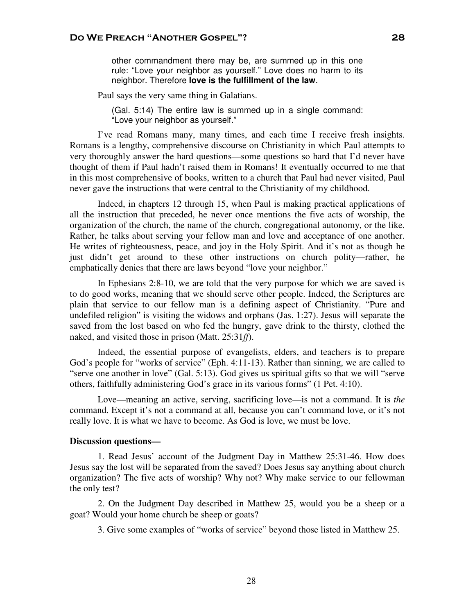other commandment there may be, are summed up in this one rule: "Love your neighbor as yourself." Love does no harm to its neighbor. Therefore **love is the fulfillment of the law**.

Paul says the very same thing in Galatians.

(Gal. 5:14) The entire law is summed up in a single command: "Love your neighbor as yourself."

I've read Romans many, many times, and each time I receive fresh insights. Romans is a lengthy, comprehensive discourse on Christianity in which Paul attempts to very thoroughly answer the hard questions—some questions so hard that I'd never have thought of them if Paul hadn't raised them in Romans! It eventually occurred to me that in this most comprehensive of books, written to a church that Paul had never visited, Paul never gave the instructions that were central to the Christianity of my childhood.

Indeed, in chapters 12 through 15, when Paul is making practical applications of all the instruction that preceded, he never once mentions the five acts of worship, the organization of the church, the name of the church, congregational autonomy, or the like. Rather, he talks about serving your fellow man and love and acceptance of one another. He writes of righteousness, peace, and joy in the Holy Spirit. And it's not as though he just didn't get around to these other instructions on church polity—rather, he emphatically denies that there are laws beyond "love your neighbor."

In Ephesians 2:8-10, we are told that the very purpose for which we are saved is to do good works, meaning that we should serve other people. Indeed, the Scriptures are plain that service to our fellow man is a defining aspect of Christianity. "Pure and undefiled religion" is visiting the widows and orphans (Jas. 1:27). Jesus will separate the saved from the lost based on who fed the hungry, gave drink to the thirsty, clothed the naked, and visited those in prison (Matt. 25:31*ff*).

Indeed, the essential purpose of evangelists, elders, and teachers is to prepare God's people for "works of service" (Eph. 4:11-13). Rather than sinning, we are called to "serve one another in love" (Gal. 5:13). God gives us spiritual gifts so that we will "serve others, faithfully administering God's grace in its various forms" (1 Pet. 4:10).

Love—meaning an active, serving, sacrificing love—is not a command. It is *the* command. Except it's not a command at all, because you can't command love, or it's not really love. It is what we have to become. As God is love, we must be love.

#### **Discussion questions—**

1. Read Jesus' account of the Judgment Day in Matthew 25:31-46. How does Jesus say the lost will be separated from the saved? Does Jesus say anything about church organization? The five acts of worship? Why not? Why make service to our fellowman the only test?

2. On the Judgment Day described in Matthew 25, would you be a sheep or a goat? Would your home church be sheep or goats?

3. Give some examples of "works of service" beyond those listed in Matthew 25.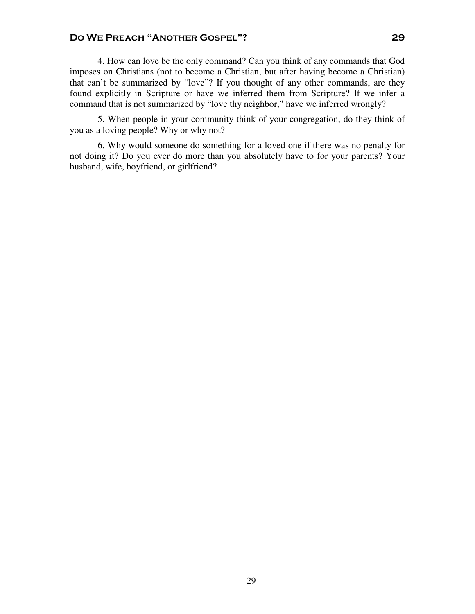4. How can love be the only command? Can you think of any commands that God imposes on Christians (not to become a Christian, but after having become a Christian) that can't be summarized by "love"? If you thought of any other commands, are they found explicitly in Scripture or have we inferred them from Scripture? If we infer a command that is not summarized by "love thy neighbor," have we inferred wrongly?

5. When people in your community think of your congregation, do they think of you as a loving people? Why or why not?

6. Why would someone do something for a loved one if there was no penalty for not doing it? Do you ever do more than you absolutely have to for your parents? Your husband, wife, boyfriend, or girlfriend?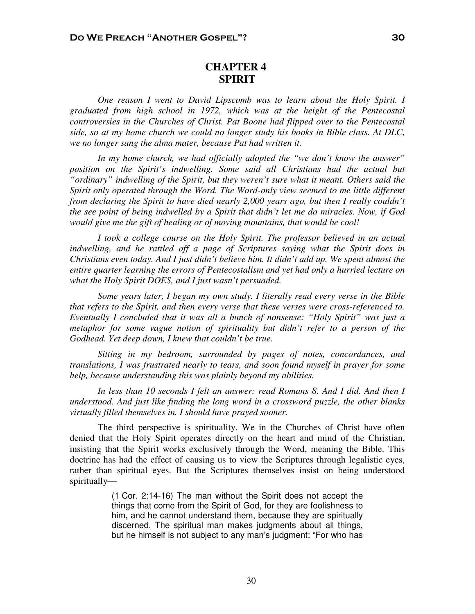## **CHAPTER 4 SPIRIT**

*One reason I went to David Lipscomb was to learn about the Holy Spirit. I graduated from high school in 1972, which was at the height of the Pentecostal controversies in the Churches of Christ. Pat Boone had flipped over to the Pentecostal side, so at my home church we could no longer study his books in Bible class. At DLC, we no longer sang the alma mater, because Pat had written it.* 

*In my home church, we had officially adopted the "we don't know the answer" position on the Spirit's indwelling. Some said all Christians had the actual but "ordinary" indwelling of the Spirit, but they weren't sure what it meant. Others said the Spirit only operated through the Word. The Word-only view seemed to me little different from declaring the Spirit to have died nearly 2,000 years ago, but then I really couldn't the see point of being indwelled by a Spirit that didn't let me do miracles. Now, if God would give me the gift of healing or of moving mountains, that would be cool!* 

*I took a college course on the Holy Spirit. The professor believed in an actual indwelling, and he rattled off a page of Scriptures saying what the Spirit does in Christians even today. And I just didn't believe him. It didn't add up. We spent almost the entire quarter learning the errors of Pentecostalism and yet had only a hurried lecture on what the Holy Spirit DOES, and I just wasn't persuaded.* 

*Some years later, I began my own study. I literally read every verse in the Bible that refers to the Spirit, and then every verse that these verses were cross-referenced to. Eventually I concluded that it was all a bunch of nonsense: "Holy Spirit" was just a metaphor for some vague notion of spirituality but didn't refer to a person of the Godhead. Yet deep down, I knew that couldn't be true.* 

*Sitting in my bedroom, surrounded by pages of notes, concordances, and translations, I was frustrated nearly to tears, and soon found myself in prayer for some help, because understanding this was plainly beyond my abilities.* 

*In less than 10 seconds I felt an answer: read Romans 8. And I did. And then I understood. And just like finding the long word in a crossword puzzle, the other blanks virtually filled themselves in. I should have prayed sooner.* 

The third perspective is spirituality. We in the Churches of Christ have often denied that the Holy Spirit operates directly on the heart and mind of the Christian, insisting that the Spirit works exclusively through the Word, meaning the Bible. This doctrine has had the effect of causing us to view the Scriptures through legalistic eyes, rather than spiritual eyes. But the Scriptures themselves insist on being understood spiritually—

> (1 Cor. 2:14-16) The man without the Spirit does not accept the things that come from the Spirit of God, for they are foolishness to him, and he cannot understand them, because they are spiritually discerned. The spiritual man makes judgments about all things, but he himself is not subject to any man's judgment: "For who has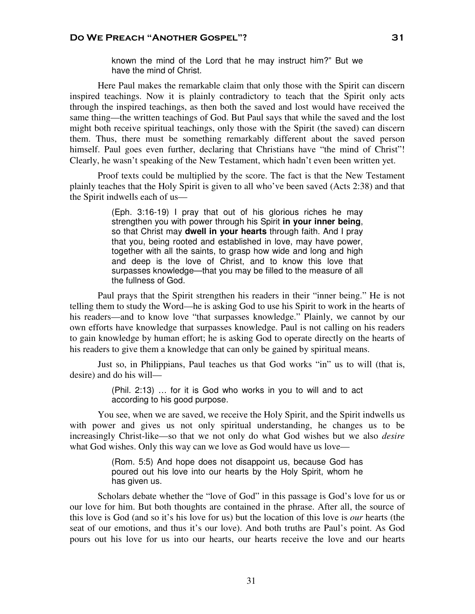known the mind of the Lord that he may instruct him?" But we have the mind of Christ.

Here Paul makes the remarkable claim that only those with the Spirit can discern inspired teachings. Now it is plainly contradictory to teach that the Spirit only acts through the inspired teachings, as then both the saved and lost would have received the same thing—the written teachings of God. But Paul says that while the saved and the lost might both receive spiritual teachings, only those with the Spirit (the saved) can discern them. Thus, there must be something remarkably different about the saved person himself. Paul goes even further, declaring that Christians have "the mind of Christ"! Clearly, he wasn't speaking of the New Testament, which hadn't even been written yet.

Proof texts could be multiplied by the score. The fact is that the New Testament plainly teaches that the Holy Spirit is given to all who've been saved (Acts 2:38) and that the Spirit indwells each of us—

> (Eph. 3:16-19) I pray that out of his glorious riches he may strengthen you with power through his Spirit **in your inner being**, so that Christ may **dwell in your hearts** through faith. And I pray that you, being rooted and established in love, may have power, together with all the saints, to grasp how wide and long and high and deep is the love of Christ, and to know this love that surpasses knowledge—that you may be filled to the measure of all the fullness of God.

Paul prays that the Spirit strengthen his readers in their "inner being." He is not telling them to study the Word—he is asking God to use his Spirit to work in the hearts of his readers—and to know love "that surpasses knowledge." Plainly, we cannot by our own efforts have knowledge that surpasses knowledge. Paul is not calling on his readers to gain knowledge by human effort; he is asking God to operate directly on the hearts of his readers to give them a knowledge that can only be gained by spiritual means.

Just so, in Philippians, Paul teaches us that God works "in" us to will (that is, desire) and do his will—

> (Phil. 2:13) … for it is God who works in you to will and to act according to his good purpose.

You see, when we are saved, we receive the Holy Spirit, and the Spirit indwells us with power and gives us not only spiritual understanding, he changes us to be increasingly Christ-like—so that we not only do what God wishes but we also *desire* what God wishes. Only this way can we love as God would have us love—

> (Rom. 5:5) And hope does not disappoint us, because God has poured out his love into our hearts by the Holy Spirit, whom he has given us.

Scholars debate whether the "love of God" in this passage is God's love for us or our love for him. But both thoughts are contained in the phrase. After all, the source of this love is God (and so it's his love for us) but the location of this love is *our* hearts (the seat of our emotions, and thus it's our love). And both truths are Paul's point. As God pours out his love for us into our hearts, our hearts receive the love and our hearts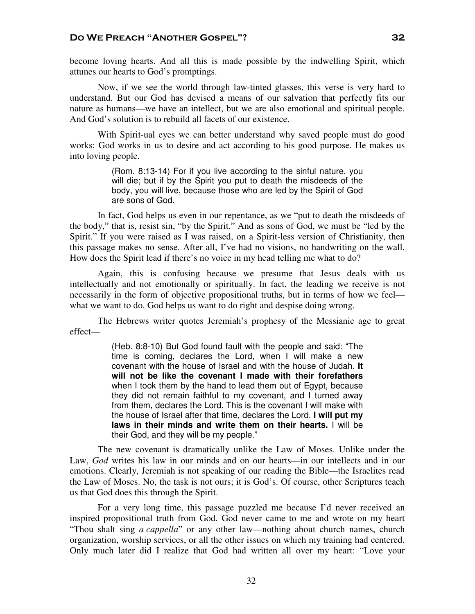become loving hearts. And all this is made possible by the indwelling Spirit, which attunes our hearts to God's promptings.

Now, if we see the world through law-tinted glasses, this verse is very hard to understand. But our God has devised a means of our salvation that perfectly fits our nature as humans—we have an intellect, but we are also emotional and spiritual people. And God's solution is to rebuild all facets of our existence.

With Spirit-ual eyes we can better understand why saved people must do good works: God works in us to desire and act according to his good purpose. He makes us into loving people.

> (Rom. 8:13-14) For if you live according to the sinful nature, you will die; but if by the Spirit you put to death the misdeeds of the body, you will live, because those who are led by the Spirit of God are sons of God.

In fact, God helps us even in our repentance, as we "put to death the misdeeds of the body," that is, resist sin, "by the Spirit." And as sons of God, we must be "led by the Spirit." If you were raised as I was raised, on a Spirit-less version of Christianity, then this passage makes no sense. After all, I've had no visions, no handwriting on the wall. How does the Spirit lead if there's no voice in my head telling me what to do?

Again, this is confusing because we presume that Jesus deals with us intellectually and not emotionally or spiritually. In fact, the leading we receive is not necessarily in the form of objective propositional truths, but in terms of how we feel what we want to do. God helps us want to do right and despise doing wrong.

The Hebrews writer quotes Jeremiah's prophesy of the Messianic age to great effect—

> (Heb. 8:8-10) But God found fault with the people and said: "The time is coming, declares the Lord, when I will make a new covenant with the house of Israel and with the house of Judah. **It will not be like the covenant I made with their forefathers** when I took them by the hand to lead them out of Egypt, because they did not remain faithful to my covenant, and I turned away from them, declares the Lord. This is the covenant I will make with the house of Israel after that time, declares the Lord. **I will put my laws in their minds and write them on their hearts.** I will be their God, and they will be my people."

The new covenant is dramatically unlike the Law of Moses. Unlike under the Law, *God* writes his law in our minds and on our hearts—in our intellects and in our emotions. Clearly, Jeremiah is not speaking of our reading the Bible—the Israelites read the Law of Moses. No, the task is not ours; it is God's. Of course, other Scriptures teach us that God does this through the Spirit.

For a very long time, this passage puzzled me because I'd never received an inspired propositional truth from God. God never came to me and wrote on my heart "Thou shalt sing *a cappella*" or any other law—nothing about church names, church organization, worship services, or all the other issues on which my training had centered. Only much later did I realize that God had written all over my heart: "Love your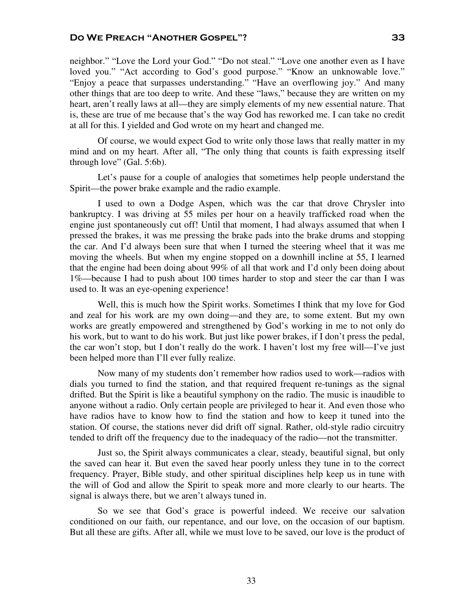neighbor." "Love the Lord your God." "Do not steal." "Love one another even as I have loved you." "Act according to God's good purpose." "Know an unknowable love." "Enjoy a peace that surpasses understanding." "Have an overflowing joy." And many other things that are too deep to write. And these "laws," because they are written on my heart, aren't really laws at all—they are simply elements of my new essential nature. That is, these are true of me because that's the way God has reworked me. I can take no credit at all for this. I yielded and God wrote on my heart and changed me.

Of course, we would expect God to write only those laws that really matter in my mind and on my heart. After all, "The only thing that counts is faith expressing itself through love" (Gal. 5:6b).

Let's pause for a couple of analogies that sometimes help people understand the Spirit—the power brake example and the radio example.

I used to own a Dodge Aspen, which was the car that drove Chrysler into bankruptcy. I was driving at 55 miles per hour on a heavily trafficked road when the engine just spontaneously cut off! Until that moment, I had always assumed that when I pressed the brakes, it was me pressing the brake pads into the brake drums and stopping the car. And I'd always been sure that when I turned the steering wheel that it was me moving the wheels. But when my engine stopped on a downhill incline at 55, I learned that the engine had been doing about 99% of all that work and I'd only been doing about 1%—because I had to push about 100 times harder to stop and steer the car than I was used to. It was an eye-opening experience!

Well, this is much how the Spirit works. Sometimes I think that my love for God and zeal for his work are my own doing—and they are, to some extent. But my own works are greatly empowered and strengthened by God's working in me to not only do his work, but to want to do his work. But just like power brakes, if I don't press the pedal, the car won't stop, but I don't really do the work. I haven't lost my free will—I've just been helped more than I'll ever fully realize.

Now many of my students don't remember how radios used to work—radios with dials you turned to find the station, and that required frequent re-tunings as the signal drifted. But the Spirit is like a beautiful symphony on the radio. The music is inaudible to anyone without a radio. Only certain people are privileged to hear it. And even those who have radios have to know how to find the station and how to keep it tuned into the station. Of course, the stations never did drift off signal. Rather, old-style radio circuitry tended to drift off the frequency due to the inadequacy of the radio—not the transmitter.

Just so, the Spirit always communicates a clear, steady, beautiful signal, but only the saved can hear it. But even the saved hear poorly unless they tune in to the correct frequency. Prayer, Bible study, and other spiritual disciplines help keep us in tune with the will of God and allow the Spirit to speak more and more clearly to our hearts. The signal is always there, but we aren't always tuned in.

So we see that God's grace is powerful indeed. We receive our salvation conditioned on our faith, our repentance, and our love, on the occasion of our baptism. But all these are gifts. After all, while we must love to be saved, our love is the product of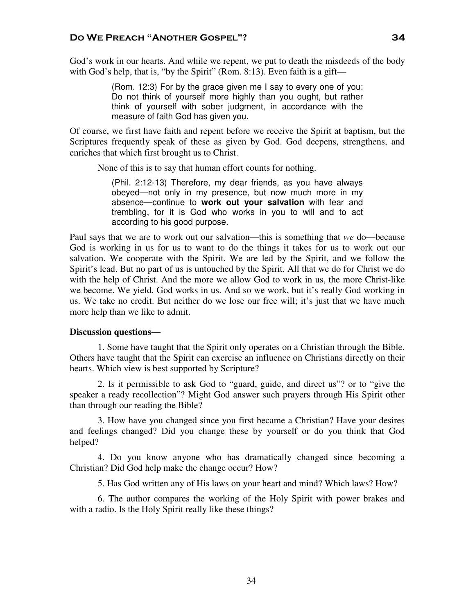God's work in our hearts. And while we repent, we put to death the misdeeds of the body with God's help, that is, "by the Spirit" (Rom. 8:13). Even faith is a gift—

> (Rom. 12:3) For by the grace given me I say to every one of you: Do not think of yourself more highly than you ought, but rather think of yourself with sober judgment, in accordance with the measure of faith God has given you.

Of course, we first have faith and repent before we receive the Spirit at baptism, but the Scriptures frequently speak of these as given by God. God deepens, strengthens, and enriches that which first brought us to Christ.

None of this is to say that human effort counts for nothing.

(Phil. 2:12-13) Therefore, my dear friends, as you have always obeyed—not only in my presence, but now much more in my absence—continue to **work out your salvation** with fear and trembling, for it is God who works in you to will and to act according to his good purpose.

Paul says that we are to work out our salvation—this is something that *we* do—because God is working in us for us to want to do the things it takes for us to work out our salvation. We cooperate with the Spirit. We are led by the Spirit, and we follow the Spirit's lead. But no part of us is untouched by the Spirit. All that we do for Christ we do with the help of Christ. And the more we allow God to work in us, the more Christ-like we become. We yield. God works in us. And so we work, but it's really God working in us. We take no credit. But neither do we lose our free will; it's just that we have much more help than we like to admit.

#### **Discussion questions—**

1. Some have taught that the Spirit only operates on a Christian through the Bible. Others have taught that the Spirit can exercise an influence on Christians directly on their hearts. Which view is best supported by Scripture?

2. Is it permissible to ask God to "guard, guide, and direct us"? or to "give the speaker a ready recollection"? Might God answer such prayers through His Spirit other than through our reading the Bible?

3. How have you changed since you first became a Christian? Have your desires and feelings changed? Did you change these by yourself or do you think that God helped?

4. Do you know anyone who has dramatically changed since becoming a Christian? Did God help make the change occur? How?

5. Has God written any of His laws on your heart and mind? Which laws? How?

6. The author compares the working of the Holy Spirit with power brakes and with a radio. Is the Holy Spirit really like these things?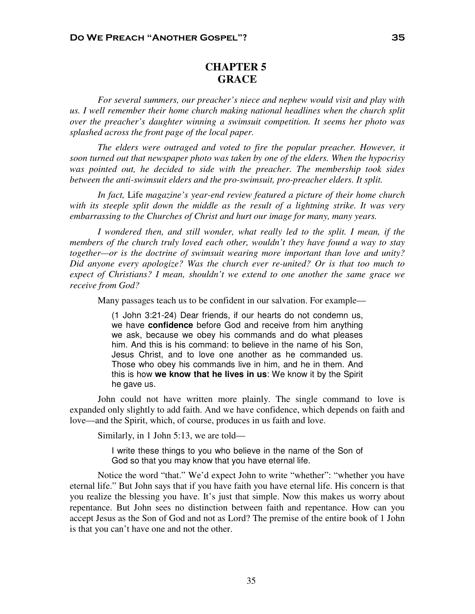# **CHAPTER 5 GRACE**

*For several summers, our preacher's niece and nephew would visit and play with us. I well remember their home church making national headlines when the church split over the preacher's daughter winning a swimsuit competition. It seems her photo was splashed across the front page of the local paper.* 

*The elders were outraged and voted to fire the popular preacher. However, it soon turned out that newspaper photo was taken by one of the elders. When the hypocrisy*  was pointed out, he decided to side with the preacher. The membership took sides *between the anti-swimsuit elders and the pro-swimsuit, pro-preacher elders. It split.* 

*In fact,* Life *magazine's year-end review featured a picture of their home church with its steeple split down the middle as the result of a lightning strike. It was very embarrassing to the Churches of Christ and hurt our image for many, many years.* 

*I wondered then, and still wonder, what really led to the split. I mean, if the members of the church truly loved each other, wouldn't they have found a way to stay together—or is the doctrine of swimsuit wearing more important than love and unity? Did anyone every apologize? Was the church ever re-united? Or is that too much to expect of Christians? I mean, shouldn't we extend to one another the same grace we receive from God?* 

Many passages teach us to be confident in our salvation. For example—

(1 John 3:21-24) Dear friends, if our hearts do not condemn us, we have **confidence** before God and receive from him anything we ask, because we obey his commands and do what pleases him. And this is his command: to believe in the name of his Son, Jesus Christ, and to love one another as he commanded us. Those who obey his commands live in him, and he in them. And this is how **we know that he lives in us**: We know it by the Spirit he gave us.

John could not have written more plainly. The single command to love is expanded only slightly to add faith. And we have confidence, which depends on faith and love—and the Spirit, which, of course, produces in us faith and love.

Similarly, in 1 John 5:13, we are told—

I write these things to you who believe in the name of the Son of God so that you may know that you have eternal life.

Notice the word "that." We'd expect John to write "whether": "whether you have eternal life." But John says that if you have faith you have eternal life. His concern is that you realize the blessing you have. It's just that simple. Now this makes us worry about repentance. But John sees no distinction between faith and repentance. How can you accept Jesus as the Son of God and not as Lord? The premise of the entire book of 1 John is that you can't have one and not the other.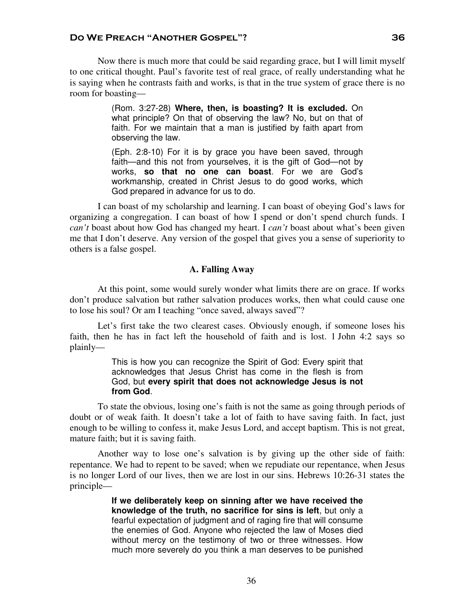Now there is much more that could be said regarding grace, but I will limit myself to one critical thought. Paul's favorite test of real grace, of really understanding what he is saying when he contrasts faith and works, is that in the true system of grace there is no room for boasting—

> (Rom. 3:27-28) **Where, then, is boasting? It is excluded.** On what principle? On that of observing the law? No, but on that of faith. For we maintain that a man is justified by faith apart from observing the law.

> (Eph. 2:8-10) For it is by grace you have been saved, through faith—and this not from yourselves, it is the gift of God—not by works, **so that no one can boast**. For we are God's workmanship, created in Christ Jesus to do good works, which God prepared in advance for us to do.

I can boast of my scholarship and learning. I can boast of obeying God's laws for organizing a congregation. I can boast of how I spend or don't spend church funds. I *can't* boast about how God has changed my heart. I *can't* boast about what's been given me that I don't deserve. Any version of the gospel that gives you a sense of superiority to others is a false gospel.

#### **A. Falling Away**

At this point, some would surely wonder what limits there are on grace. If works don't produce salvation but rather salvation produces works, then what could cause one to lose his soul? Or am I teaching "once saved, always saved"?

Let's first take the two clearest cases. Obviously enough, if someone loses his faith, then he has in fact left the household of faith and is lost. 1 John 4:2 says so plainly—

#### This is how you can recognize the Spirit of God: Every spirit that acknowledges that Jesus Christ has come in the flesh is from God, but **every spirit that does not acknowledge Jesus is not from God**.

To state the obvious, losing one's faith is not the same as going through periods of doubt or of weak faith. It doesn't take a lot of faith to have saving faith. In fact, just enough to be willing to confess it, make Jesus Lord, and accept baptism. This is not great, mature faith; but it is saving faith.

Another way to lose one's salvation is by giving up the other side of faith: repentance. We had to repent to be saved; when we repudiate our repentance, when Jesus is no longer Lord of our lives, then we are lost in our sins. Hebrews 10:26-31 states the principle—

> **If we deliberately keep on sinning after we have received the knowledge of the truth, no sacrifice for sins is left**, but only a fearful expectation of judgment and of raging fire that will consume the enemies of God. Anyone who rejected the law of Moses died without mercy on the testimony of two or three witnesses. How much more severely do you think a man deserves to be punished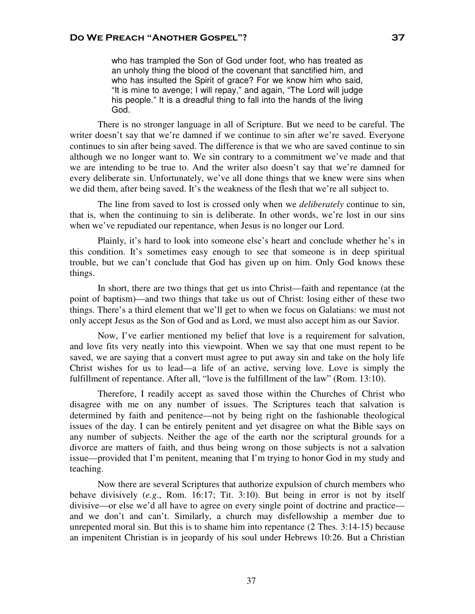who has trampled the Son of God under foot, who has treated as an unholy thing the blood of the covenant that sanctified him, and who has insulted the Spirit of grace? For we know him who said, "It is mine to avenge; I will repay," and again, "The Lord will judge his people." It is a dreadful thing to fall into the hands of the living God.

There is no stronger language in all of Scripture. But we need to be careful. The writer doesn't say that we're damned if we continue to sin after we're saved. Everyone continues to sin after being saved. The difference is that we who are saved continue to sin although we no longer want to. We sin contrary to a commitment we've made and that we are intending to be true to. And the writer also doesn't say that we're damned for every deliberate sin. Unfortunately, we've all done things that we knew were sins when we did them, after being saved. It's the weakness of the flesh that we're all subject to.

The line from saved to lost is crossed only when we *deliberately* continue to sin, that is, when the continuing to sin is deliberate. In other words, we're lost in our sins when we've repudiated our repentance, when Jesus is no longer our Lord.

Plainly, it's hard to look into someone else's heart and conclude whether he's in this condition. It's sometimes easy enough to see that someone is in deep spiritual trouble, but we can't conclude that God has given up on him. Only God knows these things.

In short, there are two things that get us into Christ—faith and repentance (at the point of baptism)—and two things that take us out of Christ: losing either of these two things. There's a third element that we'll get to when we focus on Galatians: we must not only accept Jesus as the Son of God and as Lord, we must also accept him as our Savior.

Now, I've earlier mentioned my belief that love is a requirement for salvation, and love fits very neatly into this viewpoint. When we say that one must repent to be saved, we are saying that a convert must agree to put away sin and take on the holy life Christ wishes for us to lead—a life of an active, serving love. Love is simply the fulfillment of repentance. After all, "love is the fulfillment of the law" (Rom. 13:10).

Therefore, I readily accept as saved those within the Churches of Christ who disagree with me on any number of issues. The Scriptures teach that salvation is determined by faith and penitence—not by being right on the fashionable theological issues of the day. I can be entirely penitent and yet disagree on what the Bible says on any number of subjects. Neither the age of the earth nor the scriptural grounds for a divorce are matters of faith, and thus being wrong on those subjects is not a salvation issue—provided that I'm penitent, meaning that I'm trying to honor God in my study and teaching.

Now there are several Scriptures that authorize expulsion of church members who behave divisively (*e.g*., Rom. 16:17; Tit. 3:10). But being in error is not by itself divisive—or else we'd all have to agree on every single point of doctrine and practice and we don't and can't. Similarly, a church may disfellowship a member due to unrepented moral sin. But this is to shame him into repentance (2 Thes. 3:14-15) because an impenitent Christian is in jeopardy of his soul under Hebrews 10:26. But a Christian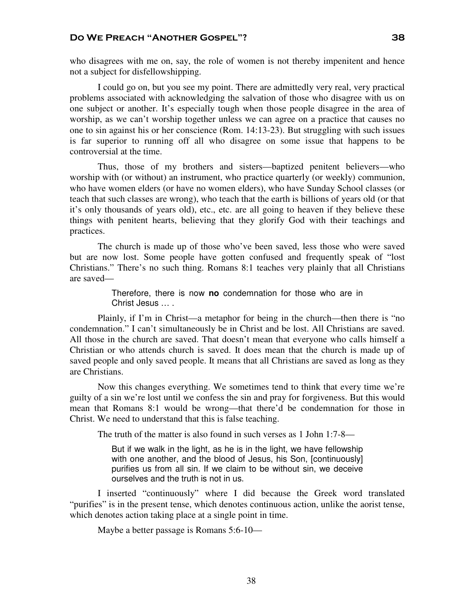who disagrees with me on, say, the role of women is not thereby impenitent and hence not a subject for disfellowshipping.

I could go on, but you see my point. There are admittedly very real, very practical problems associated with acknowledging the salvation of those who disagree with us on one subject or another. It's especially tough when those people disagree in the area of worship, as we can't worship together unless we can agree on a practice that causes no one to sin against his or her conscience (Rom. 14:13-23). But struggling with such issues is far superior to running off all who disagree on some issue that happens to be controversial at the time.

Thus, those of my brothers and sisters—baptized penitent believers—who worship with (or without) an instrument, who practice quarterly (or weekly) communion, who have women elders (or have no women elders), who have Sunday School classes (or teach that such classes are wrong), who teach that the earth is billions of years old (or that it's only thousands of years old), etc., etc. are all going to heaven if they believe these things with penitent hearts, believing that they glorify God with their teachings and practices.

The church is made up of those who've been saved, less those who were saved but are now lost. Some people have gotten confused and frequently speak of "lost Christians." There's no such thing. Romans 8:1 teaches very plainly that all Christians are saved—

> Therefore, there is now **no** condemnation for those who are in Christ Jesus … .

Plainly, if I'm in Christ—a metaphor for being in the church—then there is "no condemnation." I can't simultaneously be in Christ and be lost. All Christians are saved. All those in the church are saved. That doesn't mean that everyone who calls himself a Christian or who attends church is saved. It does mean that the church is made up of saved people and only saved people. It means that all Christians are saved as long as they are Christians.

Now this changes everything. We sometimes tend to think that every time we're guilty of a sin we're lost until we confess the sin and pray for forgiveness. But this would mean that Romans 8:1 would be wrong—that there'd be condemnation for those in Christ. We need to understand that this is false teaching.

The truth of the matter is also found in such verses as 1 John 1:7-8—

But if we walk in the light, as he is in the light, we have fellowship with one another, and the blood of Jesus, his Son, [continuously] purifies us from all sin. If we claim to be without sin, we deceive ourselves and the truth is not in us.

I inserted "continuously" where I did because the Greek word translated "purifies" is in the present tense, which denotes continuous action, unlike the aorist tense, which denotes action taking place at a single point in time.

Maybe a better passage is Romans 5:6-10—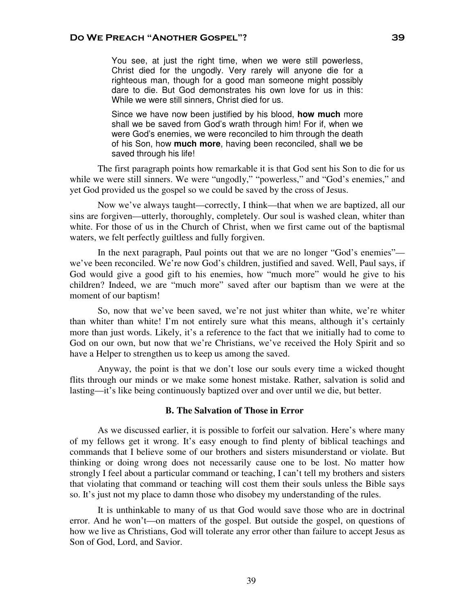You see, at just the right time, when we were still powerless, Christ died for the ungodly. Very rarely will anyone die for a righteous man, though for a good man someone might possibly dare to die. But God demonstrates his own love for us in this: While we were still sinners, Christ died for us.

Since we have now been justified by his blood, **how much** more shall we be saved from God's wrath through him! For if, when we were God's enemies, we were reconciled to him through the death of his Son, how **much more**, having been reconciled, shall we be saved through his life!

The first paragraph points how remarkable it is that God sent his Son to die for us while we were still sinners. We were "ungodly," "powerless," and "God's enemies," and yet God provided us the gospel so we could be saved by the cross of Jesus.

Now we've always taught—correctly, I think—that when we are baptized, all our sins are forgiven—utterly, thoroughly, completely. Our soul is washed clean, whiter than white. For those of us in the Church of Christ, when we first came out of the baptismal waters, we felt perfectly guiltless and fully forgiven.

In the next paragraph, Paul points out that we are no longer "God's enemies" we've been reconciled. We're now God's children, justified and saved. Well, Paul says, if God would give a good gift to his enemies, how "much more" would he give to his children? Indeed, we are "much more" saved after our baptism than we were at the moment of our baptism!

So, now that we've been saved, we're not just whiter than white, we're whiter than whiter than white! I'm not entirely sure what this means, although it's certainly more than just words. Likely, it's a reference to the fact that we initially had to come to God on our own, but now that we're Christians, we've received the Holy Spirit and so have a Helper to strengthen us to keep us among the saved.

Anyway, the point is that we don't lose our souls every time a wicked thought flits through our minds or we make some honest mistake. Rather, salvation is solid and lasting—it's like being continuously baptized over and over until we die, but better.

#### **B. The Salvation of Those in Error**

As we discussed earlier, it is possible to forfeit our salvation. Here's where many of my fellows get it wrong. It's easy enough to find plenty of biblical teachings and commands that I believe some of our brothers and sisters misunderstand or violate. But thinking or doing wrong does not necessarily cause one to be lost. No matter how strongly I feel about a particular command or teaching, I can't tell my brothers and sisters that violating that command or teaching will cost them their souls unless the Bible says so. It's just not my place to damn those who disobey my understanding of the rules.

It is unthinkable to many of us that God would save those who are in doctrinal error. And he won't—on matters of the gospel. But outside the gospel, on questions of how we live as Christians, God will tolerate any error other than failure to accept Jesus as Son of God, Lord, and Savior.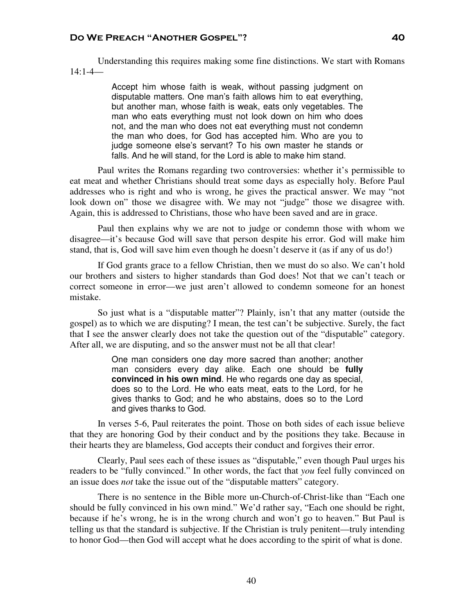Understanding this requires making some fine distinctions. We start with Romans 14:1-4—

> Accept him whose faith is weak, without passing judgment on disputable matters. One man's faith allows him to eat everything, but another man, whose faith is weak, eats only vegetables. The man who eats everything must not look down on him who does not, and the man who does not eat everything must not condemn the man who does, for God has accepted him. Who are you to judge someone else's servant? To his own master he stands or falls. And he will stand, for the Lord is able to make him stand.

Paul writes the Romans regarding two controversies: whether it's permissible to eat meat and whether Christians should treat some days as especially holy. Before Paul addresses who is right and who is wrong, he gives the practical answer. We may "not look down on" those we disagree with. We may not "judge" those we disagree with. Again, this is addressed to Christians, those who have been saved and are in grace.

Paul then explains why we are not to judge or condemn those with whom we disagree—it's because God will save that person despite his error. God will make him stand, that is, God will save him even though he doesn't deserve it (as if any of us do!)

If God grants grace to a fellow Christian, then we must do so also. We can't hold our brothers and sisters to higher standards than God does! Not that we can't teach or correct someone in error—we just aren't allowed to condemn someone for an honest mistake.

So just what is a "disputable matter"? Plainly, isn't that any matter (outside the gospel) as to which we are disputing? I mean, the test can't be subjective. Surely, the fact that I see the answer clearly does not take the question out of the "disputable" category. After all, we are disputing, and so the answer must not be all that clear!

> One man considers one day more sacred than another; another man considers every day alike. Each one should be **fully convinced in his own mind**. He who regards one day as special, does so to the Lord. He who eats meat, eats to the Lord, for he gives thanks to God; and he who abstains, does so to the Lord and gives thanks to God.

In verses 5-6, Paul reiterates the point. Those on both sides of each issue believe that they are honoring God by their conduct and by the positions they take. Because in their hearts they are blameless, God accepts their conduct and forgives their error.

Clearly, Paul sees each of these issues as "disputable," even though Paul urges his readers to be "fully convinced." In other words, the fact that *you* feel fully convinced on an issue does *not* take the issue out of the "disputable matters" category.

There is no sentence in the Bible more un-Church-of-Christ-like than "Each one should be fully convinced in his own mind." We'd rather say, "Each one should be right, because if he's wrong, he is in the wrong church and won't go to heaven." But Paul is telling us that the standard is subjective. If the Christian is truly penitent—truly intending to honor God—then God will accept what he does according to the spirit of what is done.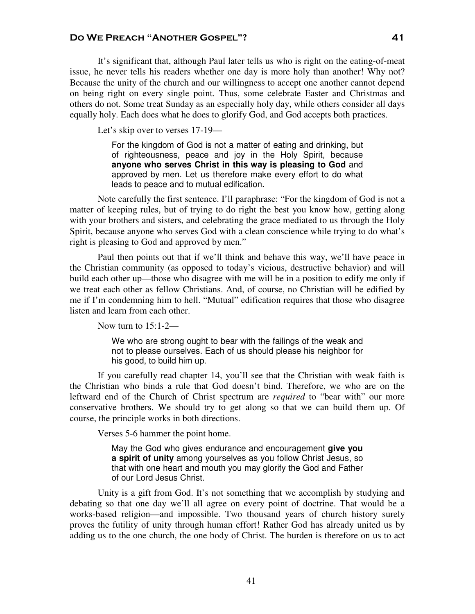It's significant that, although Paul later tells us who is right on the eating-of-meat issue, he never tells his readers whether one day is more holy than another! Why not? Because the unity of the church and our willingness to accept one another cannot depend on being right on every single point. Thus, some celebrate Easter and Christmas and others do not. Some treat Sunday as an especially holy day, while others consider all days equally holy. Each does what he does to glorify God, and God accepts both practices.

Let's skip over to verses 17-19—

For the kingdom of God is not a matter of eating and drinking, but of righteousness, peace and joy in the Holy Spirit, because **anyone who serves Christ in this way is pleasing to God** and approved by men. Let us therefore make every effort to do what leads to peace and to mutual edification.

Note carefully the first sentence. I'll paraphrase: "For the kingdom of God is not a matter of keeping rules, but of trying to do right the best you know how, getting along with your brothers and sisters, and celebrating the grace mediated to us through the Holy Spirit, because anyone who serves God with a clean conscience while trying to do what's right is pleasing to God and approved by men."

Paul then points out that if we'll think and behave this way, we'll have peace in the Christian community (as opposed to today's vicious, destructive behavior) and will build each other up—those who disagree with me will be in a position to edify me only if we treat each other as fellow Christians. And, of course, no Christian will be edified by me if I'm condemning him to hell. "Mutual" edification requires that those who disagree listen and learn from each other.

Now turn to 15:1-2—

We who are strong ought to bear with the failings of the weak and not to please ourselves. Each of us should please his neighbor for his good, to build him up.

If you carefully read chapter 14, you'll see that the Christian with weak faith is the Christian who binds a rule that God doesn't bind. Therefore, we who are on the leftward end of the Church of Christ spectrum are *required* to "bear with" our more conservative brothers. We should try to get along so that we can build them up. Of course, the principle works in both directions.

Verses 5-6 hammer the point home.

May the God who gives endurance and encouragement **give you a spirit of unity** among yourselves as you follow Christ Jesus, so that with one heart and mouth you may glorify the God and Father of our Lord Jesus Christ.

Unity is a gift from God. It's not something that we accomplish by studying and debating so that one day we'll all agree on every point of doctrine. That would be a works-based religion—and impossible. Two thousand years of church history surely proves the futility of unity through human effort! Rather God has already united us by adding us to the one church, the one body of Christ. The burden is therefore on us to act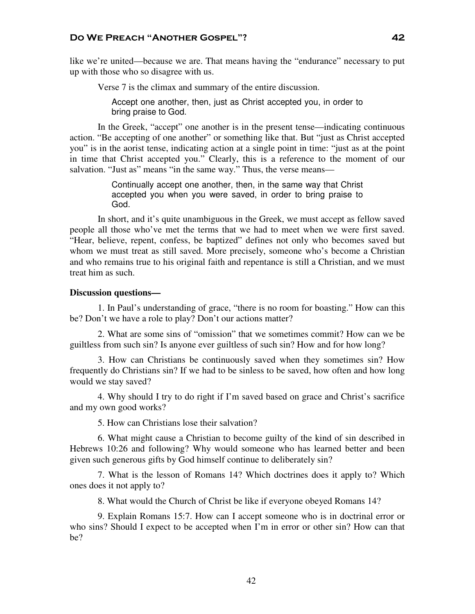like we're united—because we are. That means having the "endurance" necessary to put up with those who so disagree with us.

Verse 7 is the climax and summary of the entire discussion.

Accept one another, then, just as Christ accepted you, in order to bring praise to God.

In the Greek, "accept" one another is in the present tense—indicating continuous action. "Be accepting of one another" or something like that. But "just as Christ accepted you" is in the aorist tense, indicating action at a single point in time: "just as at the point in time that Christ accepted you." Clearly, this is a reference to the moment of our salvation. "Just as" means "in the same way." Thus, the verse means—

> Continually accept one another, then, in the same way that Christ accepted you when you were saved, in order to bring praise to God.

In short, and it's quite unambiguous in the Greek, we must accept as fellow saved people all those who've met the terms that we had to meet when we were first saved. "Hear, believe, repent, confess, be baptized" defines not only who becomes saved but whom we must treat as still saved. More precisely, someone who's become a Christian and who remains true to his original faith and repentance is still a Christian, and we must treat him as such.

#### **Discussion questions—**

1. In Paul's understanding of grace, "there is no room for boasting." How can this be? Don't we have a role to play? Don't our actions matter?

2. What are some sins of "omission" that we sometimes commit? How can we be guiltless from such sin? Is anyone ever guiltless of such sin? How and for how long?

3. How can Christians be continuously saved when they sometimes sin? How frequently do Christians sin? If we had to be sinless to be saved, how often and how long would we stay saved?

4. Why should I try to do right if I'm saved based on grace and Christ's sacrifice and my own good works?

5. How can Christians lose their salvation?

6. What might cause a Christian to become guilty of the kind of sin described in Hebrews 10:26 and following? Why would someone who has learned better and been given such generous gifts by God himself continue to deliberately sin?

7. What is the lesson of Romans 14? Which doctrines does it apply to? Which ones does it not apply to?

8. What would the Church of Christ be like if everyone obeyed Romans 14?

9. Explain Romans 15:7. How can I accept someone who is in doctrinal error or who sins? Should I expect to be accepted when I'm in error or other sin? How can that be?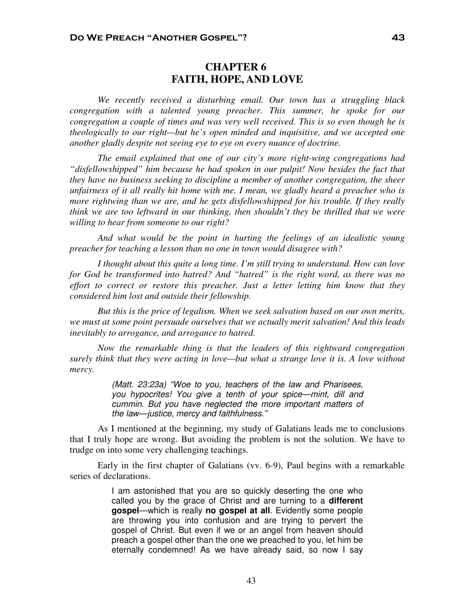# **CHAPTER 6 FAITH, HOPE, AND LOVE**

*We recently received a disturbing email. Our town has a struggling black congregation with a talented young preacher. This summer, he spoke for our congregation a couple of times and was very well received. This is so even though he is theologically to our right—but he's open minded and inquisitive, and we accepted one another gladly despite not seeing eye to eye on every nuance of doctrine.* 

*The email explained that one of our city's more right-wing congregations had "disfellowshipped" him because he had spoken in our pulpit! Now besides the fact that they have no business seeking to discipline a member of another congregation, the sheer unfairness of it all really hit home with me. I mean, we gladly heard a preacher who is more rightwing than we are, and he gets disfellowshipped for his trouble. If they really think we are too leftward in our thinking, then shouldn't they be thrilled that we were willing to hear from someone to our right?* 

*And what would be the point in hurting the feelings of an idealistic young preacher for teaching a lesson than no one in town would disagree with?* 

*I thought about this quite a long time. I'm still trying to understand. How can love for God be transformed into hatred? And "hatred" is the right word, as there was no*  effort to correct or restore this preacher. Just a letter letting him know that they *considered him lost and outside their fellowship.* 

*But this is the price of legalism. When we seek salvation based on our own merits, we must at some point persuade ourselves that we actually merit salvation! And this leads inevitably to arrogance, and arrogance to hatred.* 

*Now the remarkable thing is that the leaders of this rightward congregation surely think that they were acting in love—but what a strange love it is. A love without mercy.* 

> (Matt. 23:23a) "Woe to you, teachers of the law and Pharisees, you hypocrites! You give a tenth of your spice—mint, dill and cummin. But you have neglected the more important matters of the law—justice, mercy and faithfulness."

As I mentioned at the beginning, my study of Galatians leads me to conclusions that I truly hope are wrong. But avoiding the problem is not the solution. We have to trudge on into some very challenging teachings.

Early in the first chapter of Galatians (vv. 6-9), Paul begins with a remarkable series of declarations.

> I am astonished that you are so quickly deserting the one who called you by the grace of Christ and are turning to a **different gospel**—which is really **no gospel at all**. Evidently some people are throwing you into confusion and are trying to pervert the gospel of Christ. But even if we or an angel from heaven should preach a gospel other than the one we preached to you, let him be eternally condemned! As we have already said, so now I say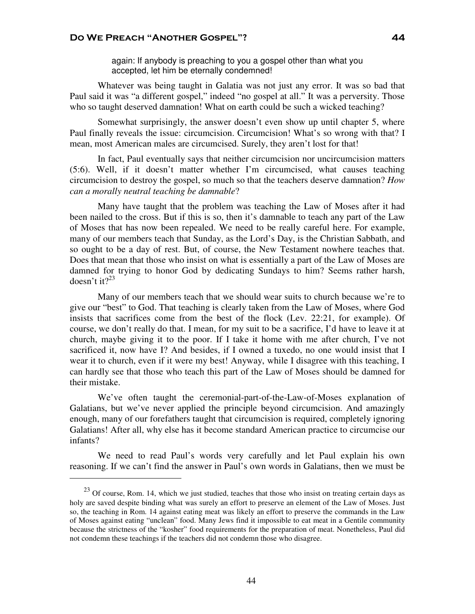again: If anybody is preaching to you a gospel other than what you accepted, let him be eternally condemned!

Whatever was being taught in Galatia was not just any error. It was so bad that Paul said it was "a different gospel," indeed "no gospel at all." It was a perversity. Those who so taught deserved damnation! What on earth could be such a wicked teaching?

Somewhat surprisingly, the answer doesn't even show up until chapter 5, where Paul finally reveals the issue: circumcision. Circumcision! What's so wrong with that? I mean, most American males are circumcised. Surely, they aren't lost for that!

In fact, Paul eventually says that neither circumcision nor uncircumcision matters (5:6). Well, if it doesn't matter whether I'm circumcised, what causes teaching circumcision to destroy the gospel, so much so that the teachers deserve damnation? *How can a morally neutral teaching be damnable*?

Many have taught that the problem was teaching the Law of Moses after it had been nailed to the cross. But if this is so, then it's damnable to teach any part of the Law of Moses that has now been repealed. We need to be really careful here. For example, many of our members teach that Sunday, as the Lord's Day, is the Christian Sabbath, and so ought to be a day of rest. But, of course, the New Testament nowhere teaches that. Does that mean that those who insist on what is essentially a part of the Law of Moses are damned for trying to honor God by dedicating Sundays to him? Seems rather harsh, doesn't it? $23$ 

Many of our members teach that we should wear suits to church because we're to give our "best" to God. That teaching is clearly taken from the Law of Moses, where God insists that sacrifices come from the best of the flock (Lev. 22:21, for example). Of course, we don't really do that. I mean, for my suit to be a sacrifice, I'd have to leave it at church, maybe giving it to the poor. If I take it home with me after church, I've not sacrificed it, now have I? And besides, if I owned a tuxedo, no one would insist that I wear it to church, even if it were my best! Anyway, while I disagree with this teaching, I can hardly see that those who teach this part of the Law of Moses should be damned for their mistake.

We've often taught the ceremonial-part-of-the-Law-of-Moses explanation of Galatians, but we've never applied the principle beyond circumcision. And amazingly enough, many of our forefathers taught that circumcision is required, completely ignoring Galatians! After all, why else has it become standard American practice to circumcise our infants?

We need to read Paul's words very carefully and let Paul explain his own reasoning. If we can't find the answer in Paul's own words in Galatians, then we must be

 $\overline{a}$ 

 $^{23}$  Of course, Rom. 14, which we just studied, teaches that those who insist on treating certain days as holy are saved despite binding what was surely an effort to preserve an element of the Law of Moses. Just so, the teaching in Rom. 14 against eating meat was likely an effort to preserve the commands in the Law of Moses against eating "unclean" food. Many Jews find it impossible to eat meat in a Gentile community because the strictness of the "kosher" food requirements for the preparation of meat. Nonetheless, Paul did not condemn these teachings if the teachers did not condemn those who disagree.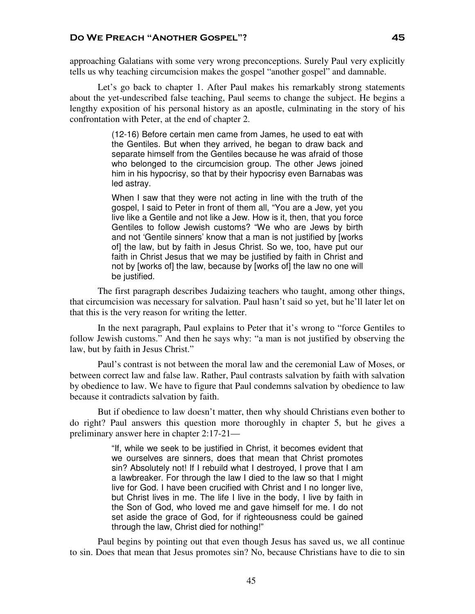approaching Galatians with some very wrong preconceptions. Surely Paul very explicitly tells us why teaching circumcision makes the gospel "another gospel" and damnable.

Let's go back to chapter 1. After Paul makes his remarkably strong statements about the yet-undescribed false teaching, Paul seems to change the subject. He begins a lengthy exposition of his personal history as an apostle, culminating in the story of his confrontation with Peter, at the end of chapter 2.

> (12-16) Before certain men came from James, he used to eat with the Gentiles. But when they arrived, he began to draw back and separate himself from the Gentiles because he was afraid of those who belonged to the circumcision group. The other Jews joined him in his hypocrisy, so that by their hypocrisy even Barnabas was led astray.

> When I saw that they were not acting in line with the truth of the gospel, I said to Peter in front of them all, "You are a Jew, yet you live like a Gentile and not like a Jew. How is it, then, that you force Gentiles to follow Jewish customs? "We who are Jews by birth and not 'Gentile sinners' know that a man is not justified by [works of] the law, but by faith in Jesus Christ. So we, too, have put our faith in Christ Jesus that we may be justified by faith in Christ and not by [works of] the law, because by [works of] the law no one will be justified.

The first paragraph describes Judaizing teachers who taught, among other things, that circumcision was necessary for salvation. Paul hasn't said so yet, but he'll later let on that this is the very reason for writing the letter.

In the next paragraph, Paul explains to Peter that it's wrong to "force Gentiles to follow Jewish customs." And then he says why: "a man is not justified by observing the law, but by faith in Jesus Christ."

Paul's contrast is not between the moral law and the ceremonial Law of Moses, or between correct law and false law. Rather, Paul contrasts salvation by faith with salvation by obedience to law. We have to figure that Paul condemns salvation by obedience to law because it contradicts salvation by faith.

But if obedience to law doesn't matter, then why should Christians even bother to do right? Paul answers this question more thoroughly in chapter 5, but he gives a preliminary answer here in chapter 2:17-21—

> "If, while we seek to be justified in Christ, it becomes evident that we ourselves are sinners, does that mean that Christ promotes sin? Absolutely not! If I rebuild what I destroyed, I prove that I am a lawbreaker. For through the law I died to the law so that I might live for God. I have been crucified with Christ and I no longer live, but Christ lives in me. The life I live in the body, I live by faith in the Son of God, who loved me and gave himself for me. I do not set aside the grace of God, for if righteousness could be gained through the law, Christ died for nothing!"

Paul begins by pointing out that even though Jesus has saved us, we all continue to sin. Does that mean that Jesus promotes sin? No, because Christians have to die to sin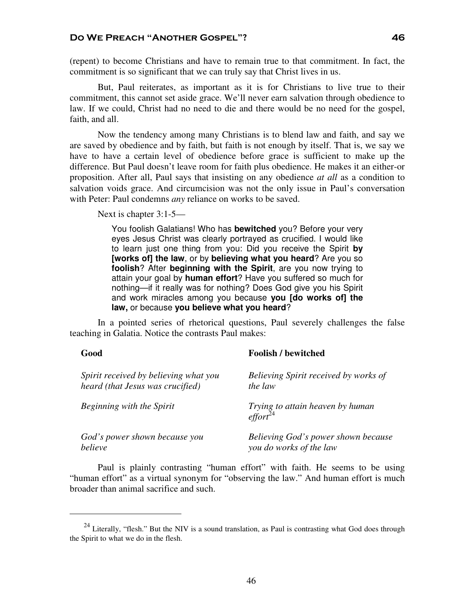(repent) to become Christians and have to remain true to that commitment. In fact, the commitment is so significant that we can truly say that Christ lives in us.

But, Paul reiterates, as important as it is for Christians to live true to their commitment, this cannot set aside grace. We'll never earn salvation through obedience to law. If we could, Christ had no need to die and there would be no need for the gospel, faith, and all.

Now the tendency among many Christians is to blend law and faith, and say we are saved by obedience and by faith, but faith is not enough by itself. That is, we say we have to have a certain level of obedience before grace is sufficient to make up the difference. But Paul doesn't leave room for faith plus obedience. He makes it an either-or proposition. After all, Paul says that insisting on any obedience *at all* as a condition to salvation voids grace. And circumcision was not the only issue in Paul's conversation with Peter: Paul condemns *any* reliance on works to be saved.

Next is chapter 3:1-5—

You foolish Galatians! Who has **bewitched** you? Before your very eyes Jesus Christ was clearly portrayed as crucified. I would like to learn just one thing from you: Did you receive the Spirit **by [works of] the law**, or by **believing what you heard**? Are you so **foolish**? After **beginning with the Spirit**, are you now trying to attain your goal by **human effort**? Have you suffered so much for nothing—if it really was for nothing? Does God give you his Spirit and work miracles among you because **you [do works of] the law,** or because **you believe what you heard**?

In a pointed series of rhetorical questions, Paul severely challenges the false teaching in Galatia. Notice the contrasts Paul makes:

 $\overline{a}$ 

#### **Good Foolish / bewitched**

| Spirit received by believing what you | Believing Spirit received by works of                    |
|---------------------------------------|----------------------------------------------------------|
| heard (that Jesus was crucified)      | the law                                                  |
| Beginning with the Spirit             | Trying to attain heaven by human<br>effort <sup>24</sup> |
| God's power shown because you         | Believing God's power shown because                      |
| <i>believe</i>                        | you do works of the law                                  |

Paul is plainly contrasting "human effort" with faith. He seems to be using "human effort" as a virtual synonym for "observing the law." And human effort is much broader than animal sacrifice and such.

 $24$  Literally, "flesh." But the NIV is a sound translation, as Paul is contrasting what God does through the Spirit to what we do in the flesh.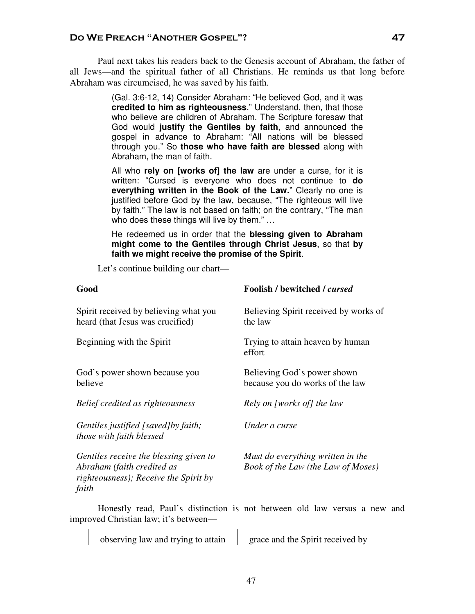Paul next takes his readers back to the Genesis account of Abraham, the father of all Jews—and the spiritual father of all Christians. He reminds us that long before Abraham was circumcised, he was saved by his faith.

> (Gal. 3:6-12, 14) Consider Abraham: "He believed God, and it was **credited to him as righteousness**." Understand, then, that those who believe are children of Abraham. The Scripture foresaw that God would **justify the Gentiles by faith**, and announced the gospel in advance to Abraham: "All nations will be blessed through you." So **those who have faith are blessed** along with Abraham, the man of faith.

> All who **rely on [works of] the law** are under a curse, for it is written: "Cursed is everyone who does not continue to **do everything written in the Book of the Law.**" Clearly no one is justified before God by the law, because, "The righteous will live by faith." The law is not based on faith; on the contrary, "The man who does these things will live by them." ...

> He redeemed us in order that the **blessing given to Abraham might come to the Gentiles through Christ Jesus**, so that **by faith we might receive the promise of the Spirit**.

Let's continue building our chart—

| Good                                                                                                                   | Foolish / bewitched / cursed                                            |
|------------------------------------------------------------------------------------------------------------------------|-------------------------------------------------------------------------|
| Spirit received by believing what you<br>heard (that Jesus was crucified)                                              | Believing Spirit received by works of<br>the law                        |
| Beginning with the Spirit                                                                                              | Trying to attain heaven by human<br>effort                              |
| God's power shown because you<br>believe                                                                               | Believing God's power shown<br>because you do works of the law          |
| Belief credited as righteousness                                                                                       | Rely on [works of] the law                                              |
| Gentiles justified [saved]by faith;<br>those with faith blessed                                                        | Under a curse                                                           |
| Gentiles receive the blessing given to<br>Abraham (faith credited as<br>righteousness); Receive the Spirit by<br>faith | Must do everything written in the<br>Book of the Law (the Law of Moses) |

Honestly read, Paul's distinction is not between old law versus a new and improved Christian law; it's between—

|  | observing law and trying to attain | grace and the Spirit received by |
|--|------------------------------------|----------------------------------|
|--|------------------------------------|----------------------------------|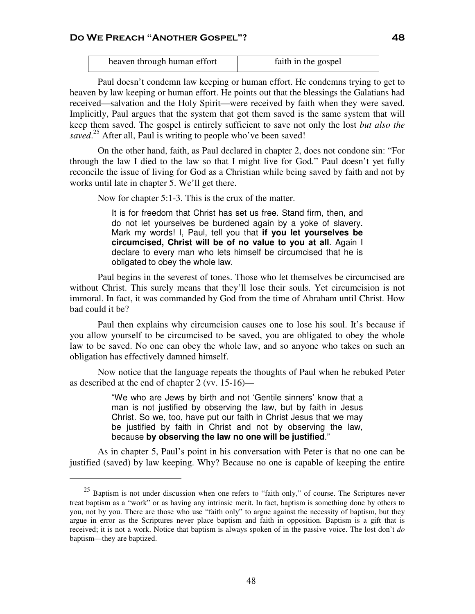| heaven through human effort | faith in the gospel |
|-----------------------------|---------------------|
|                             |                     |

Paul doesn't condemn law keeping or human effort. He condemns trying to get to heaven by law keeping or human effort. He points out that the blessings the Galatians had received—salvation and the Holy Spirit—were received by faith when they were saved. Implicitly, Paul argues that the system that got them saved is the same system that will keep them saved. The gospel is entirely sufficient to save not only the lost *but also the*  saved.<sup>25</sup> After all, Paul is writing to people who've been saved!

On the other hand, faith, as Paul declared in chapter 2, does not condone sin: "For through the law I died to the law so that I might live for God." Paul doesn't yet fully reconcile the issue of living for God as a Christian while being saved by faith and not by works until late in chapter 5. We'll get there.

Now for chapter 5:1-3. This is the crux of the matter.

It is for freedom that Christ has set us free. Stand firm, then, and do not let yourselves be burdened again by a yoke of slavery. Mark my words! I, Paul, tell you that **if you let yourselves be circumcised, Christ will be of no value to you at all**. Again I declare to every man who lets himself be circumcised that he is obligated to obey the whole law.

Paul begins in the severest of tones. Those who let themselves be circumcised are without Christ. This surely means that they'll lose their souls. Yet circumcision is not immoral. In fact, it was commanded by God from the time of Abraham until Christ. How bad could it be?

Paul then explains why circumcision causes one to lose his soul. It's because if you allow yourself to be circumcised to be saved, you are obligated to obey the whole law to be saved. No one can obey the whole law, and so anyone who takes on such an obligation has effectively damned himself.

Now notice that the language repeats the thoughts of Paul when he rebuked Peter as described at the end of chapter 2 (vv. 15-16)—

> "We who are Jews by birth and not 'Gentile sinners' know that a man is not justified by observing the law, but by faith in Jesus Christ. So we, too, have put our faith in Christ Jesus that we may be justified by faith in Christ and not by observing the law, because **by observing the law no one will be justified**."

As in chapter 5, Paul's point in his conversation with Peter is that no one can be justified (saved) by law keeping. Why? Because no one is capable of keeping the entire

 $\overline{a}$ 

 $25$  Baptism is not under discussion when one refers to "faith only," of course. The Scriptures never treat baptism as a "work" or as having any intrinsic merit. In fact, baptism is something done by others to you, not by you. There are those who use "faith only" to argue against the necessity of baptism, but they argue in error as the Scriptures never place baptism and faith in opposition. Baptism is a gift that is received; it is not a work. Notice that baptism is always spoken of in the passive voice. The lost don't *do* baptism—they are baptized.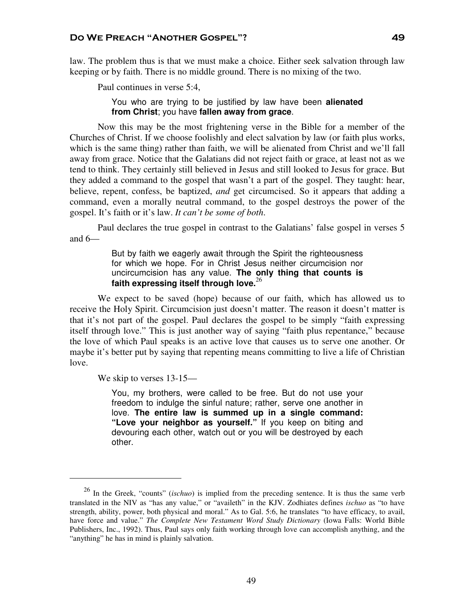law. The problem thus is that we must make a choice. Either seek salvation through law keeping or by faith. There is no middle ground. There is no mixing of the two.

Paul continues in verse 5:4,

#### You who are trying to be justified by law have been **alienated from Christ**; you have **fallen away from grace**.

Now this may be the most frightening verse in the Bible for a member of the Churches of Christ. If we choose foolishly and elect salvation by law (or faith plus works, which is the same thing) rather than faith, we will be alienated from Christ and we'll fall away from grace. Notice that the Galatians did not reject faith or grace, at least not as we tend to think. They certainly still believed in Jesus and still looked to Jesus for grace. But they added a command to the gospel that wasn't a part of the gospel. They taught: hear, believe, repent, confess, be baptized, *and* get circumcised. So it appears that adding a command, even a morally neutral command, to the gospel destroys the power of the gospel. It's faith or it's law. *It can't be some of both*.

Paul declares the true gospel in contrast to the Galatians' false gospel in verses 5 and 6—

> But by faith we eagerly await through the Spirit the righteousness for which we hope. For in Christ Jesus neither circumcision nor uncircumcision has any value. **The only thing that counts is faith expressing itself through love.**<sup>26</sup>

We expect to be saved (hope) because of our faith, which has allowed us to receive the Holy Spirit. Circumcision just doesn't matter. The reason it doesn't matter is that it's not part of the gospel. Paul declares the gospel to be simply "faith expressing itself through love." This is just another way of saying "faith plus repentance," because the love of which Paul speaks is an active love that causes us to serve one another. Or maybe it's better put by saying that repenting means committing to live a life of Christian love.

We skip to verses 13-15—

 $\overline{a}$ 

You, my brothers, were called to be free. But do not use your freedom to indulge the sinful nature; rather, serve one another in love. **The entire law is summed up in a single command: "Love your neighbor as yourself."** If you keep on biting and devouring each other, watch out or you will be destroyed by each other.

<sup>26</sup> In the Greek, "counts" (*ischuo*) is implied from the preceding sentence. It is thus the same verb translated in the NIV as "has any value," or "availeth" in the KJV. Zodhiates defines *ischuo* as "to have strength, ability, power, both physical and moral." As to Gal. 5:6, he translates "to have efficacy, to avail, have force and value." *The Complete New Testament Word Study Dictionary* (Iowa Falls: World Bible Publishers, Inc., 1992). Thus, Paul says only faith working through love can accomplish anything, and the "anything" he has in mind is plainly salvation.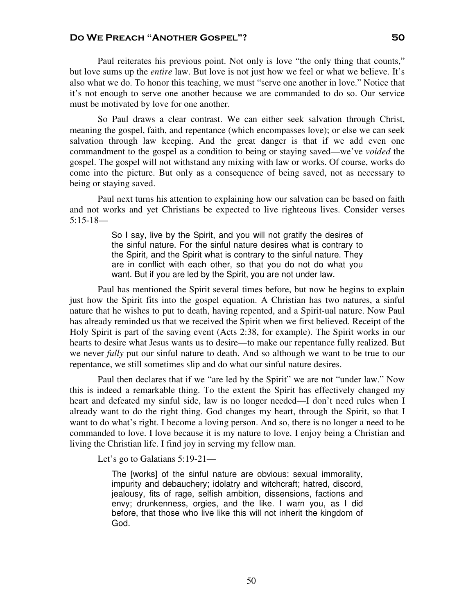Paul reiterates his previous point. Not only is love "the only thing that counts," but love sums up the *entire* law. But love is not just how we feel or what we believe. It's also what we do. To honor this teaching, we must "serve one another in love." Notice that it's not enough to serve one another because we are commanded to do so. Our service must be motivated by love for one another.

So Paul draws a clear contrast. We can either seek salvation through Christ, meaning the gospel, faith, and repentance (which encompasses love); or else we can seek salvation through law keeping. And the great danger is that if we add even one commandment to the gospel as a condition to being or staying saved—we've *voided* the gospel. The gospel will not withstand any mixing with law or works. Of course, works do come into the picture. But only as a consequence of being saved, not as necessary to being or staying saved.

Paul next turns his attention to explaining how our salvation can be based on faith and not works and yet Christians be expected to live righteous lives. Consider verses 5:15-18—

> So I say, live by the Spirit, and you will not gratify the desires of the sinful nature. For the sinful nature desires what is contrary to the Spirit, and the Spirit what is contrary to the sinful nature. They are in conflict with each other, so that you do not do what you want. But if you are led by the Spirit, you are not under law.

Paul has mentioned the Spirit several times before, but now he begins to explain just how the Spirit fits into the gospel equation. A Christian has two natures, a sinful nature that he wishes to put to death, having repented, and a Spirit-ual nature. Now Paul has already reminded us that we received the Spirit when we first believed. Receipt of the Holy Spirit is part of the saving event (Acts 2:38, for example). The Spirit works in our hearts to desire what Jesus wants us to desire—to make our repentance fully realized. But we never *fully* put our sinful nature to death. And so although we want to be true to our repentance, we still sometimes slip and do what our sinful nature desires.

Paul then declares that if we "are led by the Spirit" we are not "under law." Now this is indeed a remarkable thing. To the extent the Spirit has effectively changed my heart and defeated my sinful side, law is no longer needed—I don't need rules when I already want to do the right thing. God changes my heart, through the Spirit, so that I want to do what's right. I become a loving person. And so, there is no longer a need to be commanded to love. I love because it is my nature to love. I enjoy being a Christian and living the Christian life. I find joy in serving my fellow man.

Let's go to Galatians 5:19-21—

The [works] of the sinful nature are obvious: sexual immorality, impurity and debauchery; idolatry and witchcraft; hatred, discord, jealousy, fits of rage, selfish ambition, dissensions, factions and envy; drunkenness, orgies, and the like. I warn you, as I did before, that those who live like this will not inherit the kingdom of God.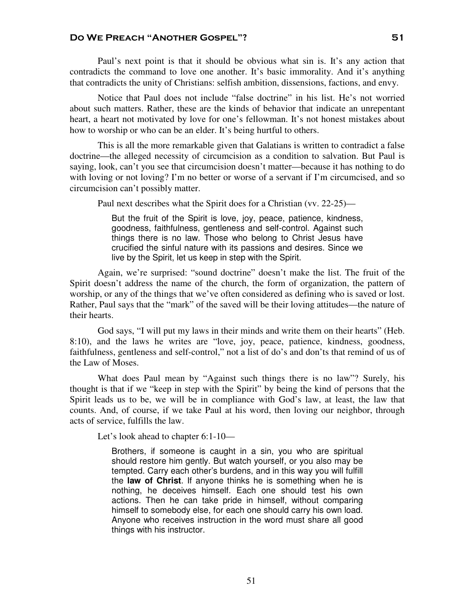Paul's next point is that it should be obvious what sin is. It's any action that contradicts the command to love one another. It's basic immorality. And it's anything that contradicts the unity of Christians: selfish ambition, dissensions, factions, and envy.

Notice that Paul does not include "false doctrine" in his list. He's not worried about such matters. Rather, these are the kinds of behavior that indicate an unrepentant heart, a heart not motivated by love for one's fellowman. It's not honest mistakes about how to worship or who can be an elder. It's being hurtful to others.

This is all the more remarkable given that Galatians is written to contradict a false doctrine—the alleged necessity of circumcision as a condition to salvation. But Paul is saying, look, can't you see that circumcision doesn't matter—because it has nothing to do with loving or not loving? I'm no better or worse of a servant if I'm circumcised, and so circumcision can't possibly matter.

Paul next describes what the Spirit does for a Christian (vv. 22-25)—

But the fruit of the Spirit is love, joy, peace, patience, kindness, goodness, faithfulness, gentleness and self-control. Against such things there is no law. Those who belong to Christ Jesus have crucified the sinful nature with its passions and desires. Since we live by the Spirit, let us keep in step with the Spirit.

Again, we're surprised: "sound doctrine" doesn't make the list. The fruit of the Spirit doesn't address the name of the church, the form of organization, the pattern of worship, or any of the things that we've often considered as defining who is saved or lost. Rather, Paul says that the "mark" of the saved will be their loving attitudes—the nature of their hearts.

God says, "I will put my laws in their minds and write them on their hearts" (Heb. 8:10), and the laws he writes are "love, joy, peace, patience, kindness, goodness, faithfulness, gentleness and self-control," not a list of do's and don'ts that remind of us of the Law of Moses.

What does Paul mean by "Against such things there is no law"? Surely, his thought is that if we "keep in step with the Spirit" by being the kind of persons that the Spirit leads us to be, we will be in compliance with God's law, at least, the law that counts. And, of course, if we take Paul at his word, then loving our neighbor, through acts of service, fulfills the law.

Let's look ahead to chapter 6:1-10—

Brothers, if someone is caught in a sin, you who are spiritual should restore him gently. But watch yourself, or you also may be tempted. Carry each other's burdens, and in this way you will fulfill the **law of Christ**. If anyone thinks he is something when he is nothing, he deceives himself. Each one should test his own actions. Then he can take pride in himself, without comparing himself to somebody else, for each one should carry his own load. Anyone who receives instruction in the word must share all good things with his instructor.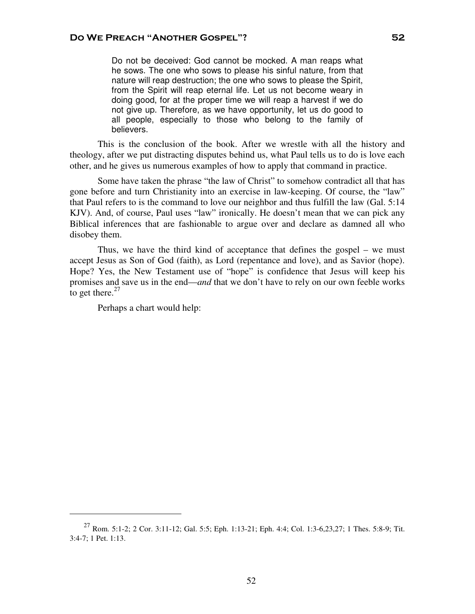Do not be deceived: God cannot be mocked. A man reaps what he sows. The one who sows to please his sinful nature, from that nature will reap destruction; the one who sows to please the Spirit, from the Spirit will reap eternal life. Let us not become weary in doing good, for at the proper time we will reap a harvest if we do not give up. Therefore, as we have opportunity, let us do good to all people, especially to those who belong to the family of believers.

This is the conclusion of the book. After we wrestle with all the history and theology, after we put distracting disputes behind us, what Paul tells us to do is love each other, and he gives us numerous examples of how to apply that command in practice.

Some have taken the phrase "the law of Christ" to somehow contradict all that has gone before and turn Christianity into an exercise in law-keeping. Of course, the "law" that Paul refers to is the command to love our neighbor and thus fulfill the law (Gal. 5:14 KJV). And, of course, Paul uses "law" ironically. He doesn't mean that we can pick any Biblical inferences that are fashionable to argue over and declare as damned all who disobey them.

Thus, we have the third kind of acceptance that defines the gospel – we must accept Jesus as Son of God (faith), as Lord (repentance and love), and as Savior (hope). Hope? Yes, the New Testament use of "hope" is confidence that Jesus will keep his promises and save us in the end—*and* that we don't have to rely on our own feeble works to get there. $27$ 

Perhaps a chart would help:

 $\overline{a}$ 

<sup>27</sup> Rom. 5:1-2; 2 Cor. 3:11-12; Gal. 5:5; Eph. 1:13-21; Eph. 4:4; Col. 1:3-6,23,27; 1 Thes. 5:8-9; Tit. 3:4-7; 1 Pet. 1:13.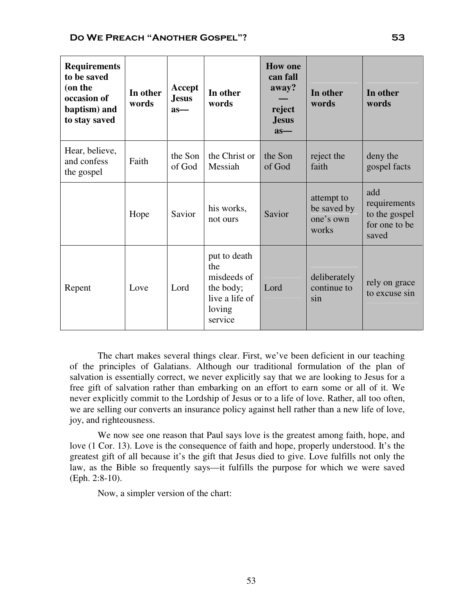| <b>Requirements</b><br>to be saved<br>(on the<br>occasion of<br>baptism) and<br>to stay saved | In other<br>words | Accept<br><b>Jesus</b><br>$as-$ | In other<br>words                                                                      | <b>How one</b><br>can fall<br>away?<br>reject<br><b>Jesus</b><br>$as-$ | In other<br>words                               | In other<br>words                                              |
|-----------------------------------------------------------------------------------------------|-------------------|---------------------------------|----------------------------------------------------------------------------------------|------------------------------------------------------------------------|-------------------------------------------------|----------------------------------------------------------------|
| Hear, believe,<br>and confess<br>the gospel                                                   | Faith             | the Son<br>of God               | the Christ or<br>Messiah                                                               | the Son<br>of God                                                      | reject the<br>faith                             | deny the<br>gospel facts                                       |
|                                                                                               | Hope              | Savior                          | his works,<br>not ours                                                                 | Savior                                                                 | attempt to<br>be saved by<br>one's own<br>works | add<br>requirements<br>to the gospel<br>for one to be<br>saved |
| Repent                                                                                        | Love              | Lord                            | put to death<br>the<br>misdeeds of<br>the body;<br>live a life of<br>loving<br>service | Lord                                                                   | deliberately<br>continue to<br>sin              | rely on grace<br>to excuse sin                                 |

The chart makes several things clear. First, we've been deficient in our teaching of the principles of Galatians. Although our traditional formulation of the plan of salvation is essentially correct, we never explicitly say that we are looking to Jesus for a free gift of salvation rather than embarking on an effort to earn some or all of it. We never explicitly commit to the Lordship of Jesus or to a life of love. Rather, all too often, we are selling our converts an insurance policy against hell rather than a new life of love, joy, and righteousness.

We now see one reason that Paul says love is the greatest among faith, hope, and love (1 Cor. 13). Love is the consequence of faith and hope, properly understood. It's the greatest gift of all because it's the gift that Jesus died to give. Love fulfills not only the law, as the Bible so frequently says—it fulfills the purpose for which we were saved (Eph. 2:8-10).

Now, a simpler version of the chart: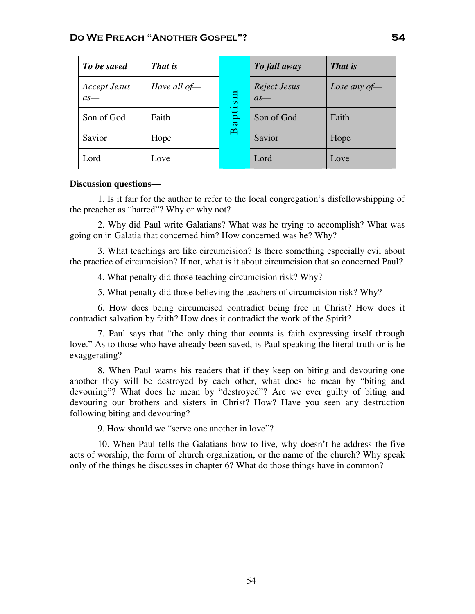| To be saved                  | That is         |                   | To fall away                 | That is      |
|------------------------------|-----------------|-------------------|------------------------------|--------------|
| <b>Accept Jesus</b><br>$as-$ | Have all $of$ — | $\mathbf{m}$      | <b>Reject Jesus</b><br>$as-$ | Lose any of- |
| Son of God                   | Faith           | apti              | Son of God                   | Faith        |
| Savior                       | Hope            | $\mathbf{\Omega}$ | Savior                       | Hope         |
| Lord                         | Love            |                   | Lord                         | Love         |

#### **Discussion questions—**

1. Is it fair for the author to refer to the local congregation's disfellowshipping of the preacher as "hatred"? Why or why not?

2. Why did Paul write Galatians? What was he trying to accomplish? What was going on in Galatia that concerned him? How concerned was he? Why?

3. What teachings are like circumcision? Is there something especially evil about the practice of circumcision? If not, what is it about circumcision that so concerned Paul?

4. What penalty did those teaching circumcision risk? Why?

5. What penalty did those believing the teachers of circumcision risk? Why?

6. How does being circumcised contradict being free in Christ? How does it contradict salvation by faith? How does it contradict the work of the Spirit?

7. Paul says that "the only thing that counts is faith expressing itself through love." As to those who have already been saved, is Paul speaking the literal truth or is he exaggerating?

8. When Paul warns his readers that if they keep on biting and devouring one another they will be destroyed by each other, what does he mean by "biting and devouring"? What does he mean by "destroyed"? Are we ever guilty of biting and devouring our brothers and sisters in Christ? How? Have you seen any destruction following biting and devouring?

9. How should we "serve one another in love"?

10. When Paul tells the Galatians how to live, why doesn't he address the five acts of worship, the form of church organization, or the name of the church? Why speak only of the things he discusses in chapter 6? What do those things have in common?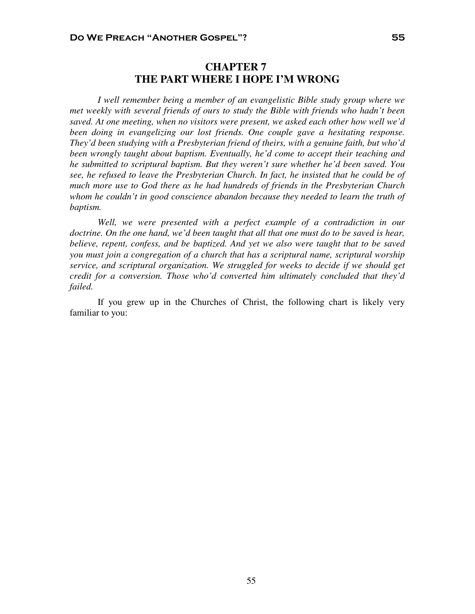# **CHAPTER 7 THE PART WHERE I HOPE I'M WRONG**

*I well remember being a member of an evangelistic Bible study group where we met weekly with several friends of ours to study the Bible with friends who hadn't been saved. At one meeting, when no visitors were present, we asked each other how well we'd been doing in evangelizing our lost friends. One couple gave a hesitating response. They'd been studying with a Presbyterian friend of theirs, with a genuine faith, but who'd been wrongly taught about baptism. Eventually, he'd come to accept their teaching and he submitted to scriptural baptism. But they weren't sure whether he'd been saved. You see, he refused to leave the Presbyterian Church. In fact, he insisted that he could be of much more use to God there as he had hundreds of friends in the Presbyterian Church whom he couldn't in good conscience abandon because they needed to learn the truth of baptism.* 

*Well, we were presented with a perfect example of a contradiction in our doctrine. On the one hand, we'd been taught that all that one must do to be saved is hear, believe, repent, confess, and be baptized. And yet we also were taught that to be saved you must join a congregation of a church that has a scriptural name, scriptural worship service, and scriptural organization. We struggled for weeks to decide if we should get credit for a conversion. Those who'd converted him ultimately concluded that they'd failed.* 

If you grew up in the Churches of Christ, the following chart is likely very familiar to you: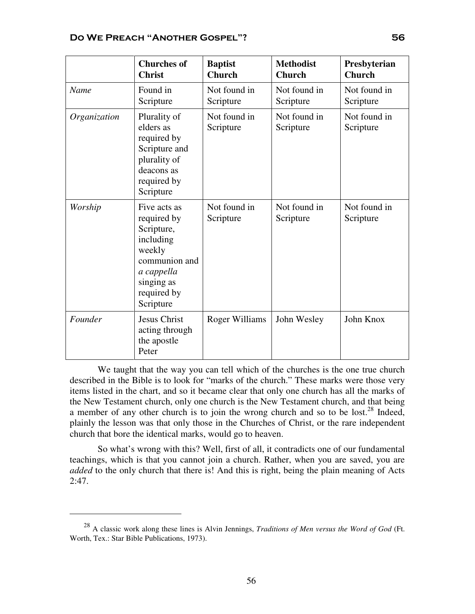|              | <b>Churches of</b><br><b>Christ</b>                                                                                                       | <b>Baptist</b><br><b>Church</b> | <b>Methodist</b><br><b>Church</b> | Presbyterian<br><b>Church</b> |
|--------------|-------------------------------------------------------------------------------------------------------------------------------------------|---------------------------------|-----------------------------------|-------------------------------|
| Name         | Found in<br>Scripture                                                                                                                     | Not found in<br>Scripture       | Not found in<br>Scripture         | Not found in<br>Scripture     |
| Organization | Plurality of<br>elders as<br>required by<br>Scripture and<br>plurality of<br>deacons as<br>required by<br>Scripture                       | Not found in<br>Scripture       | Not found in<br>Scripture         | Not found in<br>Scripture     |
| Worship      | Five acts as<br>required by<br>Scripture,<br>including<br>weekly<br>communion and<br>a cappella<br>singing as<br>required by<br>Scripture | Not found in<br>Scripture       | Not found in<br>Scripture         | Not found in<br>Scripture     |
| Founder      | <b>Jesus Christ</b><br>acting through<br>the apostle<br>Peter                                                                             | <b>Roger Williams</b>           | John Wesley                       | John Knox                     |

We taught that the way you can tell which of the churches is the one true church described in the Bible is to look for "marks of the church." These marks were those very items listed in the chart, and so it became clear that only one church has all the marks of the New Testament church, only one church is the New Testament church, and that being a member of any other church is to join the wrong church and so to be lost.<sup>28</sup> Indeed, plainly the lesson was that only those in the Churches of Christ, or the rare independent church that bore the identical marks, would go to heaven.

So what's wrong with this? Well, first of all, it contradicts one of our fundamental teachings, which is that you cannot join a church. Rather, when you are saved, you are *added* to the only church that there is! And this is right, being the plain meaning of Acts  $2:47.$ 

 $\overline{a}$ 

<sup>28</sup> A classic work along these lines is Alvin Jennings, *Traditions of Men versus the Word of God* (Ft. Worth, Tex.: Star Bible Publications, 1973).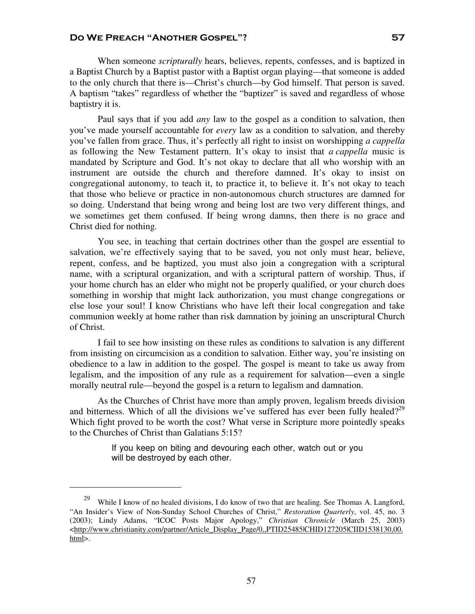When someone *scripturally* hears, believes, repents, confesses, and is baptized in a Baptist Church by a Baptist pastor with a Baptist organ playing—that someone is added to the only church that there is—Christ's church—by God himself. That person is saved. A baptism "takes" regardless of whether the "baptizer" is saved and regardless of whose baptistry it is.

Paul says that if you add *any* law to the gospel as a condition to salvation, then you've made yourself accountable for *every* law as a condition to salvation, and thereby you've fallen from grace. Thus, it's perfectly all right to insist on worshipping *a cappella* as following the New Testament pattern. It's okay to insist that *a cappella* music is mandated by Scripture and God. It's not okay to declare that all who worship with an instrument are outside the church and therefore damned. It's okay to insist on congregational autonomy, to teach it, to practice it, to believe it. It's not okay to teach that those who believe or practice in non-autonomous church structures are damned for so doing. Understand that being wrong and being lost are two very different things, and we sometimes get them confused. If being wrong damns, then there is no grace and Christ died for nothing.

You see, in teaching that certain doctrines other than the gospel are essential to salvation, we're effectively saying that to be saved, you not only must hear, believe, repent, confess, and be baptized, you must also join a congregation with a scriptural name, with a scriptural organization, and with a scriptural pattern of worship. Thus, if your home church has an elder who might not be properly qualified, or your church does something in worship that might lack authorization, you must change congregations or else lose your soul! I know Christians who have left their local congregation and take communion weekly at home rather than risk damnation by joining an unscriptural Church of Christ.

I fail to see how insisting on these rules as conditions to salvation is any different from insisting on circumcision as a condition to salvation. Either way, you're insisting on obedience to a law in addition to the gospel. The gospel is meant to take us away from legalism, and the imposition of any rule as a requirement for salvation—even a single morally neutral rule—beyond the gospel is a return to legalism and damnation.

As the Churches of Christ have more than amply proven, legalism breeds division and bitterness. Which of all the divisions we've suffered has ever been fully healed?<sup>29</sup> Which fight proved to be worth the cost? What verse in Scripture more pointedly speaks to the Churches of Christ than Galatians 5:15?

> If you keep on biting and devouring each other, watch out or you will be destroyed by each other.

 $\overline{a}$ 

<sup>&</sup>lt;sup>29</sup> While I know of no healed divisions, I do know of two that are healing. See Thomas A. Langford, "An Insider's View of Non-Sunday School Churches of Christ," *Restoration Quarterly*, vol. 45, no. 3 (2003); Lindy Adams, "ICOC Posts Major Apology," *Christian Chronicle* (March 25, 2003)  $\langle$ http://www.christianity.com/partner/Article\_Display\_Page/0,,PTID25485|CHID127205|CIID1538130,00. html>.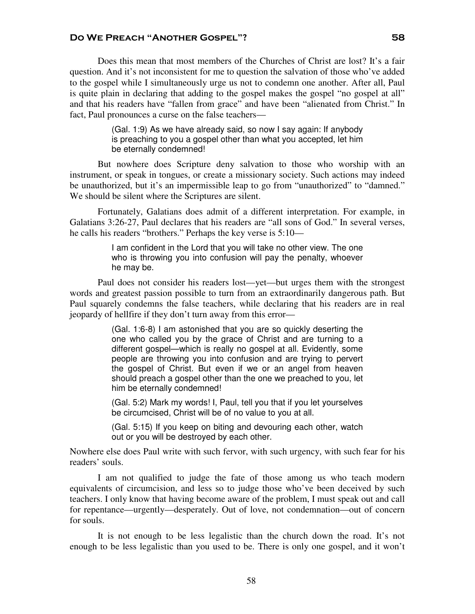Does this mean that most members of the Churches of Christ are lost? It's a fair question. And it's not inconsistent for me to question the salvation of those who've added to the gospel while I simultaneously urge us not to condemn one another. After all, Paul is quite plain in declaring that adding to the gospel makes the gospel "no gospel at all" and that his readers have "fallen from grace" and have been "alienated from Christ." In fact, Paul pronounces a curse on the false teachers—

> (Gal. 1:9) As we have already said, so now I say again: If anybody is preaching to you a gospel other than what you accepted, let him be eternally condemned!

But nowhere does Scripture deny salvation to those who worship with an instrument, or speak in tongues, or create a missionary society. Such actions may indeed be unauthorized, but it's an impermissible leap to go from "unauthorized" to "damned." We should be silent where the Scriptures are silent.

Fortunately, Galatians does admit of a different interpretation. For example, in Galatians 3:26-27, Paul declares that his readers are "all sons of God." In several verses, he calls his readers "brothers." Perhaps the key verse is 5:10—

> I am confident in the Lord that you will take no other view. The one who is throwing you into confusion will pay the penalty, whoever he may be.

Paul does not consider his readers lost—yet—but urges them with the strongest words and greatest passion possible to turn from an extraordinarily dangerous path. But Paul squarely condemns the false teachers, while declaring that his readers are in real jeopardy of hellfire if they don't turn away from this error—

> (Gal. 1:6-8) I am astonished that you are so quickly deserting the one who called you by the grace of Christ and are turning to a different gospel—which is really no gospel at all. Evidently, some people are throwing you into confusion and are trying to pervert the gospel of Christ. But even if we or an angel from heaven should preach a gospel other than the one we preached to you, let him be eternally condemned!

> (Gal. 5:2) Mark my words! I, Paul, tell you that if you let yourselves be circumcised, Christ will be of no value to you at all.

> (Gal. 5:15) If you keep on biting and devouring each other, watch out or you will be destroyed by each other.

Nowhere else does Paul write with such fervor, with such urgency, with such fear for his readers' souls.

I am not qualified to judge the fate of those among us who teach modern equivalents of circumcision, and less so to judge those who've been deceived by such teachers. I only know that having become aware of the problem, I must speak out and call for repentance—urgently—desperately. Out of love, not condemnation—out of concern for souls.

It is not enough to be less legalistic than the church down the road. It's not enough to be less legalistic than you used to be. There is only one gospel, and it won't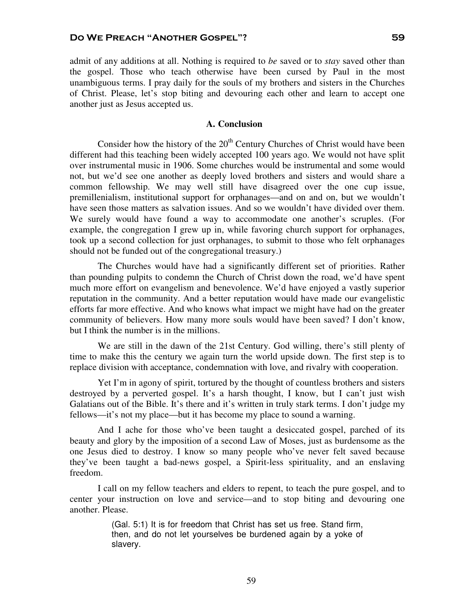admit of any additions at all. Nothing is required to *be* saved or to *stay* saved other than the gospel. Those who teach otherwise have been cursed by Paul in the most unambiguous terms. I pray daily for the souls of my brothers and sisters in the Churches of Christ. Please, let's stop biting and devouring each other and learn to accept one another just as Jesus accepted us.

#### **A. Conclusion**

Consider how the history of the  $20<sup>th</sup>$  Century Churches of Christ would have been different had this teaching been widely accepted 100 years ago. We would not have split over instrumental music in 1906. Some churches would be instrumental and some would not, but we'd see one another as deeply loved brothers and sisters and would share a common fellowship. We may well still have disagreed over the one cup issue, premillenialism, institutional support for orphanages—and on and on, but we wouldn't have seen those matters as salvation issues. And so we wouldn't have divided over them. We surely would have found a way to accommodate one another's scruples. (For example, the congregation I grew up in, while favoring church support for orphanages, took up a second collection for just orphanages, to submit to those who felt orphanages should not be funded out of the congregational treasury.)

The Churches would have had a significantly different set of priorities. Rather than pounding pulpits to condemn the Church of Christ down the road, we'd have spent much more effort on evangelism and benevolence. We'd have enjoyed a vastly superior reputation in the community. And a better reputation would have made our evangelistic efforts far more effective. And who knows what impact we might have had on the greater community of believers. How many more souls would have been saved? I don't know, but I think the number is in the millions.

We are still in the dawn of the 21st Century. God willing, there's still plenty of time to make this the century we again turn the world upside down. The first step is to replace division with acceptance, condemnation with love, and rivalry with cooperation.

Yet I'm in agony of spirit, tortured by the thought of countless brothers and sisters destroyed by a perverted gospel. It's a harsh thought, I know, but I can't just wish Galatians out of the Bible. It's there and it's written in truly stark terms. I don't judge my fellows—it's not my place—but it has become my place to sound a warning.

And I ache for those who've been taught a desiccated gospel, parched of its beauty and glory by the imposition of a second Law of Moses, just as burdensome as the one Jesus died to destroy. I know so many people who've never felt saved because they've been taught a bad-news gospel, a Spirit-less spirituality, and an enslaving freedom.

I call on my fellow teachers and elders to repent, to teach the pure gospel, and to center your instruction on love and service—and to stop biting and devouring one another. Please.

> (Gal. 5:1) It is for freedom that Christ has set us free. Stand firm, then, and do not let yourselves be burdened again by a yoke of slavery.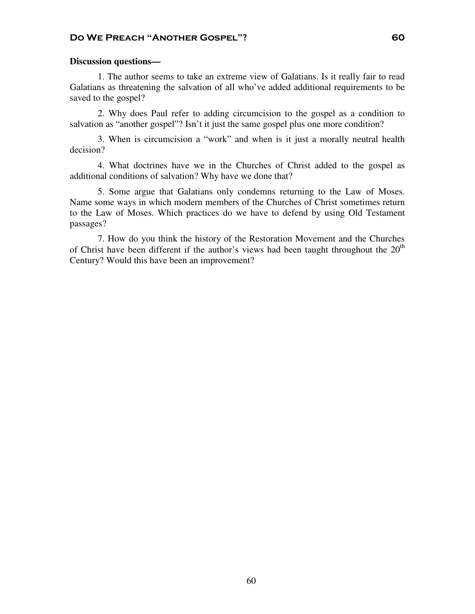#### **Discussion questions—**

1. The author seems to take an extreme view of Galatians. Is it really fair to read Galatians as threatening the salvation of all who've added additional requirements to be saved to the gospel?

2. Why does Paul refer to adding circumcision to the gospel as a condition to salvation as "another gospel"? Isn't it just the same gospel plus one more condition?

3. When is circumcision a "work" and when is it just a morally neutral health decision?

4. What doctrines have we in the Churches of Christ added to the gospel as additional conditions of salvation? Why have we done that?

5. Some argue that Galatians only condemns returning to the Law of Moses. Name some ways in which modern members of the Churches of Christ sometimes return to the Law of Moses. Which practices do we have to defend by using Old Testament passages?

7. How do you think the history of the Restoration Movement and the Churches of Christ have been different if the author's views had been taught throughout the  $20<sup>th</sup>$ Century? Would this have been an improvement?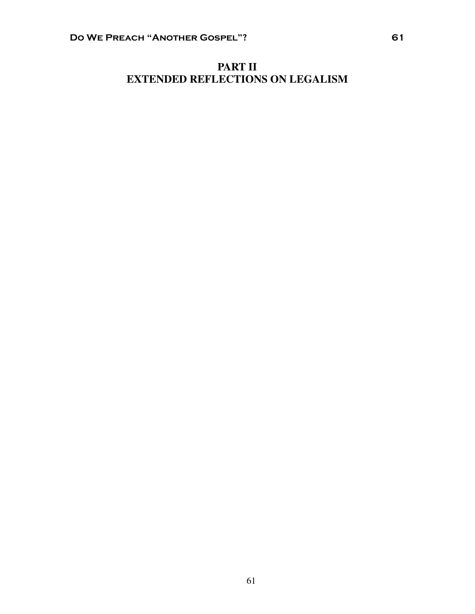# **PART II EXTENDED REFLECTIONS ON LEGALISM**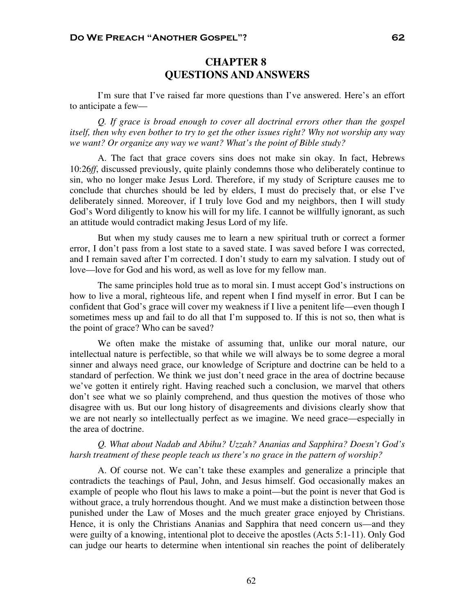# **CHAPTER 8 QUESTIONS AND ANSWERS**

I'm sure that I've raised far more questions than I've answered. Here's an effort to anticipate a few—

*Q. If grace is broad enough to cover all doctrinal errors other than the gospel itself, then why even bother to try to get the other issues right? Why not worship any way we want? Or organize any way we want? What's the point of Bible study?* 

A. The fact that grace covers sins does not make sin okay. In fact, Hebrews 10:26*ff*, discussed previously, quite plainly condemns those who deliberately continue to sin, who no longer make Jesus Lord. Therefore, if my study of Scripture causes me to conclude that churches should be led by elders, I must do precisely that, or else I've deliberately sinned. Moreover, if I truly love God and my neighbors, then I will study God's Word diligently to know his will for my life. I cannot be willfully ignorant, as such an attitude would contradict making Jesus Lord of my life.

But when my study causes me to learn a new spiritual truth or correct a former error, I don't pass from a lost state to a saved state. I was saved before I was corrected, and I remain saved after I'm corrected. I don't study to earn my salvation. I study out of love—love for God and his word, as well as love for my fellow man.

The same principles hold true as to moral sin. I must accept God's instructions on how to live a moral, righteous life, and repent when I find myself in error. But I can be confident that God's grace will cover my weakness if I live a penitent life—even though I sometimes mess up and fail to do all that I'm supposed to. If this is not so, then what is the point of grace? Who can be saved?

We often make the mistake of assuming that, unlike our moral nature, our intellectual nature is perfectible, so that while we will always be to some degree a moral sinner and always need grace, our knowledge of Scripture and doctrine can be held to a standard of perfection. We think we just don't need grace in the area of doctrine because we've gotten it entirely right. Having reached such a conclusion, we marvel that others don't see what we so plainly comprehend, and thus question the motives of those who disagree with us. But our long history of disagreements and divisions clearly show that we are not nearly so intellectually perfect as we imagine. We need grace—especially in the area of doctrine.

### *Q. What about Nadab and Abihu? Uzzah? Ananias and Sapphira? Doesn't God's harsh treatment of these people teach us there's no grace in the pattern of worship?*

A. Of course not. We can't take these examples and generalize a principle that contradicts the teachings of Paul, John, and Jesus himself. God occasionally makes an example of people who flout his laws to make a point—but the point is never that God is without grace, a truly horrendous thought. And we must make a distinction between those punished under the Law of Moses and the much greater grace enjoyed by Christians. Hence, it is only the Christians Ananias and Sapphira that need concern us—and they were guilty of a knowing, intentional plot to deceive the apostles (Acts 5:1-11). Only God can judge our hearts to determine when intentional sin reaches the point of deliberately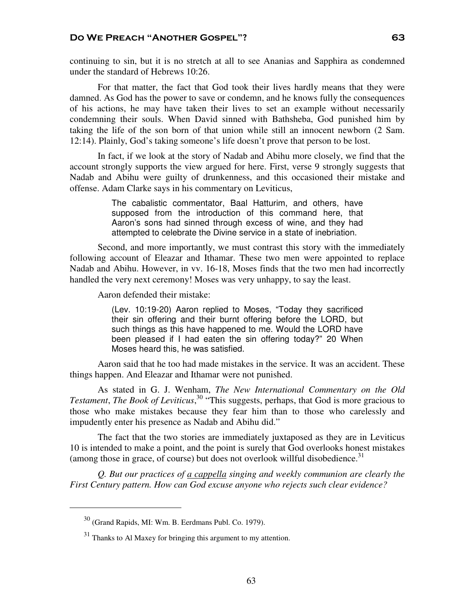continuing to sin, but it is no stretch at all to see Ananias and Sapphira as condemned under the standard of Hebrews 10:26.

For that matter, the fact that God took their lives hardly means that they were damned. As God has the power to save or condemn, and he knows fully the consequences of his actions, he may have taken their lives to set an example without necessarily condemning their souls. When David sinned with Bathsheba, God punished him by taking the life of the son born of that union while still an innocent newborn (2 Sam. 12:14). Plainly, God's taking someone's life doesn't prove that person to be lost.

In fact, if we look at the story of Nadab and Abihu more closely, we find that the account strongly supports the view argued for here. First, verse 9 strongly suggests that Nadab and Abihu were guilty of drunkenness, and this occasioned their mistake and offense. Adam Clarke says in his commentary on Leviticus,

> The cabalistic commentator, Baal Hatturim, and others, have supposed from the introduction of this command here, that Aaron's sons had sinned through excess of wine, and they had attempted to celebrate the Divine service in a state of inebriation.

Second, and more importantly, we must contrast this story with the immediately following account of Eleazar and Ithamar. These two men were appointed to replace Nadab and Abihu. However, in vv. 16-18, Moses finds that the two men had incorrectly handled the very next ceremony! Moses was very unhappy, to say the least.

Aaron defended their mistake:

(Lev. 10:19-20) Aaron replied to Moses, "Today they sacrificed their sin offering and their burnt offering before the LORD, but such things as this have happened to me. Would the LORD have been pleased if I had eaten the sin offering today?" 20 When Moses heard this, he was satisfied.

Aaron said that he too had made mistakes in the service. It was an accident. These things happen. And Eleazar and Ithamar were not punished.

As stated in G. J. Wenham, *The New International Commentary on the Old Testament*, *The Book of Leviticus*, <sup>30</sup> "This suggests, perhaps, that God is more gracious to those who make mistakes because they fear him than to those who carelessly and impudently enter his presence as Nadab and Abihu did."

The fact that the two stories are immediately juxtaposed as they are in Leviticus 10 is intended to make a point, and the point is surely that God overlooks honest mistakes (among those in grace, of course) but does not overlook willful disobedience.<sup>31</sup>

*Q. But our practices of a cappella singing and weekly communion are clearly the First Century pattern. How can God excuse anyone who rejects such clear evidence?* 

 $\overline{a}$ 

 $30$  (Grand Rapids, MI: Wm. B. Eerdmans Publ. Co. 1979).

 $31$  Thanks to Al Maxey for bringing this argument to my attention.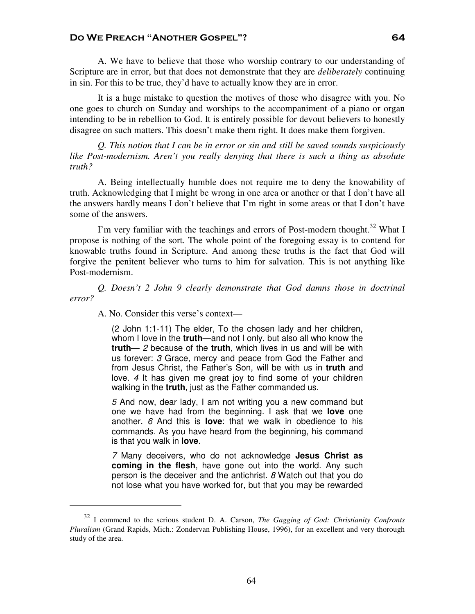A. We have to believe that those who worship contrary to our understanding of Scripture are in error, but that does not demonstrate that they are *deliberately* continuing in sin. For this to be true, they'd have to actually know they are in error.

It is a huge mistake to question the motives of those who disagree with you. No one goes to church on Sunday and worships to the accompaniment of a piano or organ intending to be in rebellion to God. It is entirely possible for devout believers to honestly disagree on such matters. This doesn't make them right. It does make them forgiven.

*Q. This notion that I can be in error or sin and still be saved sounds suspiciously*  like Post-modernism. Aren't you really denying that there is such a thing as absolute *truth?* 

A. Being intellectually humble does not require me to deny the knowability of truth. Acknowledging that I might be wrong in one area or another or that I don't have all the answers hardly means I don't believe that I'm right in some areas or that I don't have some of the answers.

I'm very familiar with the teachings and errors of Post-modern thought.<sup>32</sup> What I propose is nothing of the sort. The whole point of the foregoing essay is to contend for knowable truths found in Scripture. And among these truths is the fact that God will forgive the penitent believer who turns to him for salvation. This is not anything like Post-modernism.

*Q. Doesn't 2 John 9 clearly demonstrate that God damns those in doctrinal error?* 

A. No. Consider this verse's context—

 $\overline{a}$ 

(2 John 1:1-11) The elder, To the chosen lady and her children, whom I love in the **truth**—and not I only, but also all who know the **truth**— 2 because of the **truth**, which lives in us and will be with us forever: 3 Grace, mercy and peace from God the Father and from Jesus Christ, the Father's Son, will be with us in **truth** and love. 4 It has given me great joy to find some of your children walking in the **truth**, just as the Father commanded us.

5 And now, dear lady, I am not writing you a new command but one we have had from the beginning. I ask that we **love** one another. 6 And this is **love**: that we walk in obedience to his commands. As you have heard from the beginning, his command is that you walk in **love**.

7 Many deceivers, who do not acknowledge **Jesus Christ as coming in the flesh**, have gone out into the world. Any such person is the deceiver and the antichrist. 8 Watch out that you do not lose what you have worked for, but that you may be rewarded

<sup>32</sup> I commend to the serious student D. A. Carson, *The Gagging of God: Christianity Confronts Pluralism* (Grand Rapids, Mich.: Zondervan Publishing House, 1996), for an excellent and very thorough study of the area.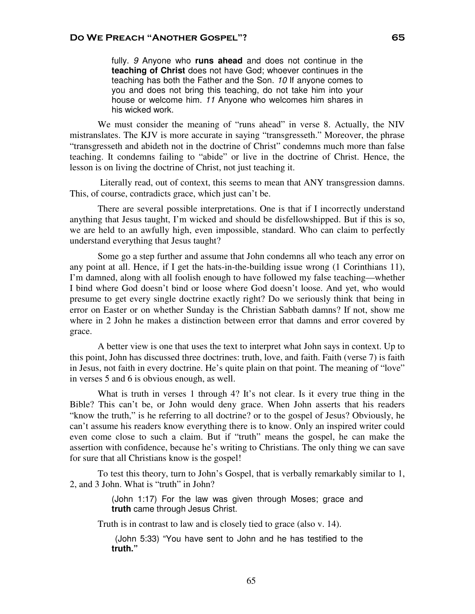fully. 9 Anyone who **runs ahead** and does not continue in the **teaching of Christ** does not have God; whoever continues in the teaching has both the Father and the Son. 10 If anyone comes to you and does not bring this teaching, do not take him into your house or welcome him. 11 Anyone who welcomes him shares in his wicked work.

We must consider the meaning of "runs ahead" in verse 8. Actually, the NIV mistranslates. The KJV is more accurate in saying "transgresseth." Moreover, the phrase "transgresseth and abideth not in the doctrine of Christ" condemns much more than false teaching. It condemns failing to "abide" or live in the doctrine of Christ. Hence, the lesson is on living the doctrine of Christ, not just teaching it.

 Literally read, out of context, this seems to mean that ANY transgression damns. This, of course, contradicts grace, which just can't be.

There are several possible interpretations. One is that if I incorrectly understand anything that Jesus taught, I'm wicked and should be disfellowshipped. But if this is so, we are held to an awfully high, even impossible, standard. Who can claim to perfectly understand everything that Jesus taught?

Some go a step further and assume that John condemns all who teach any error on any point at all. Hence, if I get the hats-in-the-building issue wrong (1 Corinthians 11), I'm damned, along with all foolish enough to have followed my false teaching—whether I bind where God doesn't bind or loose where God doesn't loose. And yet, who would presume to get every single doctrine exactly right? Do we seriously think that being in error on Easter or on whether Sunday is the Christian Sabbath damns? If not, show me where in 2 John he makes a distinction between error that damns and error covered by grace.

A better view is one that uses the text to interpret what John says in context. Up to this point, John has discussed three doctrines: truth, love, and faith. Faith (verse 7) is faith in Jesus, not faith in every doctrine. He's quite plain on that point. The meaning of "love" in verses 5 and 6 is obvious enough, as well.

What is truth in verses 1 through 4? It's not clear. Is it every true thing in the Bible? This can't be, or John would deny grace. When John asserts that his readers "know the truth," is he referring to all doctrine? or to the gospel of Jesus? Obviously, he can't assume his readers know everything there is to know. Only an inspired writer could even come close to such a claim. But if "truth" means the gospel, he can make the assertion with confidence, because he's writing to Christians. The only thing we can save for sure that all Christians know is the gospel!

To test this theory, turn to John's Gospel, that is verbally remarkably similar to 1, 2, and 3 John. What is "truth" in John?

> (John 1:17) For the law was given through Moses; grace and **truth** came through Jesus Christ.

Truth is in contrast to law and is closely tied to grace (also v. 14).

(John 5:33) "You have sent to John and he has testified to the **truth."**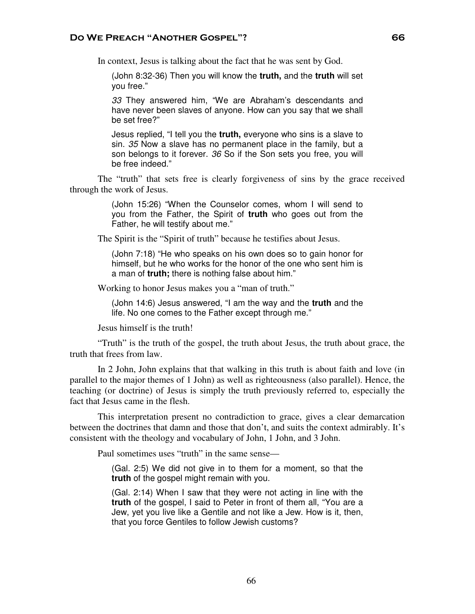In context, Jesus is talking about the fact that he was sent by God.

(John 8:32-36) Then you will know the **truth,** and the **truth** will set you free."

33 They answered him, "We are Abraham's descendants and have never been slaves of anyone. How can you say that we shall be set free?"

Jesus replied, "I tell you the **truth,** everyone who sins is a slave to sin. 35 Now a slave has no permanent place in the family, but a son belongs to it forever. 36 So if the Son sets you free, you will be free indeed."

The "truth" that sets free is clearly forgiveness of sins by the grace received through the work of Jesus.

> (John 15:26) "When the Counselor comes, whom I will send to you from the Father, the Spirit of **truth** who goes out from the Father, he will testify about me."

The Spirit is the "Spirit of truth" because he testifies about Jesus.

(John 7:18) "He who speaks on his own does so to gain honor for himself, but he who works for the honor of the one who sent him is a man of **truth;** there is nothing false about him."

Working to honor Jesus makes you a "man of truth."

(John 14:6) Jesus answered, "I am the way and the **truth** and the life. No one comes to the Father except through me."

Jesus himself is the truth!

"Truth" is the truth of the gospel, the truth about Jesus, the truth about grace, the truth that frees from law.

In 2 John, John explains that that walking in this truth is about faith and love (in parallel to the major themes of 1 John) as well as righteousness (also parallel). Hence, the teaching (or doctrine) of Jesus is simply the truth previously referred to, especially the fact that Jesus came in the flesh.

This interpretation present no contradiction to grace, gives a clear demarcation between the doctrines that damn and those that don't, and suits the context admirably. It's consistent with the theology and vocabulary of John, 1 John, and 3 John.

Paul sometimes uses "truth" in the same sense—

(Gal. 2:5) We did not give in to them for a moment, so that the **truth** of the gospel might remain with you.

(Gal. 2:14) When I saw that they were not acting in line with the **truth** of the gospel, I said to Peter in front of them all, "You are a Jew, yet you live like a Gentile and not like a Jew. How is it, then, that you force Gentiles to follow Jewish customs?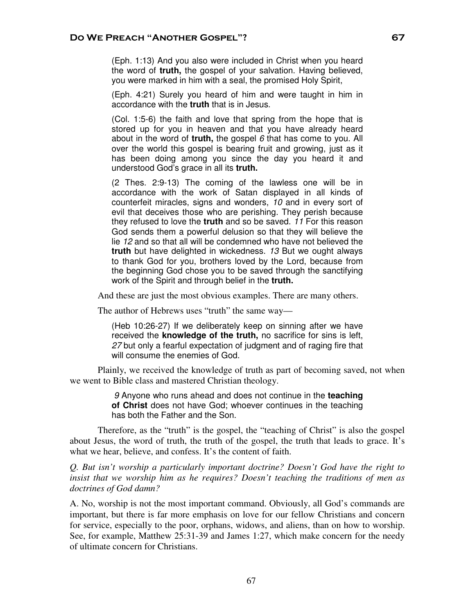(Eph. 1:13) And you also were included in Christ when you heard the word of **truth,** the gospel of your salvation. Having believed, you were marked in him with a seal, the promised Holy Spirit,

(Eph. 4:21) Surely you heard of him and were taught in him in accordance with the **truth** that is in Jesus.

(Col. 1:5-6) the faith and love that spring from the hope that is stored up for you in heaven and that you have already heard about in the word of **truth,** the gospel 6 that has come to you. All over the world this gospel is bearing fruit and growing, just as it has been doing among you since the day you heard it and understood God's grace in all its **truth.**

(2 Thes. 2:9-13) The coming of the lawless one will be in accordance with the work of Satan displayed in all kinds of counterfeit miracles, signs and wonders, 10 and in every sort of evil that deceives those who are perishing. They perish because they refused to love the **truth** and so be saved. 11 For this reason God sends them a powerful delusion so that they will believe the lie 12 and so that all will be condemned who have not believed the **truth** but have delighted in wickedness. 13 But we ought always to thank God for you, brothers loved by the Lord, because from the beginning God chose you to be saved through the sanctifying work of the Spirit and through belief in the **truth.**

And these are just the most obvious examples. There are many others.

The author of Hebrews uses "truth" the same way—

(Heb 10:26-27) If we deliberately keep on sinning after we have received the **knowledge of the truth,** no sacrifice for sins is left, 27 but only a fearful expectation of judgment and of raging fire that will consume the enemies of God.

Plainly, we received the knowledge of truth as part of becoming saved, not when we went to Bible class and mastered Christian theology.

> 9 Anyone who runs ahead and does not continue in the **teaching of Christ** does not have God; whoever continues in the teaching has both the Father and the Son.

Therefore, as the "truth" is the gospel, the "teaching of Christ" is also the gospel about Jesus, the word of truth, the truth of the gospel, the truth that leads to grace. It's what we hear, believe, and confess. It's the content of faith.

*Q. But isn't worship a particularly important doctrine? Doesn't God have the right to insist that we worship him as he requires? Doesn't teaching the traditions of men as doctrines of God damn?* 

A. No, worship is not the most important command. Obviously, all God's commands are important, but there is far more emphasis on love for our fellow Christians and concern for service, especially to the poor, orphans, widows, and aliens, than on how to worship. See, for example, Matthew 25:31-39 and James 1:27, which make concern for the needy of ultimate concern for Christians.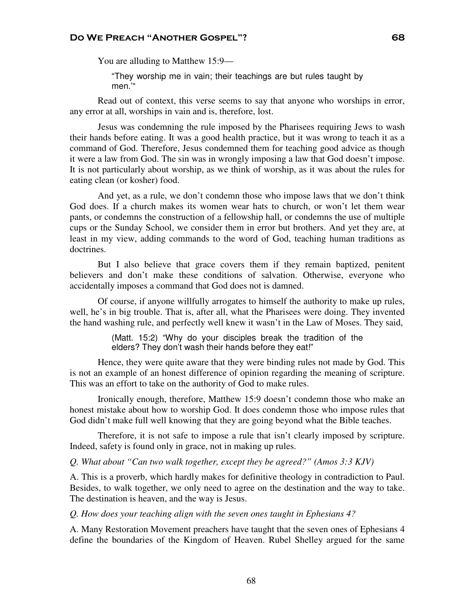## DO WE PREACH "ANOTHER GOSPEL"? 68

You are alluding to Matthew 15:9—

"They worship me in vain; their teachings are but rules taught by men.'"

Read out of context, this verse seems to say that anyone who worships in error, any error at all, worships in vain and is, therefore, lost.

Jesus was condemning the rule imposed by the Pharisees requiring Jews to wash their hands before eating. It was a good health practice, but it was wrong to teach it as a command of God. Therefore, Jesus condemned them for teaching good advice as though it were a law from God. The sin was in wrongly imposing a law that God doesn't impose. It is not particularly about worship, as we think of worship, as it was about the rules for eating clean (or kosher) food.

And yet, as a rule, we don't condemn those who impose laws that we don't think God does. If a church makes its women wear hats to church, or won't let them wear pants, or condemns the construction of a fellowship hall, or condemns the use of multiple cups or the Sunday School, we consider them in error but brothers. And yet they are, at least in my view, adding commands to the word of God, teaching human traditions as doctrines.

But I also believe that grace covers them if they remain baptized, penitent believers and don't make these conditions of salvation. Otherwise, everyone who accidentally imposes a command that God does not is damned.

Of course, if anyone willfully arrogates to himself the authority to make up rules, well, he's in big trouble. That is, after all, what the Pharisees were doing. They invented the hand washing rule, and perfectly well knew it wasn't in the Law of Moses. They said,

> (Matt. 15:2) "Why do your disciples break the tradition of the elders? They don't wash their hands before they eat!"

Hence, they were quite aware that they were binding rules not made by God. This is not an example of an honest difference of opinion regarding the meaning of scripture. This was an effort to take on the authority of God to make rules.

Ironically enough, therefore, Matthew 15:9 doesn't condemn those who make an honest mistake about how to worship God. It does condemn those who impose rules that God didn't make full well knowing that they are going beyond what the Bible teaches.

Therefore, it is not safe to impose a rule that isn't clearly imposed by scripture. Indeed, safety is found only in grace, not in making up rules.

*Q. What about "Can two walk together, except they be agreed?" (Amos 3:3 KJV)* 

A. This is a proverb, which hardly makes for definitive theology in contradiction to Paul. Besides, to walk together, we only need to agree on the destination and the way to take. The destination is heaven, and the way is Jesus.

*Q. How does your teaching align with the seven ones taught in Ephesians 4?* 

A. Many Restoration Movement preachers have taught that the seven ones of Ephesians 4 define the boundaries of the Kingdom of Heaven. Rubel Shelley argued for the same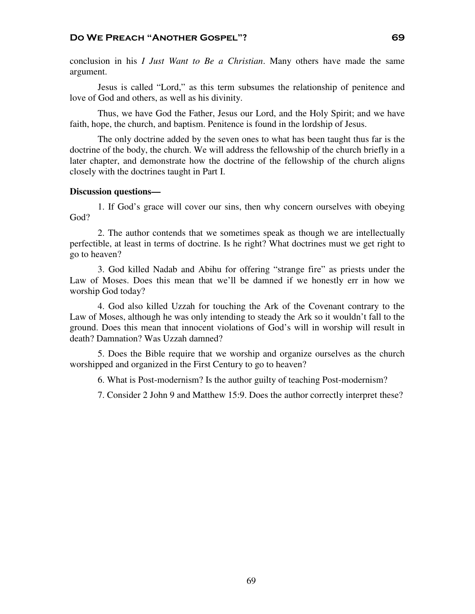conclusion in his *I Just Want to Be a Christian*. Many others have made the same argument.

Jesus is called "Lord," as this term subsumes the relationship of penitence and love of God and others, as well as his divinity.

Thus, we have God the Father, Jesus our Lord, and the Holy Spirit; and we have faith, hope, the church, and baptism. Penitence is found in the lordship of Jesus.

The only doctrine added by the seven ones to what has been taught thus far is the doctrine of the body, the church. We will address the fellowship of the church briefly in a later chapter, and demonstrate how the doctrine of the fellowship of the church aligns closely with the doctrines taught in Part I.

#### **Discussion questions—**

1. If God's grace will cover our sins, then why concern ourselves with obeying God?

2. The author contends that we sometimes speak as though we are intellectually perfectible, at least in terms of doctrine. Is he right? What doctrines must we get right to go to heaven?

3. God killed Nadab and Abihu for offering "strange fire" as priests under the Law of Moses. Does this mean that we'll be damned if we honestly err in how we worship God today?

4. God also killed Uzzah for touching the Ark of the Covenant contrary to the Law of Moses, although he was only intending to steady the Ark so it wouldn't fall to the ground. Does this mean that innocent violations of God's will in worship will result in death? Damnation? Was Uzzah damned?

5. Does the Bible require that we worship and organize ourselves as the church worshipped and organized in the First Century to go to heaven?

6. What is Post-modernism? Is the author guilty of teaching Post-modernism?

7. Consider 2 John 9 and Matthew 15:9. Does the author correctly interpret these?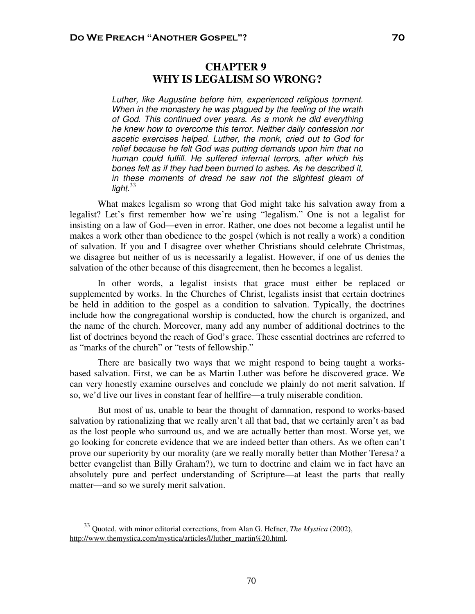# **CHAPTER 9 WHY IS LEGALISM SO WRONG?**

Luther, like Augustine before him, experienced religious torment. When in the monastery he was plagued by the feeling of the wrath of God. This continued over years. As a monk he did everything he knew how to overcome this terror. Neither daily confession nor ascetic exercises helped. Luther, the monk, cried out to God for relief because he felt God was putting demands upon him that no human could fulfill. He suffered infernal terrors, after which his bones felt as if they had been burned to ashes. As he described it, in these moments of dread he saw not the slightest gleam of light. $33$ 

What makes legalism so wrong that God might take his salvation away from a legalist? Let's first remember how we're using "legalism." One is not a legalist for insisting on a law of God—even in error. Rather, one does not become a legalist until he makes a work other than obedience to the gospel (which is not really a work) a condition of salvation. If you and I disagree over whether Christians should celebrate Christmas, we disagree but neither of us is necessarily a legalist. However, if one of us denies the salvation of the other because of this disagreement, then he becomes a legalist.

In other words, a legalist insists that grace must either be replaced or supplemented by works. In the Churches of Christ, legalists insist that certain doctrines be held in addition to the gospel as a condition to salvation. Typically, the doctrines include how the congregational worship is conducted, how the church is organized, and the name of the church. Moreover, many add any number of additional doctrines to the list of doctrines beyond the reach of God's grace. These essential doctrines are referred to as "marks of the church" or "tests of fellowship."

There are basically two ways that we might respond to being taught a worksbased salvation. First, we can be as Martin Luther was before he discovered grace. We can very honestly examine ourselves and conclude we plainly do not merit salvation. If so, we'd live our lives in constant fear of hellfire—a truly miserable condition.

But most of us, unable to bear the thought of damnation, respond to works-based salvation by rationalizing that we really aren't all that bad, that we certainly aren't as bad as the lost people who surround us, and we are actually better than most. Worse yet, we go looking for concrete evidence that we are indeed better than others. As we often can't prove our superiority by our morality (are we really morally better than Mother Teresa? a better evangelist than Billy Graham?), we turn to doctrine and claim we in fact have an absolutely pure and perfect understanding of Scripture—at least the parts that really matter—and so we surely merit salvation.

 $\overline{a}$ 

<sup>33</sup> Quoted, with minor editorial corrections, from Alan G. Hefner, *The Mystica* (2002), http://www.themystica.com/mystica/articles/l/luther\_martin%20.html.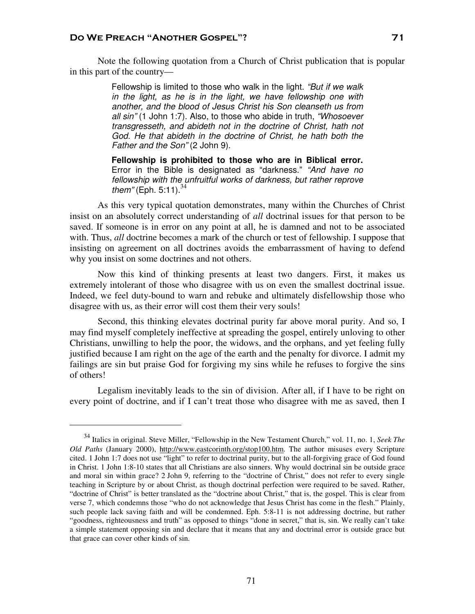$\overline{a}$ 

Fellowship is limited to those who walk in the light. "But if we walk in the light, as he is in the light, we have fellowship one with another, and the blood of Jesus Christ his Son cleanseth us from all sin" (1 John 1:7). Also, to those who abide in truth, "Whosoever" transgresseth, and abideth not in the doctrine of Christ, hath not God. He that abideth in the doctrine of Christ, he hath both the Father and the Son" (2 John 9).

**Fellowship is prohibited to those who are in Biblical error.** Error in the Bible is designated as "darkness." "And have no fellowship with the unfruitful works of darkness, but rather reprove them" (Eph. 5:11). $34$ 

As this very typical quotation demonstrates, many within the Churches of Christ insist on an absolutely correct understanding of *all* doctrinal issues for that person to be saved. If someone is in error on any point at all, he is damned and not to be associated with. Thus, *all* doctrine becomes a mark of the church or test of fellowship. I suppose that insisting on agreement on all doctrines avoids the embarrassment of having to defend why you insist on some doctrines and not others.

Now this kind of thinking presents at least two dangers. First, it makes us extremely intolerant of those who disagree with us on even the smallest doctrinal issue. Indeed, we feel duty-bound to warn and rebuke and ultimately disfellowship those who disagree with us, as their error will cost them their very souls!

Second, this thinking elevates doctrinal purity far above moral purity. And so, I may find myself completely ineffective at spreading the gospel, entirely unloving to other Christians, unwilling to help the poor, the widows, and the orphans, and yet feeling fully justified because I am right on the age of the earth and the penalty for divorce. I admit my failings are sin but praise God for forgiving my sins while he refuses to forgive the sins of others!

Legalism inevitably leads to the sin of division. After all, if I have to be right on every point of doctrine, and if I can't treat those who disagree with me as saved, then I

<sup>34</sup> Italics in original. Steve Miller, "Fellowship in the New Testament Church," vol. 11, no. 1, *Seek The Old Paths* (January 2000), http://www.eastcorinth.org/stop100.htm. The author misuses every Scripture cited. 1 John 1:7 does not use "light" to refer to doctrinal purity, but to the all-forgiving grace of God found in Christ. 1 John 1:8-10 states that all Christians are also sinners. Why would doctrinal sin be outside grace and moral sin within grace? 2 John 9, referring to the "doctrine of Christ," does not refer to every single teaching in Scripture by or about Christ, as though doctrinal perfection were required to be saved. Rather, "doctrine of Christ" is better translated as the "doctrine about Christ," that is, the gospel. This is clear from verse 7, which condemns those "who do not acknowledge that Jesus Christ has come in the flesh." Plainly, such people lack saving faith and will be condemned. Eph. 5:8-11 is not addressing doctrine, but rather "goodness, righteousness and truth" as opposed to things "done in secret," that is, sin. We really can't take a simple statement opposing sin and declare that it means that any and doctrinal error is outside grace but that grace can cover other kinds of sin.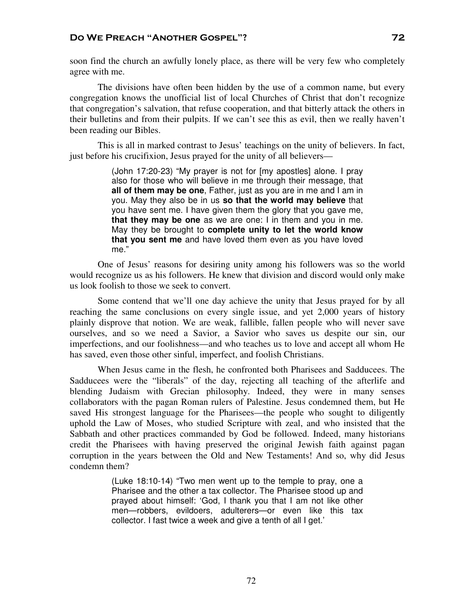soon find the church an awfully lonely place, as there will be very few who completely agree with me.

The divisions have often been hidden by the use of a common name, but every congregation knows the unofficial list of local Churches of Christ that don't recognize that congregation's salvation, that refuse cooperation, and that bitterly attack the others in their bulletins and from their pulpits. If we can't see this as evil, then we really haven't been reading our Bibles.

This is all in marked contrast to Jesus' teachings on the unity of believers. In fact, just before his crucifixion, Jesus prayed for the unity of all believers—

> (John 17:20-23) "My prayer is not for [my apostles] alone. I pray also for those who will believe in me through their message, that **all of them may be one**, Father, just as you are in me and I am in you. May they also be in us **so that the world may believe** that you have sent me. I have given them the glory that you gave me, **that they may be one** as we are one: I in them and you in me. May they be brought to **complete unity to let the world know that you sent me** and have loved them even as you have loved me."

One of Jesus' reasons for desiring unity among his followers was so the world would recognize us as his followers. He knew that division and discord would only make us look foolish to those we seek to convert.

Some contend that we'll one day achieve the unity that Jesus prayed for by all reaching the same conclusions on every single issue, and yet 2,000 years of history plainly disprove that notion. We are weak, fallible, fallen people who will never save ourselves, and so we need a Savior, a Savior who saves us despite our sin, our imperfections, and our foolishness—and who teaches us to love and accept all whom He has saved, even those other sinful, imperfect, and foolish Christians.

When Jesus came in the flesh, he confronted both Pharisees and Sadducees. The Sadducees were the "liberals" of the day, rejecting all teaching of the afterlife and blending Judaism with Grecian philosophy. Indeed, they were in many senses collaborators with the pagan Roman rulers of Palestine. Jesus condemned them, but He saved His strongest language for the Pharisees—the people who sought to diligently uphold the Law of Moses, who studied Scripture with zeal, and who insisted that the Sabbath and other practices commanded by God be followed. Indeed, many historians credit the Pharisees with having preserved the original Jewish faith against pagan corruption in the years between the Old and New Testaments! And so, why did Jesus condemn them?

> (Luke 18:10-14) "Two men went up to the temple to pray, one a Pharisee and the other a tax collector. The Pharisee stood up and prayed about himself: 'God, I thank you that I am not like other men—robbers, evildoers, adulterers—or even like this tax collector. I fast twice a week and give a tenth of all I get.'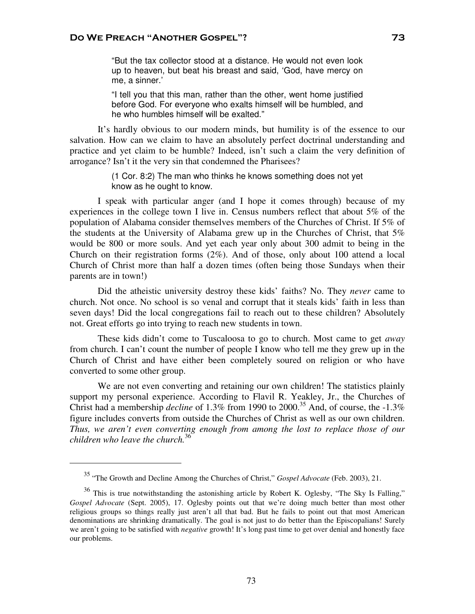"But the tax collector stood at a distance. He would not even look up to heaven, but beat his breast and said, 'God, have mercy on me, a sinner.'

"I tell you that this man, rather than the other, went home justified before God. For everyone who exalts himself will be humbled, and he who humbles himself will be exalted."

It's hardly obvious to our modern minds, but humility is of the essence to our salvation. How can we claim to have an absolutely perfect doctrinal understanding and practice and yet claim to be humble? Indeed, isn't such a claim the very definition of arrogance? Isn't it the very sin that condemned the Pharisees?

> (1 Cor. 8:2) The man who thinks he knows something does not yet know as he ought to know.

I speak with particular anger (and I hope it comes through) because of my experiences in the college town I live in. Census numbers reflect that about 5% of the population of Alabama consider themselves members of the Churches of Christ. If 5% of the students at the University of Alabama grew up in the Churches of Christ, that 5% would be 800 or more souls. And yet each year only about 300 admit to being in the Church on their registration forms (2%). And of those, only about 100 attend a local Church of Christ more than half a dozen times (often being those Sundays when their parents are in town!)

Did the atheistic university destroy these kids' faiths? No. They *never* came to church. Not once. No school is so venal and corrupt that it steals kids' faith in less than seven days! Did the local congregations fail to reach out to these children? Absolutely not. Great efforts go into trying to reach new students in town.

These kids didn't come to Tuscaloosa to go to church. Most came to get *away* from church. I can't count the number of people I know who tell me they grew up in the Church of Christ and have either been completely soured on religion or who have converted to some other group.

We are not even converting and retaining our own children! The statistics plainly support my personal experience. According to Flavil R. Yeakley, Jr., the Churches of Christ had a membership *decline* of 1.3% from 1990 to 2000.<sup>35</sup> And, of course, the  $-1.3\%$ figure includes converts from outside the Churches of Christ as well as our own children. *Thus, we aren't even converting enough from among the lost to replace those of our children who leave the church.*<sup>36</sup>

<sup>35</sup> "The Growth and Decline Among the Churches of Christ," *Gospel Advocate* (Feb. 2003), 21.

 $36$  This is true notwithstanding the astonishing article by Robert K. Oglesby, "The Sky Is Falling," *Gospel Advocate* (Sept. 2005), 17. Oglesby points out that we're doing much better than most other religious groups so things really just aren't all that bad. But he fails to point out that most American denominations are shrinking dramatically. The goal is not just to do better than the Episcopalians! Surely we aren't going to be satisfied with *negative* growth! It's long past time to get over denial and honestly face our problems.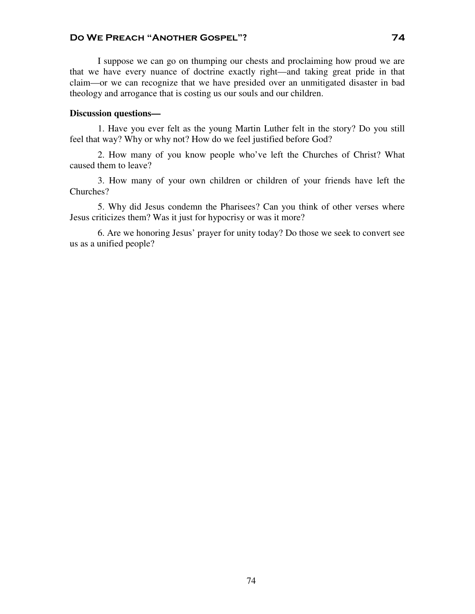I suppose we can go on thumping our chests and proclaiming how proud we are that we have every nuance of doctrine exactly right—and taking great pride in that claim—or we can recognize that we have presided over an unmitigated disaster in bad theology and arrogance that is costing us our souls and our children.

## **Discussion questions—**

1. Have you ever felt as the young Martin Luther felt in the story? Do you still feel that way? Why or why not? How do we feel justified before God?

2. How many of you know people who've left the Churches of Christ? What caused them to leave?

3. How many of your own children or children of your friends have left the Churches?

5. Why did Jesus condemn the Pharisees? Can you think of other verses where Jesus criticizes them? Was it just for hypocrisy or was it more?

6. Are we honoring Jesus' prayer for unity today? Do those we seek to convert see us as a unified people?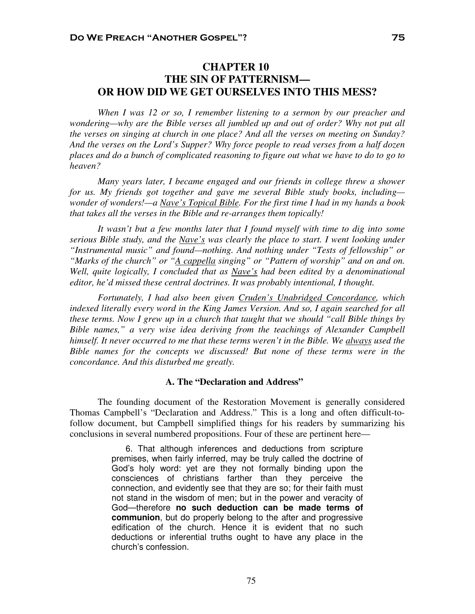# **CHAPTER 10 THE SIN OF PATTERNISM— OR HOW DID WE GET OURSELVES INTO THIS MESS?**

*When I was 12 or so, I remember listening to a sermon by our preacher and*  wondering—why are the Bible verses all jumbled up and out of order? Why not put all *the verses on singing at church in one place? And all the verses on meeting on Sunday? And the verses on the Lord's Supper? Why force people to read verses from a half dozen places and do a bunch of complicated reasoning to figure out what we have to do to go to heaven?* 

*Many years later, I became engaged and our friends in college threw a shower for us. My friends got together and gave me several Bible study books, including wonder of wonders!—a Nave's Topical Bible. For the first time I had in my hands a book that takes all the verses in the Bible and re-arranges them topically!* 

*It wasn't but a few months later that I found myself with time to dig into some serious Bible study, and the Nave's was clearly the place to start. I went looking under "Instrumental music" and found—nothing. And nothing under "Tests of fellowship" or "Marks of the church" or "A cappella singing" or "Pattern of worship" and on and on. Well, quite logically, I concluded that as Nave's had been edited by a denominational editor, he'd missed these central doctrines. It was probably intentional, I thought.* 

*Fortunately, I had also been given Cruden's Unabridged Concordance, which indexed literally every word in the King James Version. And so, I again searched for all these terms. Now I grew up in a church that taught that we should "call Bible things by Bible names," a very wise idea deriving from the teachings of Alexander Campbell himself. It never occurred to me that these terms weren't in the Bible. We always used the Bible names for the concepts we discussed! But none of these terms were in the concordance. And this disturbed me greatly.* 

## **A. The "Declaration and Address"**

The founding document of the Restoration Movement is generally considered Thomas Campbell's "Declaration and Address." This is a long and often difficult-tofollow document, but Campbell simplified things for his readers by summarizing his conclusions in several numbered propositions. Four of these are pertinent here—

> 6. That although inferences and deductions from scripture premises, when fairly inferred, may be truly called the doctrine of God's holy word: yet are they not formally binding upon the consciences of christians farther than they perceive the connection, and evidently see that they are so; for their faith must not stand in the wisdom of men; but in the power and veracity of God—therefore **no such deduction can be made terms of communion**, but do properly belong to the after and progressive edification of the church. Hence it is evident that no such deductions or inferential truths ought to have any place in the church's confession.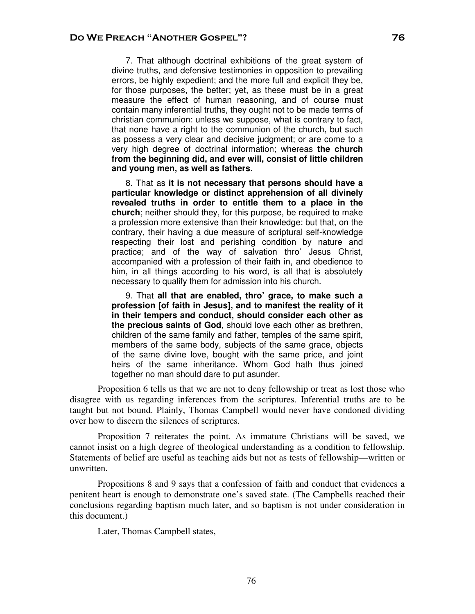7. That although doctrinal exhibitions of the great system of divine truths, and defensive testimonies in opposition to prevailing errors, be highly expedient; and the more full and explicit they be, for those purposes, the better; yet, as these must be in a great measure the effect of human reasoning, and of course must contain many inferential truths, they ought not to be made terms of christian communion: unless we suppose, what is contrary to fact, that none have a right to the communion of the church, but such as possess a very clear and decisive judgment; or are come to a very high degree of doctrinal information; whereas **the church from the beginning did, and ever will, consist of little children and young men, as well as fathers**.

8. That as **it is not necessary that persons should have a particular knowledge or distinct apprehension of all divinely revealed truths in order to entitle them to a place in the church**; neither should they, for this purpose, be required to make a profession more extensive than their knowledge: but that, on the contrary, their having a due measure of scriptural self-knowledge respecting their lost and perishing condition by nature and practice; and of the way of salvation thro' Jesus Christ, accompanied with a profession of their faith in, and obedience to him, in all things according to his word, is all that is absolutely necessary to qualify them for admission into his church.

9. That **all that are enabled, thro' grace, to make such a profession [of faith in Jesus], and to manifest the reality of it in their tempers and conduct, should consider each other as the precious saints of God**, should love each other as brethren, children of the same family and father, temples of the same spirit, members of the same body, subjects of the same grace, objects of the same divine love, bought with the same price, and joint heirs of the same inheritance. Whom God hath thus joined together no man should dare to put asunder.

Proposition 6 tells us that we are not to deny fellowship or treat as lost those who disagree with us regarding inferences from the scriptures. Inferential truths are to be taught but not bound. Plainly, Thomas Campbell would never have condoned dividing over how to discern the silences of scriptures.

Proposition 7 reiterates the point. As immature Christians will be saved, we cannot insist on a high degree of theological understanding as a condition to fellowship. Statements of belief are useful as teaching aids but not as tests of fellowship—written or unwritten.

Propositions 8 and 9 says that a confession of faith and conduct that evidences a penitent heart is enough to demonstrate one's saved state. (The Campbells reached their conclusions regarding baptism much later, and so baptism is not under consideration in this document.)

Later, Thomas Campbell states,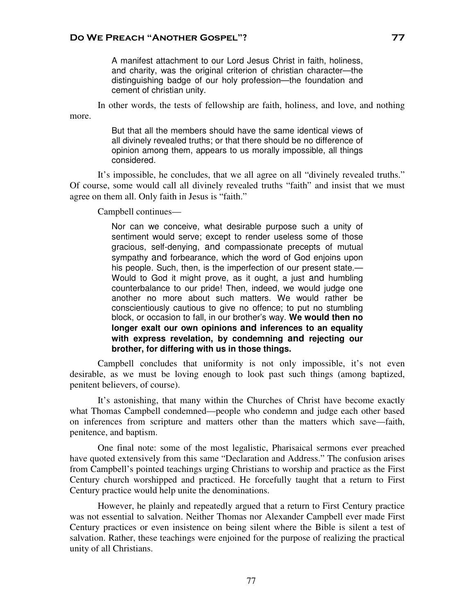A manifest attachment to our Lord Jesus Christ in faith, holiness, and charity, was the original criterion of christian character—the distinguishing badge of our holy profession—the foundation and cement of christian unity.

In other words, the tests of fellowship are faith, holiness, and love, and nothing more.

> But that all the members should have the same identical views of all divinely revealed truths; or that there should be no difference of opinion among them, appears to us morally impossible, all things considered.

It's impossible, he concludes, that we all agree on all "divinely revealed truths." Of course, some would call all divinely revealed truths "faith" and insist that we must agree on them all. Only faith in Jesus is "faith."

Campbell continues—

Nor can we conceive, what desirable purpose such a unity of sentiment would serve; except to render useless some of those gracious, self-denying, and compassionate precepts of mutual sympathy and forbearance, which the word of God enjoins upon his people. Such, then, is the imperfection of our present state.— Would to God it might prove, as it ought, a just and humbling counterbalance to our pride! Then, indeed, we would judge one another no more about such matters. We would rather be conscientiously cautious to give no offence; to put no stumbling block, or occasion to fall, in our brother's way. **We would then no longer exalt our own opinions and inferences to an equality with express revelation, by condemning and rejecting our brother, for differing with us in those things.**

Campbell concludes that uniformity is not only impossible, it's not even desirable, as we must be loving enough to look past such things (among baptized, penitent believers, of course).

It's astonishing, that many within the Churches of Christ have become exactly what Thomas Campbell condemned—people who condemn and judge each other based on inferences from scripture and matters other than the matters which save—faith, penitence, and baptism.

One final note: some of the most legalistic, Pharisaical sermons ever preached have quoted extensively from this same "Declaration and Address." The confusion arises from Campbell's pointed teachings urging Christians to worship and practice as the First Century church worshipped and practiced. He forcefully taught that a return to First Century practice would help unite the denominations.

However, he plainly and repeatedly argued that a return to First Century practice was not essential to salvation. Neither Thomas nor Alexander Campbell ever made First Century practices or even insistence on being silent where the Bible is silent a test of salvation. Rather, these teachings were enjoined for the purpose of realizing the practical unity of all Christians.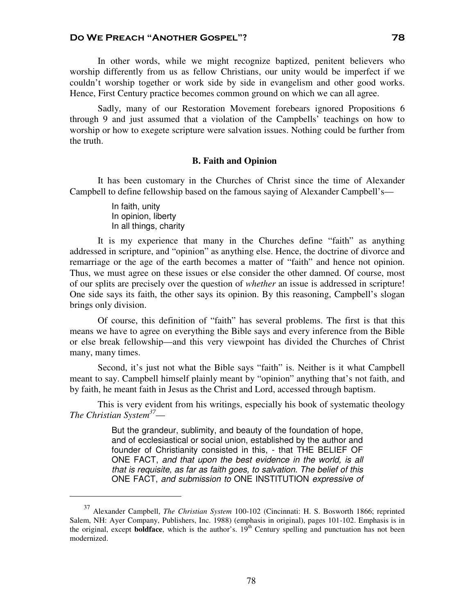In other words, while we might recognize baptized, penitent believers who worship differently from us as fellow Christians, our unity would be imperfect if we couldn't worship together or work side by side in evangelism and other good works. Hence, First Century practice becomes common ground on which we can all agree.

Sadly, many of our Restoration Movement forebears ignored Propositions 6 through 9 and just assumed that a violation of the Campbells' teachings on how to worship or how to exegete scripture were salvation issues. Nothing could be further from the truth.

## **B. Faith and Opinion**

It has been customary in the Churches of Christ since the time of Alexander Campbell to define fellowship based on the famous saying of Alexander Campbell's—

> In faith, unity In opinion, liberty In all things, charity

 $\overline{a}$ 

It is my experience that many in the Churches define "faith" as anything addressed in scripture, and "opinion" as anything else. Hence, the doctrine of divorce and remarriage or the age of the earth becomes a matter of "faith" and hence not opinion. Thus, we must agree on these issues or else consider the other damned. Of course, most of our splits are precisely over the question of *whether* an issue is addressed in scripture! One side says its faith, the other says its opinion. By this reasoning, Campbell's slogan brings only division.

Of course, this definition of "faith" has several problems. The first is that this means we have to agree on everything the Bible says and every inference from the Bible or else break fellowship—and this very viewpoint has divided the Churches of Christ many, many times.

Second, it's just not what the Bible says "faith" is. Neither is it what Campbell meant to say. Campbell himself plainly meant by "opinion" anything that's not faith, and by faith, he meant faith in Jesus as the Christ and Lord, accessed through baptism.

This is very evident from his writings, especially his book of systematic theology *The Christian System<sup>37</sup>*—

> But the grandeur, sublimity, and beauty of the foundation of hope, and of ecclesiastical or social union, established by the author and founder of Christianity consisted in this, - that THE BELIEF OF ONE FACT, and that upon the best evidence in the world, is all that is requisite, as far as faith goes, to salvation. The belief of this ONE FACT, and submission to ONE INSTITUTION expressive of

<sup>37</sup> Alexander Campbell, *The Christian System* 100-102 (Cincinnati: H. S. Bosworth 1866; reprinted Salem, NH: Ayer Company, Publishers, Inc. 1988) (emphasis in original), pages 101-102. Emphasis is in the original, except **boldface**, which is the author's.  $19<sup>th</sup>$  Century spelling and punctuation has not been modernized.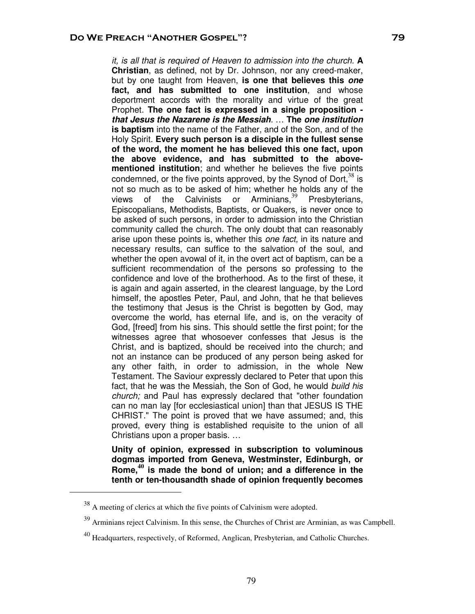it, is all that is required of Heaven to admission into the church. **A Christian**, as defined, not by Dr. Johnson, nor any creed-maker, but by one taught from Heaven, **is one that believes this one fact, and has submitted to one institution**, and whose deportment accords with the morality and virtue of the great Prophet. **The one fact is expressed in a single proposition that Jesus the Nazarene is the Messiah**. … **The one institution is baptism** into the name of the Father, and of the Son, and of the Holy Spirit. **Every such person is a disciple in the fullest sense of the word, the moment he has believed this one fact, upon the above evidence, and has submitted to the abovementioned institution**; and whether he believes the five points condemned, or the five points approved, by the Synod of Dort,  $38$  is not so much as to be asked of him; whether he holds any of the views of the Calvinists or Arminians,<sup>39</sup> Presbyterians, Episcopalians, Methodists, Baptists, or Quakers, is never once to be asked of such persons, in order to admission into the Christian community called the church. The only doubt that can reasonably arise upon these points is, whether this one fact, in its nature and necessary results, can suffice to the salvation of the soul, and whether the open avowal of it, in the overt act of baptism, can be a sufficient recommendation of the persons so professing to the confidence and love of the brotherhood. As to the first of these, it is again and again asserted, in the clearest language, by the Lord himself, the apostles Peter, Paul, and John, that he that believes the testimony that Jesus is the Christ is begotten by God, may overcome the world, has eternal life, and is, on the veracity of God, [freed] from his sins. This should settle the first point; for the witnesses agree that whosoever confesses that Jesus is the Christ, and is baptized, should be received into the church; and not an instance can be produced of any person being asked for any other faith, in order to admission, in the whole New Testament. The Saviour expressly declared to Peter that upon this fact, that he was the Messiah, the Son of God, he would build his church; and Paul has expressly declared that "other foundation can no man lay [for ecclesiastical union] than that JESUS IS THE CHRIST." The point is proved that we have assumed; and, this proved, every thing is established requisite to the union of all Christians upon a proper basis. …

**Unity of opinion, expressed in subscription to voluminous dogmas imported from Geneva, Westminster, Edinburgh, or Rome,40 is made the bond of union; and a difference in the tenth or ten-thousandth shade of opinion frequently becomes** 

<sup>38</sup> A meeting of clerics at which the five points of Calvinism were adopted.

<sup>&</sup>lt;sup>39</sup> Arminians reject Calvinism. In this sense, the Churches of Christ are Arminian, as was Campbell.

<sup>&</sup>lt;sup>40</sup> Headquarters, respectively, of Reformed, Anglican, Presbyterian, and Catholic Churches.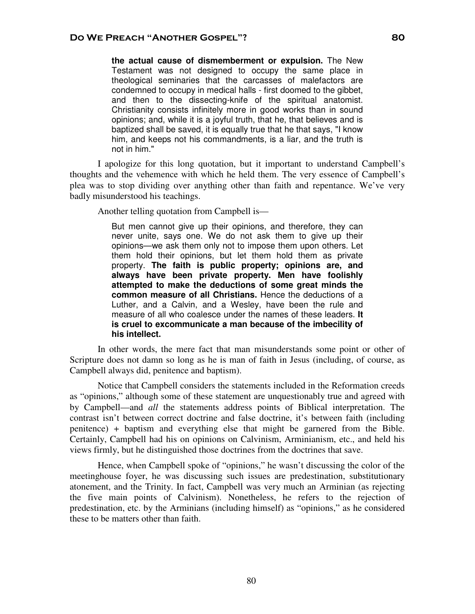**the actual cause of dismemberment or expulsion.** The New Testament was not designed to occupy the same place in theological seminaries that the carcasses of malefactors are condemned to occupy in medical halls - first doomed to the gibbet, and then to the dissecting-knife of the spiritual anatomist. Christianity consists infinitely more in good works than in sound opinions; and, while it is a joyful truth, that he, that believes and is baptized shall be saved, it is equally true that he that says, "I know him, and keeps not his commandments, is a liar, and the truth is not in him."

I apologize for this long quotation, but it important to understand Campbell's thoughts and the vehemence with which he held them. The very essence of Campbell's plea was to stop dividing over anything other than faith and repentance. We've very badly misunderstood his teachings.

Another telling quotation from Campbell is—

But men cannot give up their opinions, and therefore, they can never unite, says one. We do not ask them to give up their opinions—we ask them only not to impose them upon others. Let them hold their opinions, but let them hold them as private property. **The faith is public property; opinions are, and always have been private property. Men have foolishly attempted to make the deductions of some great minds the common measure of all Christians.** Hence the deductions of a Luther, and a Calvin, and a Wesley, have been the rule and measure of all who coalesce under the names of these leaders. **It is cruel to excommunicate a man because of the imbecility of his intellect.**

In other words, the mere fact that man misunderstands some point or other of Scripture does not damn so long as he is man of faith in Jesus (including, of course, as Campbell always did, penitence and baptism).

Notice that Campbell considers the statements included in the Reformation creeds as "opinions," although some of these statement are unquestionably true and agreed with by Campbell—and *all* the statements address points of Biblical interpretation. The contrast isn't between correct doctrine and false doctrine, it's between faith (including penitence) + baptism and everything else that might be garnered from the Bible. Certainly, Campbell had his on opinions on Calvinism, Arminianism, etc., and held his views firmly, but he distinguished those doctrines from the doctrines that save.

Hence, when Campbell spoke of "opinions," he wasn't discussing the color of the meetinghouse foyer, he was discussing such issues are predestination, substitutionary atonement, and the Trinity. In fact, Campbell was very much an Arminian (as rejecting the five main points of Calvinism). Nonetheless, he refers to the rejection of predestination, etc. by the Arminians (including himself) as "opinions," as he considered these to be matters other than faith.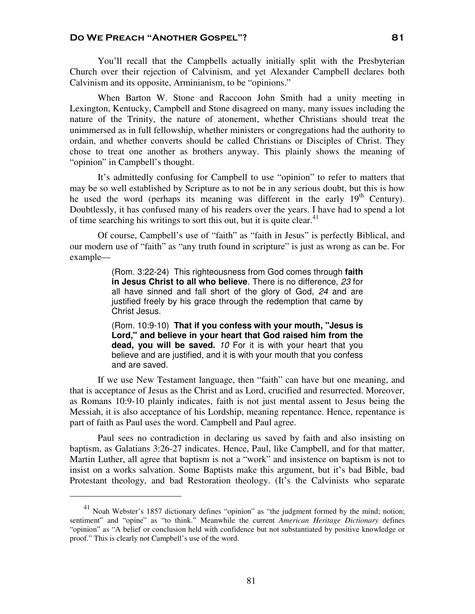You'll recall that the Campbells actually initially split with the Presbyterian Church over their rejection of Calvinism, and yet Alexander Campbell declares both Calvinism and its opposite, Arminianism, to be "opinions."

When Barton W. Stone and Raccoon John Smith had a unity meeting in Lexington, Kentucky, Campbell and Stone disagreed on many, many issues including the nature of the Trinity, the nature of atonement, whether Christians should treat the unimmersed as in full fellowship, whether ministers or congregations had the authority to ordain, and whether converts should be called Christians or Disciples of Christ. They chose to treat one another as brothers anyway. This plainly shows the meaning of "opinion" in Campbell's thought.

It's admittedly confusing for Campbell to use "opinion" to refer to matters that may be so well established by Scripture as to not be in any serious doubt, but this is how he used the word (perhaps its meaning was different in the early 19<sup>th</sup> Century). Doubtlessly, it has confused many of his readers over the years. I have had to spend a lot of time searching his writings to sort this out, but it is quite clear. $41$ 

Of course, Campbell's use of "faith" as "faith in Jesus" is perfectly Biblical, and our modern use of "faith" as "any truth found in scripture" is just as wrong as can be. For example—

> (Rom. 3:22-24) This righteousness from God comes through **faith in Jesus Christ to all who believe**. There is no difference, 23 for all have sinned and fall short of the glory of God, 24 and are justified freely by his grace through the redemption that came by Christ Jesus.

> (Rom. 10:9-10) **That if you confess with your mouth, "Jesus is Lord," and believe in your heart that God raised him from the dead, you will be saved.** 10 For it is with your heart that you believe and are justified, and it is with your mouth that you confess and are saved.

If we use New Testament language, then "faith" can have but one meaning, and that is acceptance of Jesus as the Christ and as Lord, crucified and resurrected. Moreover, as Romans 10:9-10 plainly indicates, faith is not just mental assent to Jesus being the Messiah, it is also acceptance of his Lordship, meaning repentance. Hence, repentance is part of faith as Paul uses the word. Campbell and Paul agree.

Paul sees no contradiction in declaring us saved by faith and also insisting on baptism, as Galatians 3:26-27 indicates. Hence, Paul, like Campbell, and for that matter, Martin Luther, all agree that baptism is not a "work" and insistence on baptism is not to insist on a works salvation. Some Baptists make this argument, but it's bad Bible, bad Protestant theology, and bad Restoration theology. (It's the Calvinists who separate

<sup>&</sup>lt;sup>41</sup> Noah Webster's 1857 dictionary defines "opinion" as "the judgment formed by the mind; notion; sentiment" and "opine" as "to think." Meanwhile the current *American Heritage Dictionary* defines "opinion" as "A belief or conclusion held with confidence but not substantiated by positive knowledge or proof." This is clearly not Campbell's use of the word.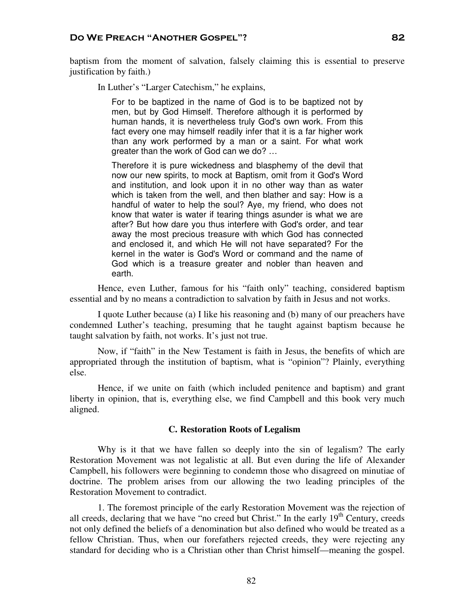baptism from the moment of salvation, falsely claiming this is essential to preserve justification by faith.)

In Luther's "Larger Catechism," he explains,

For to be baptized in the name of God is to be baptized not by men, but by God Himself. Therefore although it is performed by human hands, it is nevertheless truly God's own work. From this fact every one may himself readily infer that it is a far higher work than any work performed by a man or a saint. For what work greater than the work of God can we do? …

Therefore it is pure wickedness and blasphemy of the devil that now our new spirits, to mock at Baptism, omit from it God's Word and institution, and look upon it in no other way than as water which is taken from the well, and then blather and say: How is a handful of water to help the soul? Aye, my friend, who does not know that water is water if tearing things asunder is what we are after? But how dare you thus interfere with God's order, and tear away the most precious treasure with which God has connected and enclosed it, and which He will not have separated? For the kernel in the water is God's Word or command and the name of God which is a treasure greater and nobler than heaven and earth.

Hence, even Luther, famous for his "faith only" teaching, considered baptism essential and by no means a contradiction to salvation by faith in Jesus and not works.

I quote Luther because (a) I like his reasoning and (b) many of our preachers have condemned Luther's teaching, presuming that he taught against baptism because he taught salvation by faith, not works. It's just not true.

Now, if "faith" in the New Testament is faith in Jesus, the benefits of which are appropriated through the institution of baptism, what is "opinion"? Plainly, everything else.

Hence, if we unite on faith (which included penitence and baptism) and grant liberty in opinion, that is, everything else, we find Campbell and this book very much aligned.

#### **C. Restoration Roots of Legalism**

Why is it that we have fallen so deeply into the sin of legalism? The early Restoration Movement was not legalistic at all. But even during the life of Alexander Campbell, his followers were beginning to condemn those who disagreed on minutiae of doctrine. The problem arises from our allowing the two leading principles of the Restoration Movement to contradict.

1. The foremost principle of the early Restoration Movement was the rejection of all creeds, declaring that we have "no creed but Christ." In the early  $19<sup>th</sup>$  Century, creeds not only defined the beliefs of a denomination but also defined who would be treated as a fellow Christian. Thus, when our forefathers rejected creeds, they were rejecting any standard for deciding who is a Christian other than Christ himself—meaning the gospel.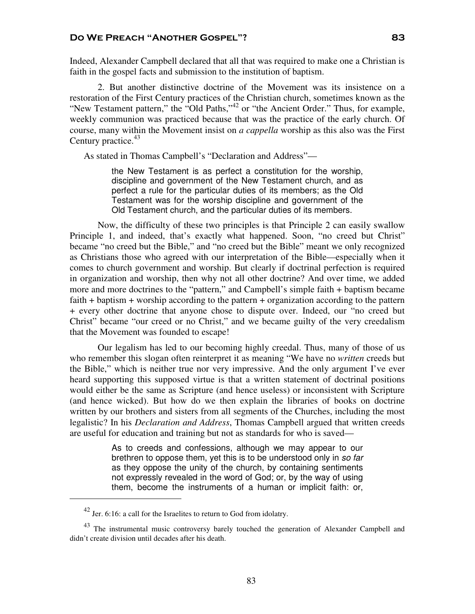Indeed, Alexander Campbell declared that all that was required to make one a Christian is faith in the gospel facts and submission to the institution of baptism.

2. But another distinctive doctrine of the Movement was its insistence on a restoration of the First Century practices of the Christian church, sometimes known as the "New Testament pattern," the "Old Paths,"<sup>42</sup> or "the Ancient Order." Thus, for example, weekly communion was practiced because that was the practice of the early church. Of course, many within the Movement insist on *a cappella* worship as this also was the First Century practice.<sup>43</sup>

As stated in Thomas Campbell's "Declaration and Address"—

the New Testament is as perfect a constitution for the worship, discipline and government of the New Testament church, and as perfect a rule for the particular duties of its members; as the Old Testament was for the worship discipline and government of the Old Testament church, and the particular duties of its members.

Now, the difficulty of these two principles is that Principle 2 can easily swallow Principle 1, and indeed, that's exactly what happened. Soon, "no creed but Christ" became "no creed but the Bible," and "no creed but the Bible" meant we only recognized as Christians those who agreed with our interpretation of the Bible—especially when it comes to church government and worship. But clearly if doctrinal perfection is required in organization and worship, then why not all other doctrine? And over time, we added more and more doctrines to the "pattern," and Campbell's simple faith + baptism became faith + baptism + worship according to the pattern + organization according to the pattern + every other doctrine that anyone chose to dispute over. Indeed, our "no creed but Christ" became "our creed or no Christ," and we became guilty of the very creedalism that the Movement was founded to escape!

Our legalism has led to our becoming highly creedal. Thus, many of those of us who remember this slogan often reinterpret it as meaning "We have no *written* creeds but the Bible," which is neither true nor very impressive. And the only argument I've ever heard supporting this supposed virtue is that a written statement of doctrinal positions would either be the same as Scripture (and hence useless) or inconsistent with Scripture (and hence wicked). But how do we then explain the libraries of books on doctrine written by our brothers and sisters from all segments of the Churches, including the most legalistic? In his *Declaration and Address*, Thomas Campbell argued that written creeds are useful for education and training but not as standards for who is saved—

> As to creeds and confessions, although we may appear to our brethren to oppose them, yet this is to be understood only in so far as they oppose the unity of the church, by containing sentiments not expressly revealed in the word of God; or, by the way of using them, become the instruments of a human or implicit faith: or,

<sup>42</sup> Jer. 6:16: a call for the Israelites to return to God from idolatry.

<sup>&</sup>lt;sup>43</sup> The instrumental music controversy barely touched the generation of Alexander Campbell and didn't create division until decades after his death.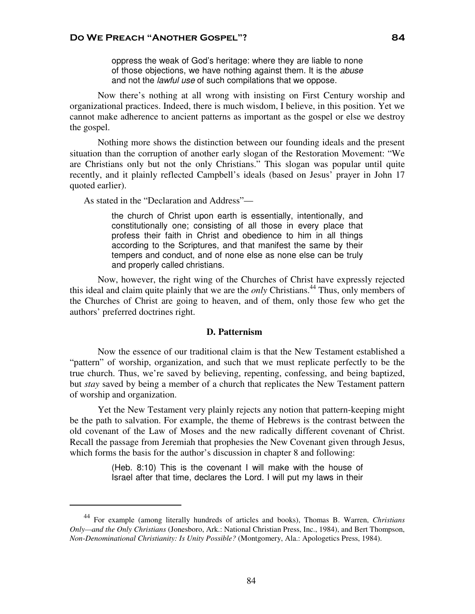oppress the weak of God's heritage: where they are liable to none of those objections, we have nothing against them. It is the abuse and not the lawful use of such compilations that we oppose.

Now there's nothing at all wrong with insisting on First Century worship and organizational practices. Indeed, there is much wisdom, I believe, in this position. Yet we cannot make adherence to ancient patterns as important as the gospel or else we destroy the gospel.

Nothing more shows the distinction between our founding ideals and the present situation than the corruption of another early slogan of the Restoration Movement: "We are Christians only but not the only Christians." This slogan was popular until quite recently, and it plainly reflected Campbell's ideals (based on Jesus' prayer in John 17 quoted earlier).

As stated in the "Declaration and Address"—

 $\overline{a}$ 

the church of Christ upon earth is essentially, intentionally, and constitutionally one; consisting of all those in every place that profess their faith in Christ and obedience to him in all things according to the Scriptures, and that manifest the same by their tempers and conduct, and of none else as none else can be truly and properly called christians.

Now, however, the right wing of the Churches of Christ have expressly rejected this ideal and claim quite plainly that we are the *only* Christians.<sup>44</sup> Thus, only members of the Churches of Christ are going to heaven, and of them, only those few who get the authors' preferred doctrines right.

## **D. Patternism**

Now the essence of our traditional claim is that the New Testament established a "pattern" of worship, organization, and such that we must replicate perfectly to be the true church. Thus, we're saved by believing, repenting, confessing, and being baptized, but *stay* saved by being a member of a church that replicates the New Testament pattern of worship and organization.

Yet the New Testament very plainly rejects any notion that pattern-keeping might be the path to salvation. For example, the theme of Hebrews is the contrast between the old covenant of the Law of Moses and the new radically different covenant of Christ. Recall the passage from Jeremiah that prophesies the New Covenant given through Jesus, which forms the basis for the author's discussion in chapter 8 and following:

> (Heb. 8:10) This is the covenant I will make with the house of Israel after that time, declares the Lord. I will put my laws in their

<sup>44</sup> For example (among literally hundreds of articles and books), Thomas B. Warren, *Christians Only—and the Only Christians* (Jonesboro, Ark.: National Christian Press, Inc., 1984), and Bert Thompson, *Non-Denominational Christianity: Is Unity Possible?* (Montgomery, Ala.: Apologetics Press, 1984).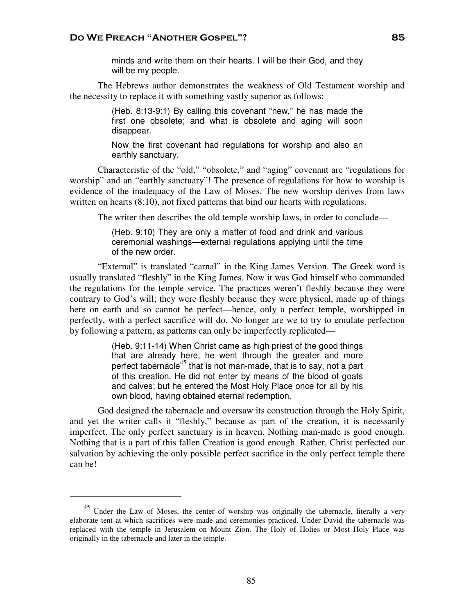minds and write them on their hearts. I will be their God, and they will be my people.

The Hebrews author demonstrates the weakness of Old Testament worship and the necessity to replace it with something vastly superior as follows:

> (Heb. 8:13-9:1) By calling this covenant "new," he has made the first one obsolete; and what is obsolete and aging will soon disappear.

> Now the first covenant had regulations for worship and also an earthly sanctuary.

Characteristic of the "old," "obsolete," and "aging" covenant are "regulations for worship" and an "earthly sanctuary"! The presence of regulations for how to worship is evidence of the inadequacy of the Law of Moses. The new worship derives from laws written on hearts (8:10), not fixed patterns that bind our hearts with regulations.

The writer then describes the old temple worship laws, in order to conclude—

(Heb. 9:10) They are only a matter of food and drink and various ceremonial washings—external regulations applying until the time of the new order.

"External" is translated "carnal" in the King James Version. The Greek word is usually translated "fleshly" in the King James. Now it was God himself who commanded the regulations for the temple service. The practices weren't fleshly because they were contrary to God's will; they were fleshly because they were physical, made up of things here on earth and so cannot be perfect—hence, only a perfect temple, worshipped in perfectly, with a perfect sacrifice will do. No longer are we to try to emulate perfection by following a pattern, as patterns can only be imperfectly replicated—

> (Heb. 9:11-14) When Christ came as high priest of the good things that are already here, he went through the greater and more perfect tabernacle<sup>45</sup> that is not man-made, that is to say, not a part of this creation. He did not enter by means of the blood of goats and calves; but he entered the Most Holy Place once for all by his own blood, having obtained eternal redemption.

God designed the tabernacle and oversaw its construction through the Holy Spirit, and yet the writer calls it "fleshly," because as part of the creation, it is necessarily imperfect. The only perfect sanctuary is in heaven. Nothing man-made is good enough. Nothing that is a part of this fallen Creation is good enough. Rather, Christ perfected our salvation by achieving the only possible perfect sacrifice in the only perfect temple there can be!

<sup>&</sup>lt;sup>45</sup> Under the Law of Moses, the center of worship was originally the tabernacle, literally a very elaborate tent at which sacrifices were made and ceremonies practiced. Under David the tabernacle was replaced with the temple in Jerusalem on Mount Zion. The Holy of Holies or Most Holy Place was originally in the tabernacle and later in the temple.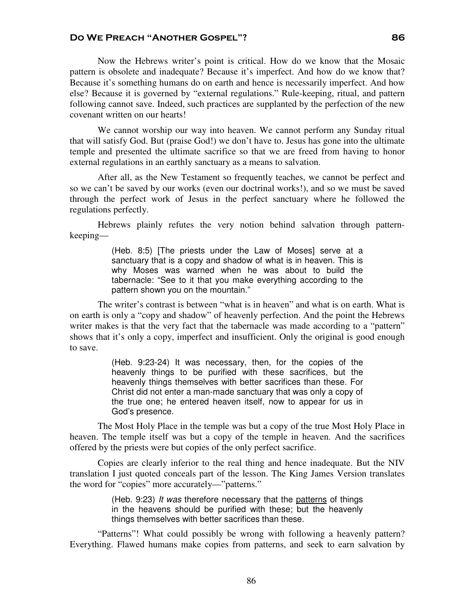Now the Hebrews writer's point is critical. How do we know that the Mosaic pattern is obsolete and inadequate? Because it's imperfect. And how do we know that? Because it's something humans do on earth and hence is necessarily imperfect. And how else? Because it is governed by "external regulations." Rule-keeping, ritual, and pattern following cannot save. Indeed, such practices are supplanted by the perfection of the new covenant written on our hearts!

We cannot worship our way into heaven. We cannot perform any Sunday ritual that will satisfy God. But (praise God!) we don't have to. Jesus has gone into the ultimate temple and presented the ultimate sacrifice so that we are freed from having to honor external regulations in an earthly sanctuary as a means to salvation.

After all, as the New Testament so frequently teaches, we cannot be perfect and so we can't be saved by our works (even our doctrinal works!), and so we must be saved through the perfect work of Jesus in the perfect sanctuary where he followed the regulations perfectly.

Hebrews plainly refutes the very notion behind salvation through patternkeeping—

> (Heb. 8:5) [The priests under the Law of Moses] serve at a sanctuary that is a copy and shadow of what is in heaven. This is why Moses was warned when he was about to build the tabernacle: "See to it that you make everything according to the pattern shown you on the mountain."

The writer's contrast is between "what is in heaven" and what is on earth. What is on earth is only a "copy and shadow" of heavenly perfection. And the point the Hebrews writer makes is that the very fact that the tabernacle was made according to a "pattern" shows that it's only a copy, imperfect and insufficient. Only the original is good enough to save.

> (Heb. 9:23-24) It was necessary, then, for the copies of the heavenly things to be purified with these sacrifices, but the heavenly things themselves with better sacrifices than these. For Christ did not enter a man-made sanctuary that was only a copy of the true one; he entered heaven itself, now to appear for us in God's presence.

The Most Holy Place in the temple was but a copy of the true Most Holy Place in heaven. The temple itself was but a copy of the temple in heaven. And the sacrifices offered by the priests were but copies of the only perfect sacrifice.

Copies are clearly inferior to the real thing and hence inadequate. But the NIV translation I just quoted conceals part of the lesson. The King James Version translates the word for "copies" more accurately—"patterns."

> (Heb. 9:23) It was therefore necessary that the patterns of things in the heavens should be purified with these; but the heavenly things themselves with better sacrifices than these.

"Patterns"! What could possibly be wrong with following a heavenly pattern? Everything. Flawed humans make copies from patterns, and seek to earn salvation by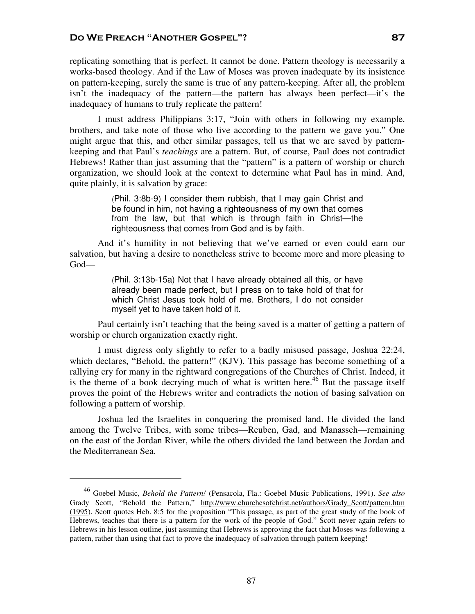replicating something that is perfect. It cannot be done. Pattern theology is necessarily a works-based theology. And if the Law of Moses was proven inadequate by its insistence on pattern-keeping, surely the same is true of any pattern-keeping. After all, the problem isn't the inadequacy of the pattern—the pattern has always been perfect—it's the inadequacy of humans to truly replicate the pattern!

I must address Philippians 3:17, "Join with others in following my example, brothers, and take note of those who live according to the pattern we gave you." One might argue that this, and other similar passages, tell us that we are saved by patternkeeping and that Paul's *teachings* are a pattern. But, of course, Paul does not contradict Hebrews! Rather than just assuming that the "pattern" is a pattern of worship or church organization, we should look at the context to determine what Paul has in mind. And, quite plainly, it is salvation by grace:

> (Phil. 3:8b-9) I consider them rubbish, that I may gain Christ and be found in him, not having a righteousness of my own that comes from the law, but that which is through faith in Christ—the righteousness that comes from God and is by faith.

And it's humility in not believing that we've earned or even could earn our salvation, but having a desire to nonetheless strive to become more and more pleasing to God—

> (Phil. 3:13b-15a) Not that I have already obtained all this, or have already been made perfect, but I press on to take hold of that for which Christ Jesus took hold of me. Brothers, I do not consider myself yet to have taken hold of it.

Paul certainly isn't teaching that the being saved is a matter of getting a pattern of worship or church organization exactly right.

I must digress only slightly to refer to a badly misused passage, Joshua 22:24, which declares, "Behold, the pattern!" (KJV). This passage has become something of a rallying cry for many in the rightward congregations of the Churches of Christ. Indeed, it is the theme of a book decrying much of what is written here.<sup>46</sup> But the passage itself proves the point of the Hebrews writer and contradicts the notion of basing salvation on following a pattern of worship.

Joshua led the Israelites in conquering the promised land. He divided the land among the Twelve Tribes, with some tribes—Reuben, Gad, and Manasseh—remaining on the east of the Jordan River, while the others divided the land between the Jordan and the Mediterranean Sea.

<sup>46</sup> Goebel Music, *Behold the Pattern!* (Pensacola, Fla.: Goebel Music Publications, 1991). *See also* Grady Scott, "Behold the Pattern," http://www.churchesofchrist.net/authors/Grady Scott/pattern.htm (1995). Scott quotes Heb. 8:5 for the proposition "This passage, as part of the great study of the book of Hebrews, teaches that there is a pattern for the work of the people of God." Scott never again refers to Hebrews in his lesson outline, just assuming that Hebrews is approving the fact that Moses was following a pattern, rather than using that fact to prove the inadequacy of salvation through pattern keeping!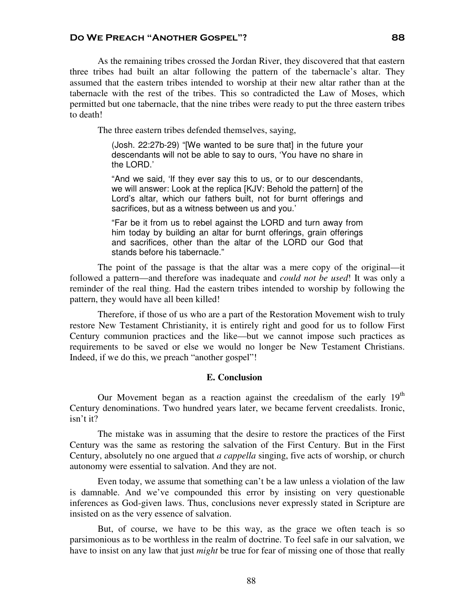As the remaining tribes crossed the Jordan River, they discovered that that eastern three tribes had built an altar following the pattern of the tabernacle's altar. They assumed that the eastern tribes intended to worship at their new altar rather than at the tabernacle with the rest of the tribes. This so contradicted the Law of Moses, which permitted but one tabernacle, that the nine tribes were ready to put the three eastern tribes to death!

The three eastern tribes defended themselves, saying,

(Josh. 22:27b-29) "[We wanted to be sure that] in the future your descendants will not be able to say to ours, 'You have no share in the LORD.'

"And we said, 'If they ever say this to us, or to our descendants, we will answer: Look at the replica [KJV: Behold the pattern] of the Lord's altar, which our fathers built, not for burnt offerings and sacrifices, but as a witness between us and you.'

"Far be it from us to rebel against the LORD and turn away from him today by building an altar for burnt offerings, grain offerings and sacrifices, other than the altar of the LORD our God that stands before his tabernacle."

The point of the passage is that the altar was a mere copy of the original—it followed a pattern—and therefore was inadequate and *could not be used*! It was only a reminder of the real thing. Had the eastern tribes intended to worship by following the pattern, they would have all been killed!

Therefore, if those of us who are a part of the Restoration Movement wish to truly restore New Testament Christianity, it is entirely right and good for us to follow First Century communion practices and the like—but we cannot impose such practices as requirements to be saved or else we would no longer be New Testament Christians. Indeed, if we do this, we preach "another gospel"!

## **E. Conclusion**

Our Movement began as a reaction against the creedalism of the early 19<sup>th</sup> Century denominations. Two hundred years later, we became fervent creedalists. Ironic, isn't it?

The mistake was in assuming that the desire to restore the practices of the First Century was the same as restoring the salvation of the First Century. But in the First Century, absolutely no one argued that *a cappella* singing, five acts of worship, or church autonomy were essential to salvation. And they are not.

Even today, we assume that something can't be a law unless a violation of the law is damnable. And we've compounded this error by insisting on very questionable inferences as God-given laws. Thus, conclusions never expressly stated in Scripture are insisted on as the very essence of salvation.

But, of course, we have to be this way, as the grace we often teach is so parsimonious as to be worthless in the realm of doctrine. To feel safe in our salvation, we have to insist on any law that just *might* be true for fear of missing one of those that really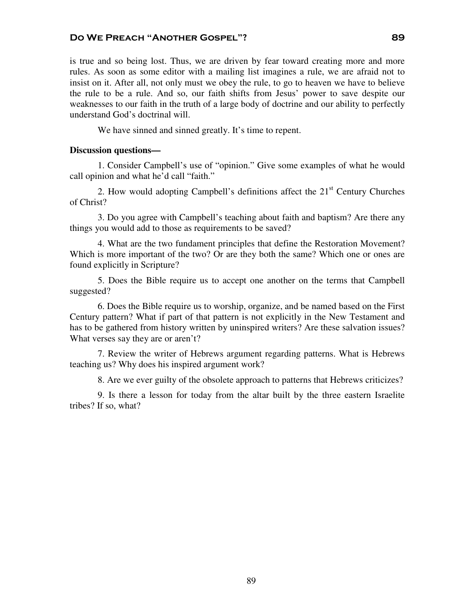is true and so being lost. Thus, we are driven by fear toward creating more and more rules. As soon as some editor with a mailing list imagines a rule, we are afraid not to insist on it. After all, not only must we obey the rule, to go to heaven we have to believe the rule to be a rule. And so, our faith shifts from Jesus' power to save despite our weaknesses to our faith in the truth of a large body of doctrine and our ability to perfectly understand God's doctrinal will.

We have sinned and sinned greatly. It's time to repent.

#### **Discussion questions—**

1. Consider Campbell's use of "opinion." Give some examples of what he would call opinion and what he'd call "faith."

2. How would adopting Campbell's definitions affect the  $21<sup>st</sup>$  Century Churches of Christ?

3. Do you agree with Campbell's teaching about faith and baptism? Are there any things you would add to those as requirements to be saved?

4. What are the two fundament principles that define the Restoration Movement? Which is more important of the two? Or are they both the same? Which one or ones are found explicitly in Scripture?

5. Does the Bible require us to accept one another on the terms that Campbell suggested?

6. Does the Bible require us to worship, organize, and be named based on the First Century pattern? What if part of that pattern is not explicitly in the New Testament and has to be gathered from history written by uninspired writers? Are these salvation issues? What verses say they are or aren't?

7. Review the writer of Hebrews argument regarding patterns. What is Hebrews teaching us? Why does his inspired argument work?

8. Are we ever guilty of the obsolete approach to patterns that Hebrews criticizes?

9. Is there a lesson for today from the altar built by the three eastern Israelite tribes? If so, what?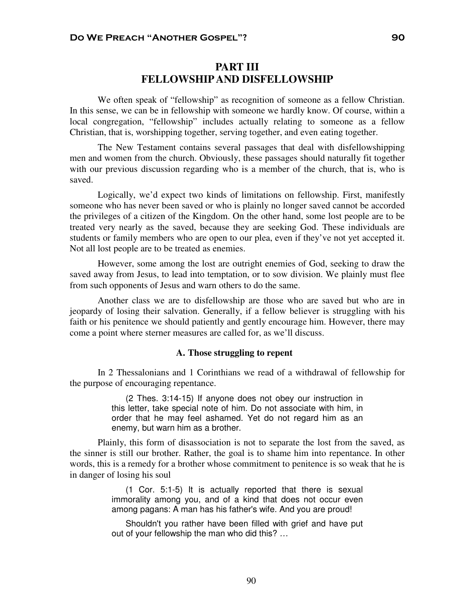# **PART III FELLOWSHIP AND DISFELLOWSHIP**

We often speak of "fellowship" as recognition of someone as a fellow Christian. In this sense, we can be in fellowship with someone we hardly know. Of course, within a local congregation, "fellowship" includes actually relating to someone as a fellow Christian, that is, worshipping together, serving together, and even eating together.

The New Testament contains several passages that deal with disfellowshipping men and women from the church. Obviously, these passages should naturally fit together with our previous discussion regarding who is a member of the church, that is, who is saved.

Logically, we'd expect two kinds of limitations on fellowship. First, manifestly someone who has never been saved or who is plainly no longer saved cannot be accorded the privileges of a citizen of the Kingdom. On the other hand, some lost people are to be treated very nearly as the saved, because they are seeking God. These individuals are students or family members who are open to our plea, even if they've not yet accepted it. Not all lost people are to be treated as enemies.

However, some among the lost are outright enemies of God, seeking to draw the saved away from Jesus, to lead into temptation, or to sow division. We plainly must flee from such opponents of Jesus and warn others to do the same.

Another class we are to disfellowship are those who are saved but who are in jeopardy of losing their salvation. Generally, if a fellow believer is struggling with his faith or his penitence we should patiently and gently encourage him. However, there may come a point where sterner measures are called for, as we'll discuss.

## **A. Those struggling to repent**

In 2 Thessalonians and 1 Corinthians we read of a withdrawal of fellowship for the purpose of encouraging repentance.

> (2 Thes. 3:14-15) If anyone does not obey our instruction in this letter, take special note of him. Do not associate with him, in order that he may feel ashamed. Yet do not regard him as an enemy, but warn him as a brother.

Plainly, this form of disassociation is not to separate the lost from the saved, as the sinner is still our brother. Rather, the goal is to shame him into repentance. In other words, this is a remedy for a brother whose commitment to penitence is so weak that he is in danger of losing his soul

> (1 Cor. 5:1-5) It is actually reported that there is sexual immorality among you, and of a kind that does not occur even among pagans: A man has his father's wife. And you are proud!

> Shouldn't you rather have been filled with grief and have put out of your fellowship the man who did this? …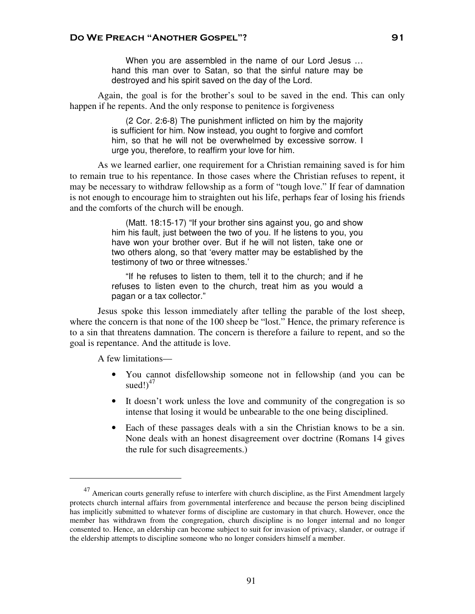When you are assembled in the name of our Lord Jesus … hand this man over to Satan, so that the sinful nature may be destroyed and his spirit saved on the day of the Lord.

Again, the goal is for the brother's soul to be saved in the end. This can only happen if he repents. And the only response to penitence is forgiveness

> (2 Cor. 2:6-8) The punishment inflicted on him by the majority is sufficient for him. Now instead, you ought to forgive and comfort him, so that he will not be overwhelmed by excessive sorrow. I urge you, therefore, to reaffirm your love for him.

As we learned earlier, one requirement for a Christian remaining saved is for him to remain true to his repentance. In those cases where the Christian refuses to repent, it may be necessary to withdraw fellowship as a form of "tough love." If fear of damnation is not enough to encourage him to straighten out his life, perhaps fear of losing his friends and the comforts of the church will be enough.

> (Matt. 18:15-17) "If your brother sins against you, go and show him his fault, just between the two of you. If he listens to you, you have won your brother over. But if he will not listen, take one or two others along, so that 'every matter may be established by the testimony of two or three witnesses.'

> "If he refuses to listen to them, tell it to the church; and if he refuses to listen even to the church, treat him as you would a pagan or a tax collector."

Jesus spoke this lesson immediately after telling the parable of the lost sheep, where the concern is that none of the 100 sheep be "lost." Hence, the primary reference is to a sin that threatens damnation. The concern is therefore a failure to repent, and so the goal is repentance. And the attitude is love.

A few limitations—

- You cannot disfellowship someone not in fellowship (and you can be sued! $)^{47}$
- It doesn't work unless the love and community of the congregation is so intense that losing it would be unbearable to the one being disciplined.
- Each of these passages deals with a sin the Christian knows to be a sin. None deals with an honest disagreement over doctrine (Romans 14 gives the rule for such disagreements.)

 $^{47}$  American courts generally refuse to interfere with church discipline, as the First Amendment largely protects church internal affairs from governmental interference and because the person being disciplined has implicitly submitted to whatever forms of discipline are customary in that church. However, once the member has withdrawn from the congregation, church discipline is no longer internal and no longer consented to. Hence, an eldership can become subject to suit for invasion of privacy, slander, or outrage if the eldership attempts to discipline someone who no longer considers himself a member.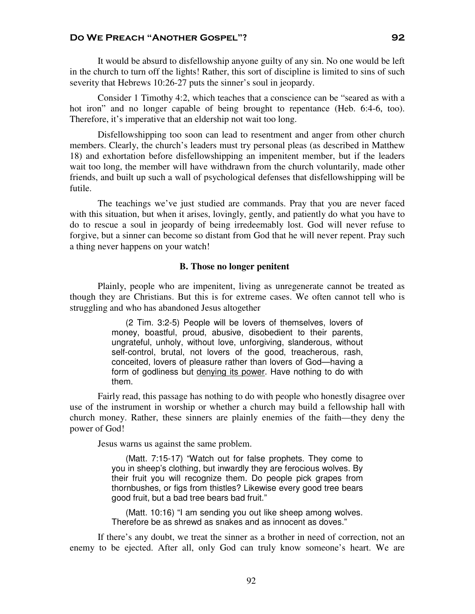It would be absurd to disfellowship anyone guilty of any sin. No one would be left in the church to turn off the lights! Rather, this sort of discipline is limited to sins of such severity that Hebrews 10:26-27 puts the sinner's soul in jeopardy.

Consider 1 Timothy 4:2, which teaches that a conscience can be "seared as with a hot iron" and no longer capable of being brought to repentance (Heb. 6:4-6, too). Therefore, it's imperative that an eldership not wait too long.

Disfellowshipping too soon can lead to resentment and anger from other church members. Clearly, the church's leaders must try personal pleas (as described in Matthew 18) and exhortation before disfellowshipping an impenitent member, but if the leaders wait too long, the member will have withdrawn from the church voluntarily, made other friends, and built up such a wall of psychological defenses that disfellowshipping will be futile.

The teachings we've just studied are commands. Pray that you are never faced with this situation, but when it arises, lovingly, gently, and patiently do what you have to do to rescue a soul in jeopardy of being irredeemably lost. God will never refuse to forgive, but a sinner can become so distant from God that he will never repent. Pray such a thing never happens on your watch!

## **B. Those no longer penitent**

Plainly, people who are impenitent, living as unregenerate cannot be treated as though they are Christians. But this is for extreme cases. We often cannot tell who is struggling and who has abandoned Jesus altogether

> (2 Tim. 3:2-5) People will be lovers of themselves, lovers of money, boastful, proud, abusive, disobedient to their parents, ungrateful, unholy, without love, unforgiving, slanderous, without self-control, brutal, not lovers of the good, treacherous, rash, conceited, lovers of pleasure rather than lovers of God—having a form of godliness but denying its power. Have nothing to do with them.

Fairly read, this passage has nothing to do with people who honestly disagree over use of the instrument in worship or whether a church may build a fellowship hall with church money. Rather, these sinners are plainly enemies of the faith—they deny the power of God!

Jesus warns us against the same problem.

 (Matt. 7:15-17) "Watch out for false prophets. They come to you in sheep's clothing, but inwardly they are ferocious wolves. By their fruit you will recognize them. Do people pick grapes from thornbushes, or figs from thistles? Likewise every good tree bears good fruit, but a bad tree bears bad fruit."

 (Matt. 10:16) "I am sending you out like sheep among wolves. Therefore be as shrewd as snakes and as innocent as doves."

If there's any doubt, we treat the sinner as a brother in need of correction, not an enemy to be ejected. After all, only God can truly know someone's heart. We are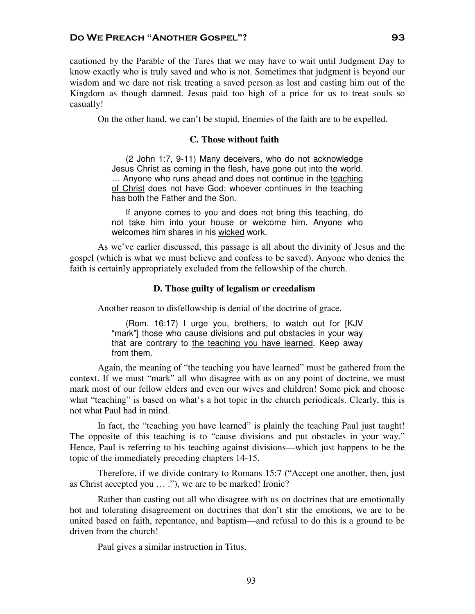cautioned by the Parable of the Tares that we may have to wait until Judgment Day to know exactly who is truly saved and who is not. Sometimes that judgment is beyond our wisdom and we dare not risk treating a saved person as lost and casting him out of the Kingdom as though damned. Jesus paid too high of a price for us to treat souls so casually!

On the other hand, we can't be stupid. Enemies of the faith are to be expelled.

## **C. Those without faith**

 (2 John 1:7, 9-11) Many deceivers, who do not acknowledge Jesus Christ as coming in the flesh, have gone out into the world. ... Anyone who runs ahead and does not continue in the teaching of Christ does not have God; whoever continues in the teaching has both the Father and the Son.

If anyone comes to you and does not bring this teaching, do not take him into your house or welcome him. Anyone who welcomes him shares in his wicked work.

As we've earlier discussed, this passage is all about the divinity of Jesus and the gospel (which is what we must believe and confess to be saved). Anyone who denies the faith is certainly appropriately excluded from the fellowship of the church.

#### **D. Those guilty of legalism or creedalism**

Another reason to disfellowship is denial of the doctrine of grace.

 (Rom. 16:17) I urge you, brothers, to watch out for [KJV "mark"] those who cause divisions and put obstacles in your way that are contrary to the teaching you have learned. Keep away from them.

Again, the meaning of "the teaching you have learned" must be gathered from the context. If we must "mark" all who disagree with us on any point of doctrine, we must mark most of our fellow elders and even our wives and children! Some pick and choose what "teaching" is based on what's a hot topic in the church periodicals. Clearly, this is not what Paul had in mind.

In fact, the "teaching you have learned" is plainly the teaching Paul just taught! The opposite of this teaching is to "cause divisions and put obstacles in your way." Hence, Paul is referring to his teaching against divisions—which just happens to be the topic of the immediately preceding chapters 14-15.

Therefore, if we divide contrary to Romans 15:7 ("Accept one another, then, just as Christ accepted you … ."), we are to be marked! Ironic?

Rather than casting out all who disagree with us on doctrines that are emotionally hot and tolerating disagreement on doctrines that don't stir the emotions, we are to be united based on faith, repentance, and baptism—and refusal to do this is a ground to be driven from the church!

Paul gives a similar instruction in Titus.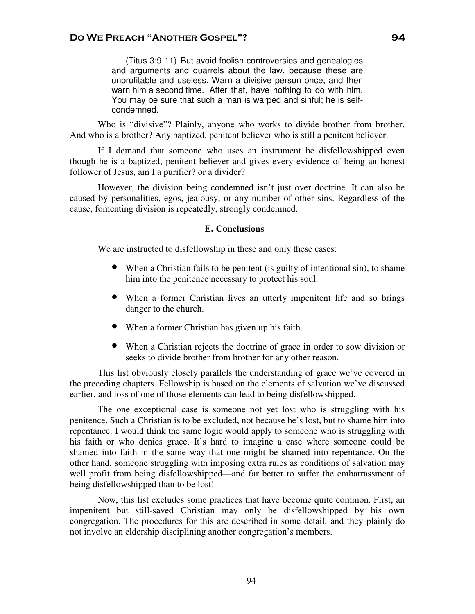(Titus 3:9-11) But avoid foolish controversies and genealogies and arguments and quarrels about the law, because these are unprofitable and useless. Warn a divisive person once, and then warn him a second time. After that, have nothing to do with him. You may be sure that such a man is warped and sinful; he is selfcondemned.

Who is "divisive"? Plainly, anyone who works to divide brother from brother. And who is a brother? Any baptized, penitent believer who is still a penitent believer.

If I demand that someone who uses an instrument be disfellowshipped even though he is a baptized, penitent believer and gives every evidence of being an honest follower of Jesus, am I a purifier? or a divider?

However, the division being condemned isn't just over doctrine. It can also be caused by personalities, egos, jealousy, or any number of other sins. Regardless of the cause, fomenting division is repeatedly, strongly condemned.

#### **E. Conclusions**

We are instructed to disfellowship in these and only these cases:

- When a Christian fails to be penitent (is guilty of intentional sin), to shame him into the penitence necessary to protect his soul.
- When a former Christian lives an utterly impenitent life and so brings danger to the church.
- When a former Christian has given up his faith.
- When a Christian rejects the doctrine of grace in order to sow division or seeks to divide brother from brother for any other reason.

This list obviously closely parallels the understanding of grace we've covered in the preceding chapters. Fellowship is based on the elements of salvation we've discussed earlier, and loss of one of those elements can lead to being disfellowshipped.

The one exceptional case is someone not yet lost who is struggling with his penitence. Such a Christian is to be excluded, not because he's lost, but to shame him into repentance. I would think the same logic would apply to someone who is struggling with his faith or who denies grace. It's hard to imagine a case where someone could be shamed into faith in the same way that one might be shamed into repentance. On the other hand, someone struggling with imposing extra rules as conditions of salvation may well profit from being disfellowshipped—and far better to suffer the embarrassment of being disfellowshipped than to be lost!

Now, this list excludes some practices that have become quite common. First, an impenitent but still-saved Christian may only be disfellowshipped by his own congregation. The procedures for this are described in some detail, and they plainly do not involve an eldership disciplining another congregation's members.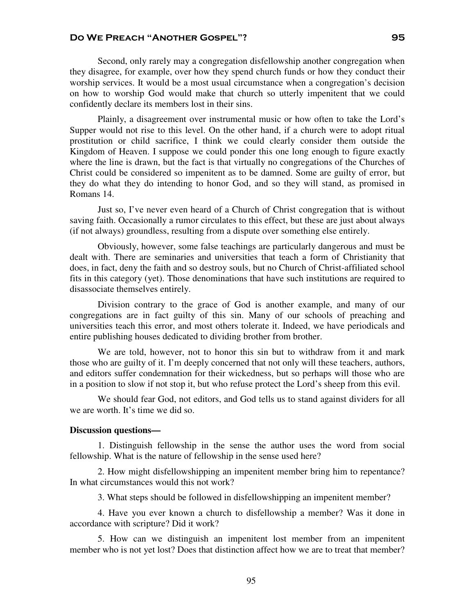Second, only rarely may a congregation disfellowship another congregation when they disagree, for example, over how they spend church funds or how they conduct their worship services. It would be a most usual circumstance when a congregation's decision on how to worship God would make that church so utterly impenitent that we could confidently declare its members lost in their sins.

Plainly, a disagreement over instrumental music or how often to take the Lord's Supper would not rise to this level. On the other hand, if a church were to adopt ritual prostitution or child sacrifice, I think we could clearly consider them outside the Kingdom of Heaven. I suppose we could ponder this one long enough to figure exactly where the line is drawn, but the fact is that virtually no congregations of the Churches of Christ could be considered so impenitent as to be damned. Some are guilty of error, but they do what they do intending to honor God, and so they will stand, as promised in Romans 14.

Just so, I've never even heard of a Church of Christ congregation that is without saving faith. Occasionally a rumor circulates to this effect, but these are just about always (if not always) groundless, resulting from a dispute over something else entirely.

Obviously, however, some false teachings are particularly dangerous and must be dealt with. There are seminaries and universities that teach a form of Christianity that does, in fact, deny the faith and so destroy souls, but no Church of Christ-affiliated school fits in this category (yet). Those denominations that have such institutions are required to disassociate themselves entirely.

Division contrary to the grace of God is another example, and many of our congregations are in fact guilty of this sin. Many of our schools of preaching and universities teach this error, and most others tolerate it. Indeed, we have periodicals and entire publishing houses dedicated to dividing brother from brother.

We are told, however, not to honor this sin but to withdraw from it and mark those who are guilty of it. I'm deeply concerned that not only will these teachers, authors, and editors suffer condemnation for their wickedness, but so perhaps will those who are in a position to slow if not stop it, but who refuse protect the Lord's sheep from this evil.

We should fear God, not editors, and God tells us to stand against dividers for all we are worth. It's time we did so.

## **Discussion questions—**

1. Distinguish fellowship in the sense the author uses the word from social fellowship. What is the nature of fellowship in the sense used here?

2. How might disfellowshipping an impenitent member bring him to repentance? In what circumstances would this not work?

3. What steps should be followed in disfellowshipping an impenitent member?

4. Have you ever known a church to disfellowship a member? Was it done in accordance with scripture? Did it work?

5. How can we distinguish an impenitent lost member from an impenitent member who is not yet lost? Does that distinction affect how we are to treat that member?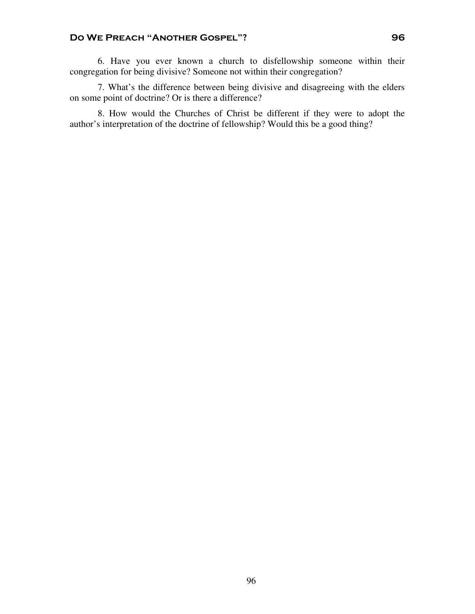6. Have you ever known a church to disfellowship someone within their congregation for being divisive? Someone not within their congregation?

7. What's the difference between being divisive and disagreeing with the elders on some point of doctrine? Or is there a difference?

8. How would the Churches of Christ be different if they were to adopt the author's interpretation of the doctrine of fellowship? Would this be a good thing?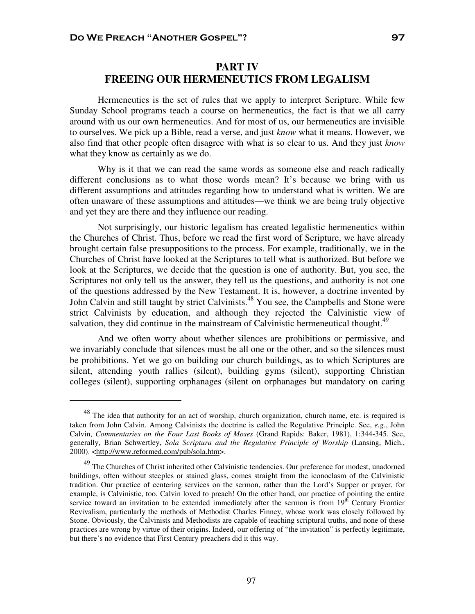$\overline{a}$ 

# **PART IV FREEING OUR HERMENEUTICS FROM LEGALISM**

Hermeneutics is the set of rules that we apply to interpret Scripture. While few Sunday School programs teach a course on hermeneutics, the fact is that we all carry around with us our own hermeneutics. And for most of us, our hermeneutics are invisible to ourselves. We pick up a Bible, read a verse, and just *know* what it means. However, we also find that other people often disagree with what is so clear to us. And they just *know* what they know as certainly as we do.

Why is it that we can read the same words as someone else and reach radically different conclusions as to what those words mean? It's because we bring with us different assumptions and attitudes regarding how to understand what is written. We are often unaware of these assumptions and attitudes—we think we are being truly objective and yet they are there and they influence our reading.

Not surprisingly, our historic legalism has created legalistic hermeneutics within the Churches of Christ. Thus, before we read the first word of Scripture, we have already brought certain false presuppositions to the process. For example, traditionally, we in the Churches of Christ have looked at the Scriptures to tell what is authorized. But before we look at the Scriptures, we decide that the question is one of authority. But, you see, the Scriptures not only tell us the answer, they tell us the questions, and authority is not one of the questions addressed by the New Testament. It is, however, a doctrine invented by John Calvin and still taught by strict Calvinists.<sup>48</sup> You see, the Campbells and Stone were strict Calvinists by education, and although they rejected the Calvinistic view of salvation, they did continue in the mainstream of Calvinistic hermeneutical thought.<sup>49</sup>

And we often worry about whether silences are prohibitions or permissive, and we invariably conclude that silences must be all one or the other, and so the silences must be prohibitions. Yet we go on building our church buildings, as to which Scriptures are silent, attending youth rallies (silent), building gyms (silent), supporting Christian colleges (silent), supporting orphanages (silent on orphanages but mandatory on caring

<sup>&</sup>lt;sup>48</sup> The idea that authority for an act of worship, church organization, church name, etc. is required is taken from John Calvin. Among Calvinists the doctrine is called the Regulative Principle. See, *e.g*., John Calvin, *Commentaries on the Four Last Books of Moses* (Grand Rapids: Baker, 1981), 1:344-345. See, generally, Brian Schwertley, *Sola Scriptura and the Regulative Principle of Worship* (Lansing, Mich., 2000). <http://www.reformed.com/pub/sola.htm>.

<sup>&</sup>lt;sup>49</sup> The Churches of Christ inherited other Calvinistic tendencies. Our preference for modest, unadorned buildings, often without steeples or stained glass, comes straight from the iconoclasm of the Calvinistic tradition. Our practice of centering services on the sermon, rather than the Lord's Supper or prayer, for example, is Calvinistic, too. Calvin loved to preach! On the other hand, our practice of pointing the entire service toward an invitation to be extended immediately after the sermon is from  $19<sup>th</sup>$  Century Frontier Revivalism, particularly the methods of Methodist Charles Finney, whose work was closely followed by Stone. Obviously, the Calvinists and Methodists are capable of teaching scriptural truths, and none of these practices are wrong by virtue of their origins. Indeed, our offering of "the invitation" is perfectly legitimate, but there's no evidence that First Century preachers did it this way.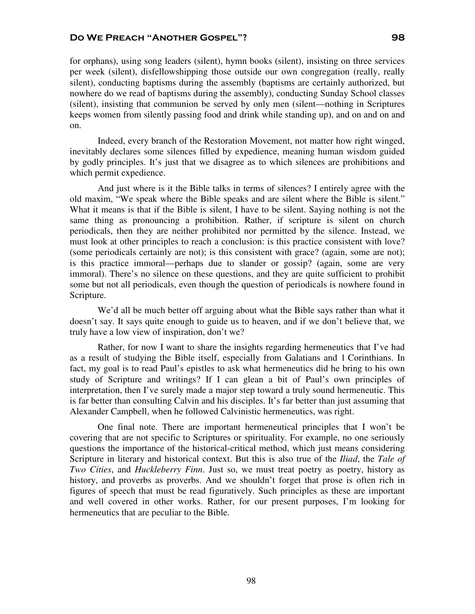for orphans), using song leaders (silent), hymn books (silent), insisting on three services per week (silent), disfellowshipping those outside our own congregation (really, really silent), conducting baptisms during the assembly (baptisms are certainly authorized, but nowhere do we read of baptisms during the assembly), conducting Sunday School classes (silent), insisting that communion be served by only men (silent—nothing in Scriptures keeps women from silently passing food and drink while standing up), and on and on and on.

Indeed, every branch of the Restoration Movement, not matter how right winged, inevitably declares some silences filled by expedience, meaning human wisdom guided by godly principles. It's just that we disagree as to which silences are prohibitions and which permit expedience.

And just where is it the Bible talks in terms of silences? I entirely agree with the old maxim, "We speak where the Bible speaks and are silent where the Bible is silent." What it means is that if the Bible is silent, I have to be silent. Saying nothing is not the same thing as pronouncing a prohibition. Rather, if scripture is silent on church periodicals, then they are neither prohibited nor permitted by the silence. Instead, we must look at other principles to reach a conclusion: is this practice consistent with love? (some periodicals certainly are not); is this consistent with grace? (again, some are not); is this practice immoral—perhaps due to slander or gossip? (again, some are very immoral). There's no silence on these questions, and they are quite sufficient to prohibit some but not all periodicals, even though the question of periodicals is nowhere found in Scripture.

We'd all be much better off arguing about what the Bible says rather than what it doesn't say. It says quite enough to guide us to heaven, and if we don't believe that, we truly have a low view of inspiration, don't we?

Rather, for now I want to share the insights regarding hermeneutics that I've had as a result of studying the Bible itself, especially from Galatians and 1 Corinthians. In fact, my goal is to read Paul's epistles to ask what hermeneutics did he bring to his own study of Scripture and writings? If I can glean a bit of Paul's own principles of interpretation, then I've surely made a major step toward a truly sound hermeneutic. This is far better than consulting Calvin and his disciples. It's far better than just assuming that Alexander Campbell, when he followed Calvinistic hermeneutics, was right.

One final note. There are important hermeneutical principles that I won't be covering that are not specific to Scriptures or spirituality. For example, no one seriously questions the importance of the historical-critical method, which just means considering Scripture in literary and historical context. But this is also true of the *Iliad*, the *Tale of Two Cities*, and *Huckleberry Finn*. Just so, we must treat poetry as poetry, history as history, and proverbs as proverbs. And we shouldn't forget that prose is often rich in figures of speech that must be read figuratively. Such principles as these are important and well covered in other works. Rather, for our present purposes, I'm looking for hermeneutics that are peculiar to the Bible.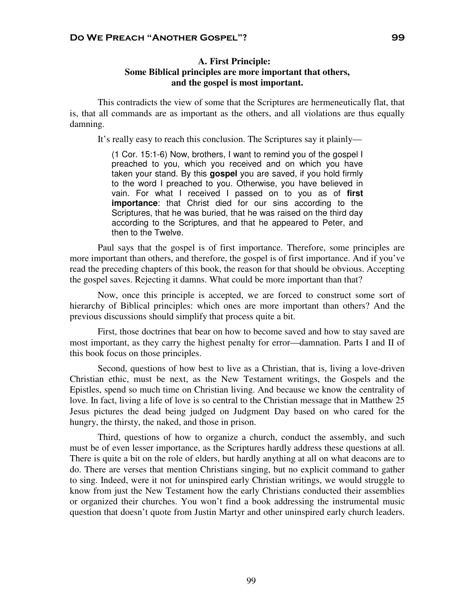## **A. First Principle: Some Biblical principles are more important that others, and the gospel is most important.**

This contradicts the view of some that the Scriptures are hermeneutically flat, that is, that all commands are as important as the others, and all violations are thus equally damning.

It's really easy to reach this conclusion. The Scriptures say it plainly—

(1 Cor. 15:1-6) Now, brothers, I want to remind you of the gospel I preached to you, which you received and on which you have taken your stand. By this **gospel** you are saved, if you hold firmly to the word I preached to you. Otherwise, you have believed in vain. For what I received I passed on to you as of **first importance**: that Christ died for our sins according to the Scriptures, that he was buried, that he was raised on the third day according to the Scriptures, and that he appeared to Peter, and then to the Twelve.

Paul says that the gospel is of first importance. Therefore, some principles are more important than others, and therefore, the gospel is of first importance. And if you've read the preceding chapters of this book, the reason for that should be obvious. Accepting the gospel saves. Rejecting it damns. What could be more important than that?

Now, once this principle is accepted, we are forced to construct some sort of hierarchy of Biblical principles: which ones are more important than others? And the previous discussions should simplify that process quite a bit.

First, those doctrines that bear on how to become saved and how to stay saved are most important, as they carry the highest penalty for error—damnation. Parts I and II of this book focus on those principles.

Second, questions of how best to live as a Christian, that is, living a love-driven Christian ethic, must be next, as the New Testament writings, the Gospels and the Epistles, spend so much time on Christian living. And because we know the centrality of love. In fact, living a life of love is so central to the Christian message that in Matthew 25 Jesus pictures the dead being judged on Judgment Day based on who cared for the hungry, the thirsty, the naked, and those in prison.

Third, questions of how to organize a church, conduct the assembly, and such must be of even lesser importance, as the Scriptures hardly address these questions at all. There is quite a bit on the role of elders, but hardly anything at all on what deacons are to do. There are verses that mention Christians singing, but no explicit command to gather to sing. Indeed, were it not for uninspired early Christian writings, we would struggle to know from just the New Testament how the early Christians conducted their assemblies or organized their churches. You won't find a book addressing the instrumental music question that doesn't quote from Justin Martyr and other uninspired early church leaders.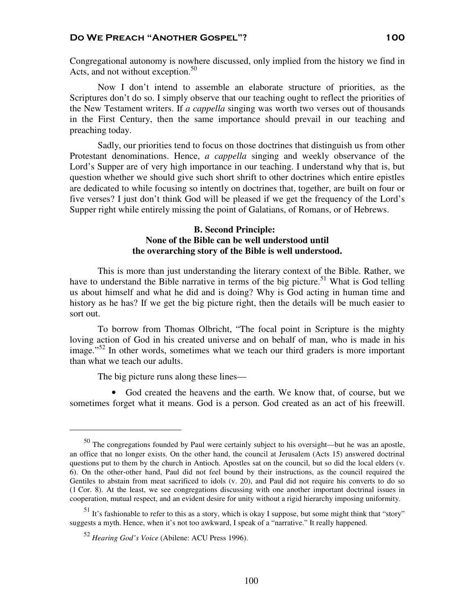Congregational autonomy is nowhere discussed, only implied from the history we find in Acts, and not without exception.<sup>50</sup>

Now I don't intend to assemble an elaborate structure of priorities, as the Scriptures don't do so. I simply observe that our teaching ought to reflect the priorities of the New Testament writers. If *a cappella* singing was worth two verses out of thousands in the First Century, then the same importance should prevail in our teaching and preaching today.

Sadly, our priorities tend to focus on those doctrines that distinguish us from other Protestant denominations. Hence, *a cappella* singing and weekly observance of the Lord's Supper are of very high importance in our teaching. I understand why that is, but question whether we should give such short shrift to other doctrines which entire epistles are dedicated to while focusing so intently on doctrines that, together, are built on four or five verses? I just don't think God will be pleased if we get the frequency of the Lord's Supper right while entirely missing the point of Galatians, of Romans, or of Hebrews.

## **B. Second Principle: None of the Bible can be well understood until the overarching story of the Bible is well understood.**

This is more than just understanding the literary context of the Bible. Rather, we have to understand the Bible narrative in terms of the big picture.<sup>51</sup> What is God telling us about himself and what he did and is doing? Why is God acting in human time and history as he has? If we get the big picture right, then the details will be much easier to sort out.

To borrow from Thomas Olbricht, "The focal point in Scripture is the mighty loving action of God in his created universe and on behalf of man, who is made in his image."<sup>52</sup> In other words, sometimes what we teach our third graders is more important than what we teach our adults.

The big picture runs along these lines—

 $\overline{a}$ 

• God created the heavens and the earth. We know that, of course, but we sometimes forget what it means. God is a person. God created as an act of his freewill.

<sup>50</sup> The congregations founded by Paul were certainly subject to his oversight—but he was an apostle, an office that no longer exists. On the other hand, the council at Jerusalem (Acts 15) answered doctrinal questions put to them by the church in Antioch. Apostles sat on the council, but so did the local elders (v. 6). On the other-other hand, Paul did not feel bound by their instructions, as the council required the Gentiles to abstain from meat sacrificed to idols (v. 20), and Paul did not require his converts to do so (1 Cor. 8). At the least, we see congregations discussing with one another important doctrinal issues in cooperation, mutual respect, and an evident desire for unity without a rigid hierarchy imposing uniformity.

<sup>51</sup> It's fashionable to refer to this as a story, which is okay I suppose, but some might think that "story" suggests a myth. Hence, when it's not too awkward, I speak of a "narrative." It really happened.

<sup>52</sup> *Hearing God's Voice* (Abilene: ACU Press 1996).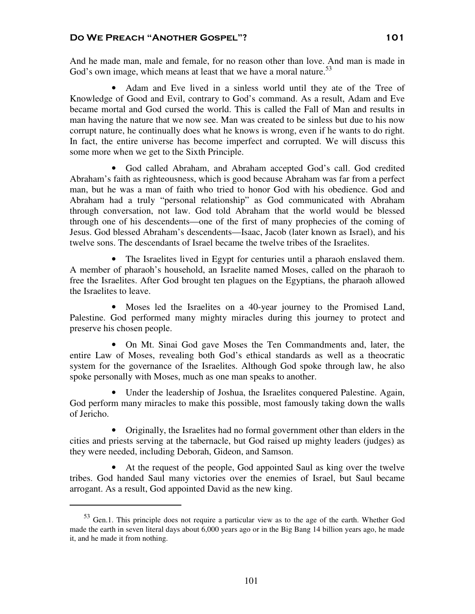And he made man, male and female, for no reason other than love. And man is made in God's own image, which means at least that we have a moral nature.<sup>53</sup>

• Adam and Eve lived in a sinless world until they ate of the Tree of Knowledge of Good and Evil, contrary to God's command. As a result, Adam and Eve became mortal and God cursed the world. This is called the Fall of Man and results in man having the nature that we now see. Man was created to be sinless but due to his now corrupt nature, he continually does what he knows is wrong, even if he wants to do right. In fact, the entire universe has become imperfect and corrupted. We will discuss this some more when we get to the Sixth Principle.

• God called Abraham, and Abraham accepted God's call. God credited Abraham's faith as righteousness, which is good because Abraham was far from a perfect man, but he was a man of faith who tried to honor God with his obedience. God and Abraham had a truly "personal relationship" as God communicated with Abraham through conversation, not law. God told Abraham that the world would be blessed through one of his descendents—one of the first of many prophecies of the coming of Jesus. God blessed Abraham's descendents—Isaac, Jacob (later known as Israel), and his twelve sons. The descendants of Israel became the twelve tribes of the Israelites.

The Israelites lived in Egypt for centuries until a pharaoh enslaved them. A member of pharaoh's household, an Israelite named Moses, called on the pharaoh to free the Israelites. After God brought ten plagues on the Egyptians, the pharaoh allowed the Israelites to leave.

• Moses led the Israelites on a 40-year journey to the Promised Land, Palestine. God performed many mighty miracles during this journey to protect and preserve his chosen people.

• On Mt. Sinai God gave Moses the Ten Commandments and, later, the entire Law of Moses, revealing both God's ethical standards as well as a theocratic system for the governance of the Israelites. Although God spoke through law, he also spoke personally with Moses, much as one man speaks to another.

• Under the leadership of Joshua, the Israelites conquered Palestine. Again, God perform many miracles to make this possible, most famously taking down the walls of Jericho.

• Originally, the Israelites had no formal government other than elders in the cities and priests serving at the tabernacle, but God raised up mighty leaders (judges) as they were needed, including Deborah, Gideon, and Samson.

• At the request of the people, God appointed Saul as king over the twelve tribes. God handed Saul many victories over the enemies of Israel, but Saul became arrogant. As a result, God appointed David as the new king.

<sup>53</sup> Gen.1. This principle does not require a particular view as to the age of the earth. Whether God made the earth in seven literal days about 6,000 years ago or in the Big Bang 14 billion years ago, he made it, and he made it from nothing.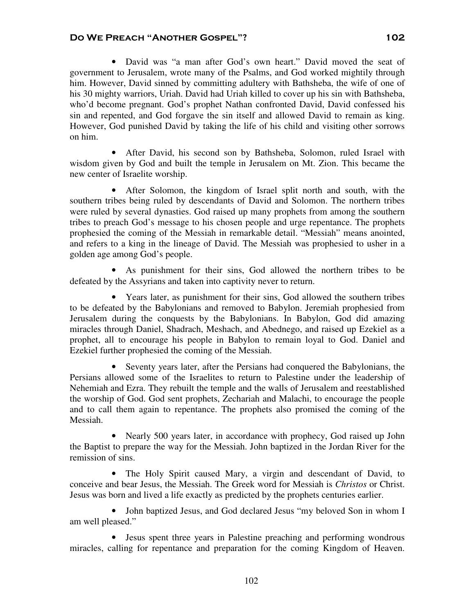• David was "a man after God's own heart." David moved the seat of government to Jerusalem, wrote many of the Psalms, and God worked mightily through him. However, David sinned by committing adultery with Bathsheba, the wife of one of his 30 mighty warriors, Uriah. David had Uriah killed to cover up his sin with Bathsheba, who'd become pregnant. God's prophet Nathan confronted David, David confessed his sin and repented, and God forgave the sin itself and allowed David to remain as king. However, God punished David by taking the life of his child and visiting other sorrows on him.

• After David, his second son by Bathsheba, Solomon, ruled Israel with wisdom given by God and built the temple in Jerusalem on Mt. Zion. This became the new center of Israelite worship.

• After Solomon, the kingdom of Israel split north and south, with the southern tribes being ruled by descendants of David and Solomon. The northern tribes were ruled by several dynasties. God raised up many prophets from among the southern tribes to preach God's message to his chosen people and urge repentance. The prophets prophesied the coming of the Messiah in remarkable detail. "Messiah" means anointed, and refers to a king in the lineage of David. The Messiah was prophesied to usher in a golden age among God's people.

• As punishment for their sins, God allowed the northern tribes to be defeated by the Assyrians and taken into captivity never to return.

• Years later, as punishment for their sins, God allowed the southern tribes to be defeated by the Babylonians and removed to Babylon. Jeremiah prophesied from Jerusalem during the conquests by the Babylonians. In Babylon, God did amazing miracles through Daniel, Shadrach, Meshach, and Abednego, and raised up Ezekiel as a prophet, all to encourage his people in Babylon to remain loyal to God. Daniel and Ezekiel further prophesied the coming of the Messiah.

• Seventy years later, after the Persians had conquered the Babylonians, the Persians allowed some of the Israelites to return to Palestine under the leadership of Nehemiah and Ezra. They rebuilt the temple and the walls of Jerusalem and reestablished the worship of God. God sent prophets, Zechariah and Malachi, to encourage the people and to call them again to repentance. The prophets also promised the coming of the Messiah.

• Nearly 500 years later, in accordance with prophecy, God raised up John the Baptist to prepare the way for the Messiah. John baptized in the Jordan River for the remission of sins.

• The Holy Spirit caused Mary, a virgin and descendant of David, to conceive and bear Jesus, the Messiah. The Greek word for Messiah is *Christos* or Christ. Jesus was born and lived a life exactly as predicted by the prophets centuries earlier.

• John baptized Jesus, and God declared Jesus "my beloved Son in whom I am well pleased."

• Jesus spent three years in Palestine preaching and performing wondrous miracles, calling for repentance and preparation for the coming Kingdom of Heaven.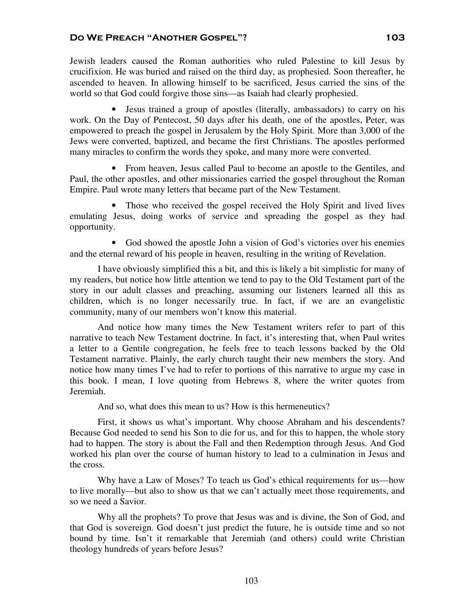Jewish leaders caused the Roman authorities who ruled Palestine to kill Jesus by crucifixion. He was buried and raised on the third day, as prophesied. Soon thereafter, he ascended to heaven. In allowing himself to be sacrificed, Jesus carried the sins of the world so that God could forgive those sins—as Isaiah had clearly prophesied.

• Jesus trained a group of apostles (literally, ambassadors) to carry on his work. On the Day of Pentecost, 50 days after his death, one of the apostles, Peter, was empowered to preach the gospel in Jerusalem by the Holy Spirit. More than 3,000 of the Jews were converted, baptized, and became the first Christians. The apostles performed many miracles to confirm the words they spoke, and many more were converted.

• From heaven, Jesus called Paul to become an apostle to the Gentiles, and Paul, the other apostles, and other missionaries carried the gospel throughout the Roman Empire. Paul wrote many letters that became part of the New Testament.

• Those who received the gospel received the Holy Spirit and lived lives emulating Jesus, doing works of service and spreading the gospel as they had opportunity.

• God showed the apostle John a vision of God's victories over his enemies and the eternal reward of his people in heaven, resulting in the writing of Revelation.

I have obviously simplified this a bit, and this is likely a bit simplistic for many of my readers, but notice how little attention we tend to pay to the Old Testament part of the story in our adult classes and preaching, assuming our listeners learned all this as children, which is no longer necessarily true. In fact, if we are an evangelistic community, many of our members won't know this material.

And notice how many times the New Testament writers refer to part of this narrative to teach New Testament doctrine. In fact, it's interesting that, when Paul writes a letter to a Gentile congregation, he feels free to teach lessons backed by the Old Testament narrative. Plainly, the early church taught their new members the story. And notice how many times I've had to refer to portions of this narrative to argue my case in this book. I mean, I love quoting from Hebrews 8, where the writer quotes from Jeremiah.

And so, what does this mean to us? How is this hermeneutics?

First, it shows us what's important. Why choose Abraham and his descendents? Because God needed to send his Son to die for us, and for this to happen, the whole story had to happen. The story is about the Fall and then Redemption through Jesus. And God worked his plan over the course of human history to lead to a culmination in Jesus and the cross.

Why have a Law of Moses? To teach us God's ethical requirements for us—how to live morally—but also to show us that we can't actually meet those requirements, and so we need a Savior.

Why all the prophets? To prove that Jesus was and is divine, the Son of God, and that God is sovereign. God doesn't just predict the future, he is outside time and so not bound by time. Isn't it remarkable that Jeremiah (and others) could write Christian theology hundreds of years before Jesus?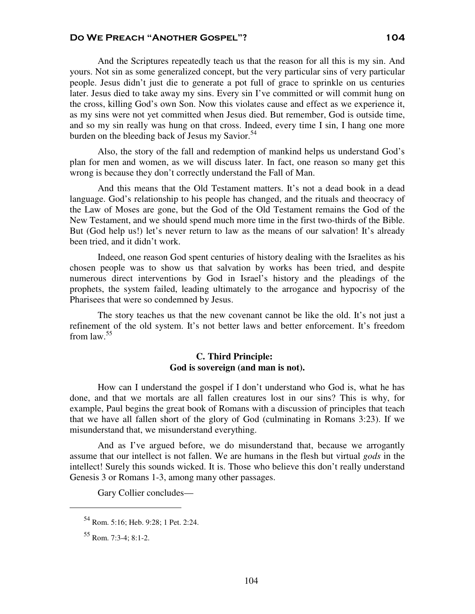## DO WE PREACH "ANOTHER GOSPEL"? 104

And the Scriptures repeatedly teach us that the reason for all this is my sin. And yours. Not sin as some generalized concept, but the very particular sins of very particular people. Jesus didn't just die to generate a pot full of grace to sprinkle on us centuries later. Jesus died to take away my sins. Every sin I've committed or will commit hung on the cross, killing God's own Son. Now this violates cause and effect as we experience it, as my sins were not yet committed when Jesus died. But remember, God is outside time, and so my sin really was hung on that cross. Indeed, every time I sin, I hang one more burden on the bleeding back of Jesus my Savior. $54$ 

Also, the story of the fall and redemption of mankind helps us understand God's plan for men and women, as we will discuss later. In fact, one reason so many get this wrong is because they don't correctly understand the Fall of Man.

And this means that the Old Testament matters. It's not a dead book in a dead language. God's relationship to his people has changed, and the rituals and theocracy of the Law of Moses are gone, but the God of the Old Testament remains the God of the New Testament, and we should spend much more time in the first two-thirds of the Bible. But (God help us!) let's never return to law as the means of our salvation! It's already been tried, and it didn't work.

Indeed, one reason God spent centuries of history dealing with the Israelites as his chosen people was to show us that salvation by works has been tried, and despite numerous direct interventions by God in Israel's history and the pleadings of the prophets, the system failed, leading ultimately to the arrogance and hypocrisy of the Pharisees that were so condemned by Jesus.

The story teaches us that the new covenant cannot be like the old. It's not just a refinement of the old system. It's not better laws and better enforcement. It's freedom from law.<sup>55</sup>

## **C. Third Principle: God is sovereign (and man is not).**

How can I understand the gospel if I don't understand who God is, what he has done, and that we mortals are all fallen creatures lost in our sins? This is why, for example, Paul begins the great book of Romans with a discussion of principles that teach that we have all fallen short of the glory of God (culminating in Romans 3:23). If we misunderstand that, we misunderstand everything.

And as I've argued before, we do misunderstand that, because we arrogantly assume that our intellect is not fallen. We are humans in the flesh but virtual *gods* in the intellect! Surely this sounds wicked. It is. Those who believe this don't really understand Genesis 3 or Romans 1-3, among many other passages.

Gary Collier concludes—

<sup>54</sup> Rom. 5:16; Heb. 9:28; 1 Pet. 2:24.

 $55$  Rom. 7:3-4; 8:1-2.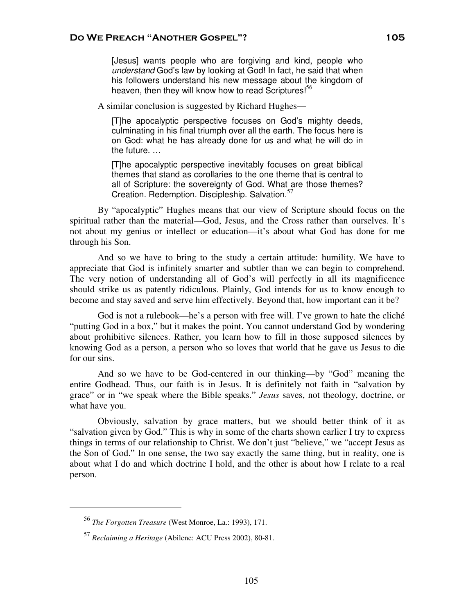[Jesus] wants people who are forgiving and kind, people who understand God's law by looking at God! In fact, he said that when his followers understand his new message about the kingdom of heaven, then they will know how to read Scriptures!<sup>56</sup>

A similar conclusion is suggested by Richard Hughes—

[T]he apocalyptic perspective focuses on God's mighty deeds, culminating in his final triumph over all the earth. The focus here is on God: what he has already done for us and what he will do in the future. …

[T]he apocalyptic perspective inevitably focuses on great biblical themes that stand as corollaries to the one theme that is central to all of Scripture: the sovereignty of God. What are those themes? Creation. Redemption. Discipleship. Salvation.<sup>57</sup>

By "apocalyptic" Hughes means that our view of Scripture should focus on the spiritual rather than the material—God, Jesus, and the Cross rather than ourselves. It's not about my genius or intellect or education—it's about what God has done for me through his Son.

And so we have to bring to the study a certain attitude: humility. We have to appreciate that God is infinitely smarter and subtler than we can begin to comprehend. The very notion of understanding all of God's will perfectly in all its magnificence should strike us as patently ridiculous. Plainly, God intends for us to know enough to become and stay saved and serve him effectively. Beyond that, how important can it be?

God is not a rulebook—he's a person with free will. I've grown to hate the cliché "putting God in a box," but it makes the point. You cannot understand God by wondering about prohibitive silences. Rather, you learn how to fill in those supposed silences by knowing God as a person, a person who so loves that world that he gave us Jesus to die for our sins.

And so we have to be God-centered in our thinking—by "God" meaning the entire Godhead. Thus, our faith is in Jesus. It is definitely not faith in "salvation by grace" or in "we speak where the Bible speaks." *Jesus* saves, not theology, doctrine, or what have you.

Obviously, salvation by grace matters, but we should better think of it as "salvation given by God." This is why in some of the charts shown earlier I try to express things in terms of our relationship to Christ. We don't just "believe," we "accept Jesus as the Son of God." In one sense, the two say exactly the same thing, but in reality, one is about what I do and which doctrine I hold, and the other is about how I relate to a real person.

<sup>56</sup> *The Forgotten Treasure* (West Monroe, La.: 1993), 171.

<sup>57</sup> *Reclaiming a Heritage* (Abilene: ACU Press 2002), 80-81.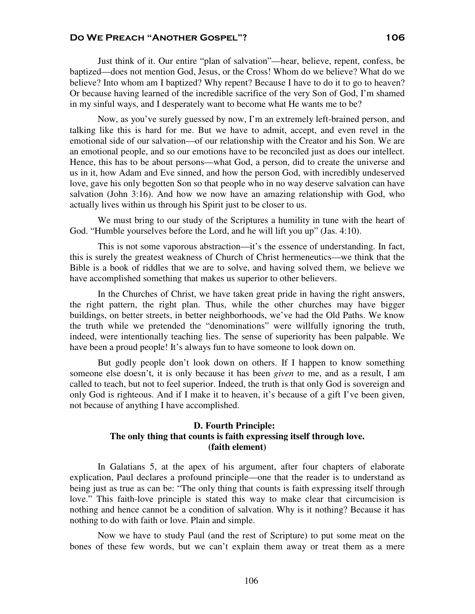Just think of it. Our entire "plan of salvation"—hear, believe, repent, confess, be baptized—does not mention God, Jesus, or the Cross! Whom do we believe? What do we believe? Into whom am I baptized? Why repent? Because I have to do it to go to heaven? Or because having learned of the incredible sacrifice of the very Son of God, I'm shamed in my sinful ways, and I desperately want to become what He wants me to be?

Now, as you've surely guessed by now, I'm an extremely left-brained person, and talking like this is hard for me. But we have to admit, accept, and even revel in the emotional side of our salvation—of our relationship with the Creator and his Son. We are an emotional people, and so our emotions have to be reconciled just as does our intellect. Hence, this has to be about persons—what God, a person, did to create the universe and us in it, how Adam and Eve sinned, and how the person God, with incredibly undeserved love, gave his only begotten Son so that people who in no way deserve salvation can have salvation (John 3:16). And how we now have an amazing relationship with God, who actually lives within us through his Spirit just to be closer to us.

We must bring to our study of the Scriptures a humility in tune with the heart of God. "Humble yourselves before the Lord, and he will lift you up" (Jas. 4:10).

This is not some vaporous abstraction—it's the essence of understanding. In fact, this is surely the greatest weakness of Church of Christ hermeneutics—we think that the Bible is a book of riddles that we are to solve, and having solved them, we believe we have accomplished something that makes us superior to other believers.

In the Churches of Christ, we have taken great pride in having the right answers, the right pattern, the right plan. Thus, while the other churches may have bigger buildings, on better streets, in better neighborhoods, we've had the Old Paths. We know the truth while we pretended the "denominations" were willfully ignoring the truth, indeed, were intentionally teaching lies. The sense of superiority has been palpable. We have been a proud people! It's always fun to have someone to look down on.

But godly people don't look down on others. If I happen to know something someone else doesn't, it is only because it has been *given* to me, and as a result, I am called to teach, but not to feel superior. Indeed, the truth is that only God is sovereign and only God is righteous. And if I make it to heaven, it's because of a gift I've been given, not because of anything I have accomplished.

## **D. Fourth Principle: The only thing that counts is faith expressing itself through love. (faith element)**

In Galatians 5, at the apex of his argument, after four chapters of elaborate explication, Paul declares a profound principle—one that the reader is to understand as being just as true as can be: "The only thing that counts is faith expressing itself through love." This faith-love principle is stated this way to make clear that circumcision is nothing and hence cannot be a condition of salvation. Why is it nothing? Because it has nothing to do with faith or love. Plain and simple.

Now we have to study Paul (and the rest of Scripture) to put some meat on the bones of these few words, but we can't explain them away or treat them as a mere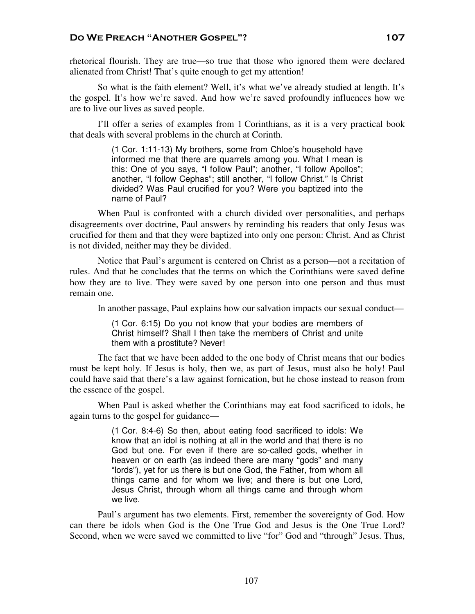rhetorical flourish. They are true—so true that those who ignored them were declared alienated from Christ! That's quite enough to get my attention!

So what is the faith element? Well, it's what we've already studied at length. It's the gospel. It's how we're saved. And how we're saved profoundly influences how we are to live our lives as saved people.

I'll offer a series of examples from 1 Corinthians, as it is a very practical book that deals with several problems in the church at Corinth.

> (1 Cor. 1:11-13) My brothers, some from Chloe's household have informed me that there are quarrels among you. What I mean is this: One of you says, "I follow Paul"; another, "I follow Apollos"; another, "I follow Cephas"; still another, "I follow Christ." Is Christ divided? Was Paul crucified for you? Were you baptized into the name of Paul?

When Paul is confronted with a church divided over personalities, and perhaps disagreements over doctrine, Paul answers by reminding his readers that only Jesus was crucified for them and that they were baptized into only one person: Christ. And as Christ is not divided, neither may they be divided.

Notice that Paul's argument is centered on Christ as a person—not a recitation of rules. And that he concludes that the terms on which the Corinthians were saved define how they are to live. They were saved by one person into one person and thus must remain one.

In another passage, Paul explains how our salvation impacts our sexual conduct—

(1 Cor. 6:15) Do you not know that your bodies are members of Christ himself? Shall I then take the members of Christ and unite them with a prostitute? Never!

The fact that we have been added to the one body of Christ means that our bodies must be kept holy. If Jesus is holy, then we, as part of Jesus, must also be holy! Paul could have said that there's a law against fornication, but he chose instead to reason from the essence of the gospel.

When Paul is asked whether the Corinthians may eat food sacrificed to idols, he again turns to the gospel for guidance—

> (1 Cor. 8:4-6) So then, about eating food sacrificed to idols: We know that an idol is nothing at all in the world and that there is no God but one. For even if there are so-called gods, whether in heaven or on earth (as indeed there are many "gods" and many "lords"), yet for us there is but one God, the Father, from whom all things came and for whom we live; and there is but one Lord, Jesus Christ, through whom all things came and through whom we live.

Paul's argument has two elements. First, remember the sovereignty of God. How can there be idols when God is the One True God and Jesus is the One True Lord? Second, when we were saved we committed to live "for" God and "through" Jesus. Thus,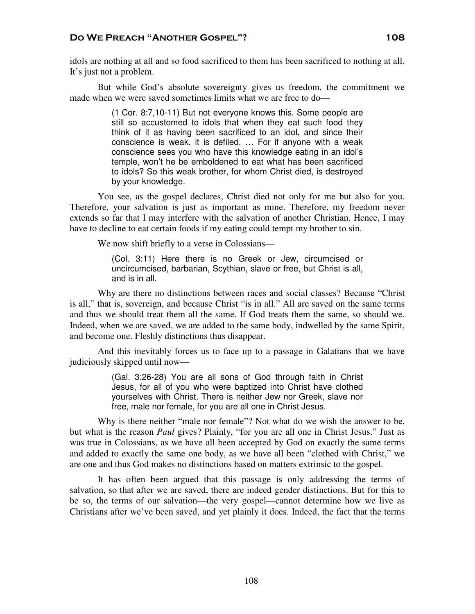idols are nothing at all and so food sacrificed to them has been sacrificed to nothing at all. It's just not a problem.

But while God's absolute sovereignty gives us freedom, the commitment we made when we were saved sometimes limits what we are free to do—

> (1 Cor. 8:7,10-11) But not everyone knows this. Some people are still so accustomed to idols that when they eat such food they think of it as having been sacrificed to an idol, and since their conscience is weak, it is defiled. … For if anyone with a weak conscience sees you who have this knowledge eating in an idol's temple, won't he be emboldened to eat what has been sacrificed to idols? So this weak brother, for whom Christ died, is destroyed by your knowledge.

You see, as the gospel declares, Christ died not only for me but also for you. Therefore, your salvation is just as important as mine. Therefore, my freedom never extends so far that I may interfere with the salvation of another Christian. Hence, I may have to decline to eat certain foods if my eating could tempt my brother to sin.

We now shift briefly to a verse in Colossians—

(Col. 3:11) Here there is no Greek or Jew, circumcised or uncircumcised, barbarian, Scythian, slave or free, but Christ is all, and is in all.

Why are there no distinctions between races and social classes? Because "Christ is all," that is, sovereign, and because Christ "is in all." All are saved on the same terms and thus we should treat them all the same. If God treats them the same, so should we. Indeed, when we are saved, we are added to the same body, indwelled by the same Spirit, and become one. Fleshly distinctions thus disappear.

And this inevitably forces us to face up to a passage in Galatians that we have judiciously skipped until now—

> (Gal. 3:26-28) You are all sons of God through faith in Christ Jesus, for all of you who were baptized into Christ have clothed yourselves with Christ. There is neither Jew nor Greek, slave nor free, male nor female, for you are all one in Christ Jesus.

Why is there neither "male nor female"? Not what do we wish the answer to be, but what is the reason *Paul* gives? Plainly, "for you are all one in Christ Jesus." Just as was true in Colossians, as we have all been accepted by God on exactly the same terms and added to exactly the same one body, as we have all been "clothed with Christ," we are one and thus God makes no distinctions based on matters extrinsic to the gospel.

It has often been argued that this passage is only addressing the terms of salvation, so that after we are saved, there are indeed gender distinctions. But for this to be so, the terms of our salvation—the very gospel—cannot determine how we live as Christians after we've been saved, and yet plainly it does. Indeed, the fact that the terms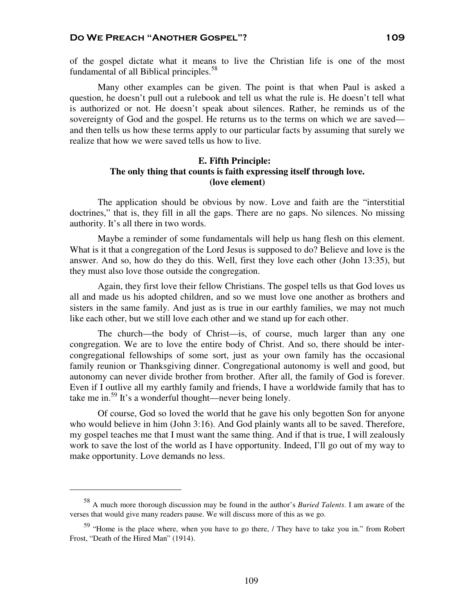of the gospel dictate what it means to live the Christian life is one of the most fundamental of all Biblical principles.<sup>58</sup>

Many other examples can be given. The point is that when Paul is asked a question, he doesn't pull out a rulebook and tell us what the rule is. He doesn't tell what is authorized or not. He doesn't speak about silences. Rather, he reminds us of the sovereignty of God and the gospel. He returns us to the terms on which we are saved and then tells us how these terms apply to our particular facts by assuming that surely we realize that how we were saved tells us how to live.

# **E. Fifth Principle: The only thing that counts is faith expressing itself through love. (love element)**

The application should be obvious by now. Love and faith are the "interstitial doctrines," that is, they fill in all the gaps. There are no gaps. No silences. No missing authority. It's all there in two words.

Maybe a reminder of some fundamentals will help us hang flesh on this element. What is it that a congregation of the Lord Jesus is supposed to do? Believe and love is the answer. And so, how do they do this. Well, first they love each other (John 13:35), but they must also love those outside the congregation.

Again, they first love their fellow Christians. The gospel tells us that God loves us all and made us his adopted children, and so we must love one another as brothers and sisters in the same family. And just as is true in our earthly families, we may not much like each other, but we still love each other and we stand up for each other.

The church—the body of Christ—is, of course, much larger than any one congregation. We are to love the entire body of Christ. And so, there should be intercongregational fellowships of some sort, just as your own family has the occasional family reunion or Thanksgiving dinner. Congregational autonomy is well and good, but autonomy can never divide brother from brother. After all, the family of God is forever. Even if I outlive all my earthly family and friends, I have a worldwide family that has to take me in.<sup>59</sup> It's a wonderful thought—never being lonely.

Of course, God so loved the world that he gave his only begotten Son for anyone who would believe in him (John 3:16). And God plainly wants all to be saved. Therefore, my gospel teaches me that I must want the same thing. And if that is true, I will zealously work to save the lost of the world as I have opportunity. Indeed, I'll go out of my way to make opportunity. Love demands no less.

<sup>58</sup> A much more thorough discussion may be found in the author's *Buried Talents*. I am aware of the verses that would give many readers pause. We will discuss more of this as we go.

 $59$  "Home is the place where, when you have to go there, / They have to take you in." from Robert Frost, "Death of the Hired Man" (1914).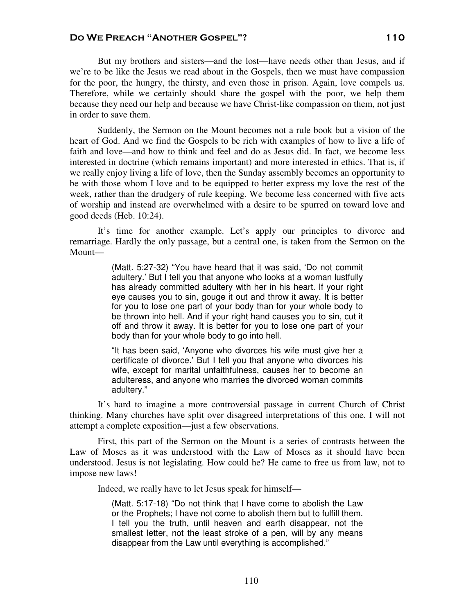# DO WE PREACH "ANOTHER GOSPEL"? 110

But my brothers and sisters—and the lost—have needs other than Jesus, and if we're to be like the Jesus we read about in the Gospels, then we must have compassion for the poor, the hungry, the thirsty, and even those in prison. Again, love compels us. Therefore, while we certainly should share the gospel with the poor, we help them because they need our help and because we have Christ-like compassion on them, not just in order to save them.

Suddenly, the Sermon on the Mount becomes not a rule book but a vision of the heart of God. And we find the Gospels to be rich with examples of how to live a life of faith and love—and how to think and feel and do as Jesus did. In fact, we become less interested in doctrine (which remains important) and more interested in ethics. That is, if we really enjoy living a life of love, then the Sunday assembly becomes an opportunity to be with those whom I love and to be equipped to better express my love the rest of the week, rather than the drudgery of rule keeping. We become less concerned with five acts of worship and instead are overwhelmed with a desire to be spurred on toward love and good deeds (Heb. 10:24).

It's time for another example. Let's apply our principles to divorce and remarriage. Hardly the only passage, but a central one, is taken from the Sermon on the Mount—

> (Matt. 5:27-32) "You have heard that it was said, 'Do not commit adultery.' But I tell you that anyone who looks at a woman lustfully has already committed adultery with her in his heart. If your right eye causes you to sin, gouge it out and throw it away. It is better for you to lose one part of your body than for your whole body to be thrown into hell. And if your right hand causes you to sin, cut it off and throw it away. It is better for you to lose one part of your body than for your whole body to go into hell.

> "It has been said, 'Anyone who divorces his wife must give her a certificate of divorce.' But I tell you that anyone who divorces his wife, except for marital unfaithfulness, causes her to become an adulteress, and anyone who marries the divorced woman commits adultery."

It's hard to imagine a more controversial passage in current Church of Christ thinking. Many churches have split over disagreed interpretations of this one. I will not attempt a complete exposition—just a few observations.

First, this part of the Sermon on the Mount is a series of contrasts between the Law of Moses as it was understood with the Law of Moses as it should have been understood. Jesus is not legislating. How could he? He came to free us from law, not to impose new laws!

Indeed, we really have to let Jesus speak for himself—

(Matt. 5:17-18) "Do not think that I have come to abolish the Law or the Prophets; I have not come to abolish them but to fulfill them. I tell you the truth, until heaven and earth disappear, not the smallest letter, not the least stroke of a pen, will by any means disappear from the Law until everything is accomplished."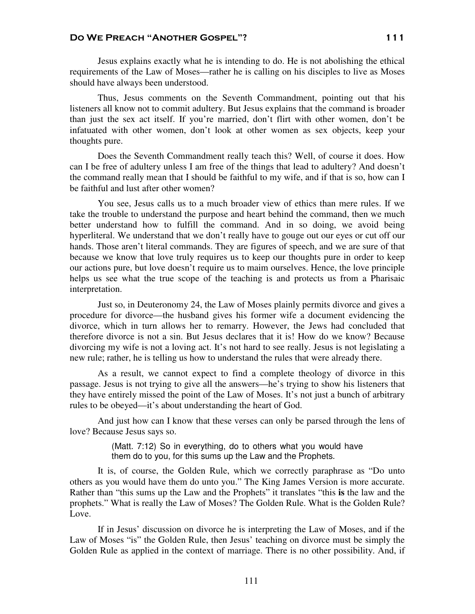Jesus explains exactly what he is intending to do. He is not abolishing the ethical requirements of the Law of Moses—rather he is calling on his disciples to live as Moses should have always been understood.

Thus, Jesus comments on the Seventh Commandment, pointing out that his listeners all know not to commit adultery. But Jesus explains that the command is broader than just the sex act itself. If you're married, don't flirt with other women, don't be infatuated with other women, don't look at other women as sex objects, keep your thoughts pure.

Does the Seventh Commandment really teach this? Well, of course it does. How can I be free of adultery unless I am free of the things that lead to adultery? And doesn't the command really mean that I should be faithful to my wife, and if that is so, how can I be faithful and lust after other women?

You see, Jesus calls us to a much broader view of ethics than mere rules. If we take the trouble to understand the purpose and heart behind the command, then we much better understand how to fulfill the command. And in so doing, we avoid being hyperliteral. We understand that we don't really have to gouge out our eyes or cut off our hands. Those aren't literal commands. They are figures of speech, and we are sure of that because we know that love truly requires us to keep our thoughts pure in order to keep our actions pure, but love doesn't require us to maim ourselves. Hence, the love principle helps us see what the true scope of the teaching is and protects us from a Pharisaic interpretation.

Just so, in Deuteronomy 24, the Law of Moses plainly permits divorce and gives a procedure for divorce—the husband gives his former wife a document evidencing the divorce, which in turn allows her to remarry. However, the Jews had concluded that therefore divorce is not a sin. But Jesus declares that it is! How do we know? Because divorcing my wife is not a loving act. It's not hard to see really. Jesus is not legislating a new rule; rather, he is telling us how to understand the rules that were already there.

As a result, we cannot expect to find a complete theology of divorce in this passage. Jesus is not trying to give all the answers—he's trying to show his listeners that they have entirely missed the point of the Law of Moses. It's not just a bunch of arbitrary rules to be obeyed—it's about understanding the heart of God.

And just how can I know that these verses can only be parsed through the lens of love? Because Jesus says so.

> (Matt. 7:12) So in everything, do to others what you would have them do to you, for this sums up the Law and the Prophets.

It is, of course, the Golden Rule, which we correctly paraphrase as "Do unto others as you would have them do unto you." The King James Version is more accurate. Rather than "this sums up the Law and the Prophets" it translates "this **is** the law and the prophets." What is really the Law of Moses? The Golden Rule. What is the Golden Rule? Love.

If in Jesus' discussion on divorce he is interpreting the Law of Moses, and if the Law of Moses "is" the Golden Rule, then Jesus' teaching on divorce must be simply the Golden Rule as applied in the context of marriage. There is no other possibility. And, if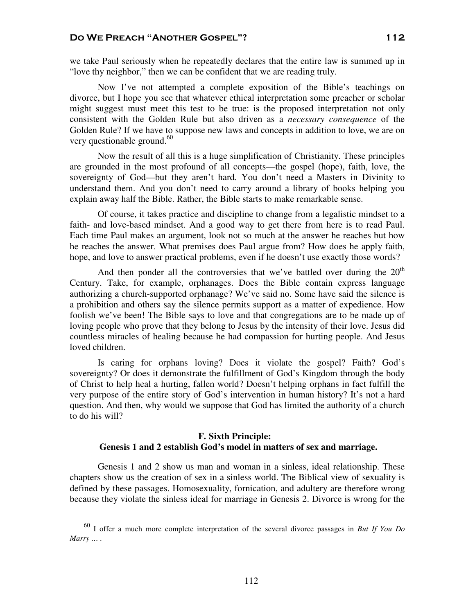we take Paul seriously when he repeatedly declares that the entire law is summed up in "love thy neighbor," then we can be confident that we are reading truly.

Now I've not attempted a complete exposition of the Bible's teachings on divorce, but I hope you see that whatever ethical interpretation some preacher or scholar might suggest must meet this test to be true: is the proposed interpretation not only consistent with the Golden Rule but also driven as a *necessary consequence* of the Golden Rule? If we have to suppose new laws and concepts in addition to love, we are on very questionable ground. $60$ 

Now the result of all this is a huge simplification of Christianity. These principles are grounded in the most profound of all concepts—the gospel (hope), faith, love, the sovereignty of God—but they aren't hard. You don't need a Masters in Divinity to understand them. And you don't need to carry around a library of books helping you explain away half the Bible. Rather, the Bible starts to make remarkable sense.

Of course, it takes practice and discipline to change from a legalistic mindset to a faith- and love-based mindset. And a good way to get there from here is to read Paul. Each time Paul makes an argument, look not so much at the answer he reaches but how he reaches the answer. What premises does Paul argue from? How does he apply faith, hope, and love to answer practical problems, even if he doesn't use exactly those words?

And then ponder all the controversies that we've battled over during the  $20<sup>th</sup>$ Century. Take, for example, orphanages. Does the Bible contain express language authorizing a church-supported orphanage? We've said no. Some have said the silence is a prohibition and others say the silence permits support as a matter of expedience. How foolish we've been! The Bible says to love and that congregations are to be made up of loving people who prove that they belong to Jesus by the intensity of their love. Jesus did countless miracles of healing because he had compassion for hurting people. And Jesus loved children.

Is caring for orphans loving? Does it violate the gospel? Faith? God's sovereignty? Or does it demonstrate the fulfillment of God's Kingdom through the body of Christ to help heal a hurting, fallen world? Doesn't helping orphans in fact fulfill the very purpose of the entire story of God's intervention in human history? It's not a hard question. And then, why would we suppose that God has limited the authority of a church to do his will?

# **F. Sixth Principle: Genesis 1 and 2 establish God's model in matters of sex and marriage.**

Genesis 1 and 2 show us man and woman in a sinless, ideal relationship. These chapters show us the creation of sex in a sinless world. The Biblical view of sexuality is defined by these passages. Homosexuality, fornication, and adultery are therefore wrong because they violate the sinless ideal for marriage in Genesis 2. Divorce is wrong for the

<sup>60</sup> I offer a much more complete interpretation of the several divorce passages in *But If You Do Marry … .*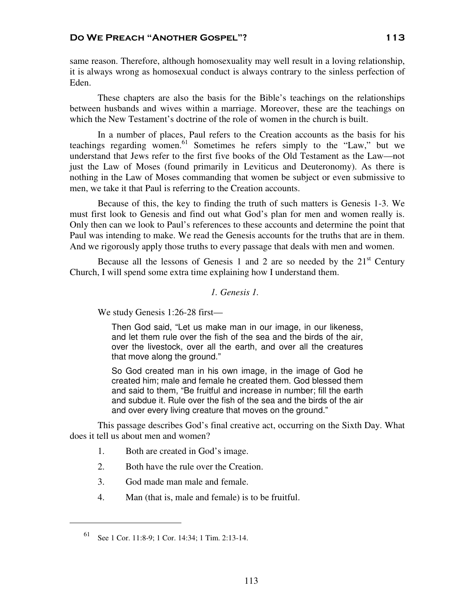same reason. Therefore, although homosexuality may well result in a loving relationship, it is always wrong as homosexual conduct is always contrary to the sinless perfection of Eden.

These chapters are also the basis for the Bible's teachings on the relationships between husbands and wives within a marriage. Moreover, these are the teachings on which the New Testament's doctrine of the role of women in the church is built.

In a number of places, Paul refers to the Creation accounts as the basis for his teachings regarding women.<sup> $61$ </sup> Sometimes he refers simply to the "Law," but we understand that Jews refer to the first five books of the Old Testament as the Law—not just the Law of Moses (found primarily in Leviticus and Deuteronomy). As there is nothing in the Law of Moses commanding that women be subject or even submissive to men, we take it that Paul is referring to the Creation accounts.

Because of this, the key to finding the truth of such matters is Genesis 1-3. We must first look to Genesis and find out what God's plan for men and women really is. Only then can we look to Paul's references to these accounts and determine the point that Paul was intending to make. We read the Genesis accounts for the truths that are in them. And we rigorously apply those truths to every passage that deals with men and women.

Because all the lessons of Genesis 1 and 2 are so needed by the  $21<sup>st</sup>$  Century Church, I will spend some extra time explaining how I understand them.

#### *1. Genesis 1.*

We study Genesis 1:26-28 first—

Then God said, "Let us make man in our image, in our likeness, and let them rule over the fish of the sea and the birds of the air, over the livestock, over all the earth, and over all the creatures that move along the ground."

So God created man in his own image, in the image of God he created him; male and female he created them. God blessed them and said to them, "Be fruitful and increase in number; fill the earth and subdue it. Rule over the fish of the sea and the birds of the air and over every living creature that moves on the ground."

This passage describes God's final creative act, occurring on the Sixth Day. What does it tell us about men and women?

- 1. Both are created in God's image.
- 2. Both have the rule over the Creation.
- 3. God made man male and female.
- 4. Man (that is, male and female) is to be fruitful.

<sup>61</sup> See 1 Cor. 11:8-9; 1 Cor. 14:34; 1 Tim. 2:13-14.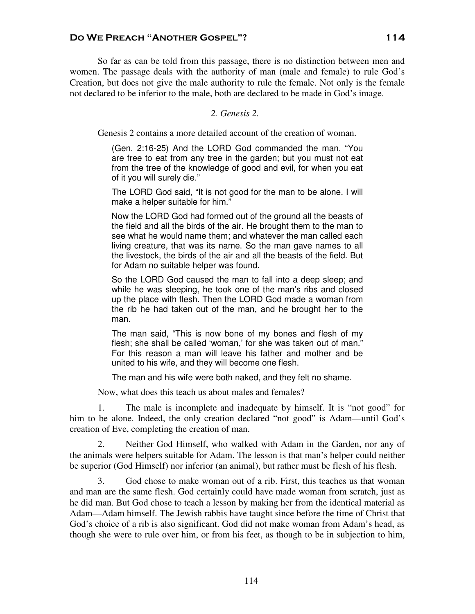So far as can be told from this passage, there is no distinction between men and women. The passage deals with the authority of man (male and female) to rule God's Creation, but does not give the male authority to rule the female. Not only is the female not declared to be inferior to the male, both are declared to be made in God's image.

#### *2. Genesis 2.*

Genesis 2 contains a more detailed account of the creation of woman.

(Gen. 2:16-25) And the LORD God commanded the man, "You are free to eat from any tree in the garden; but you must not eat from the tree of the knowledge of good and evil, for when you eat of it you will surely die."

The LORD God said, "It is not good for the man to be alone. I will make a helper suitable for him."

Now the LORD God had formed out of the ground all the beasts of the field and all the birds of the air. He brought them to the man to see what he would name them; and whatever the man called each living creature, that was its name. So the man gave names to all the livestock, the birds of the air and all the beasts of the field. But for Adam no suitable helper was found.

So the LORD God caused the man to fall into a deep sleep; and while he was sleeping, he took one of the man's ribs and closed up the place with flesh. Then the LORD God made a woman from the rib he had taken out of the man, and he brought her to the man.

The man said, "This is now bone of my bones and flesh of my flesh; she shall be called 'woman,' for she was taken out of man." For this reason a man will leave his father and mother and be united to his wife, and they will become one flesh.

The man and his wife were both naked, and they felt no shame.

Now, what does this teach us about males and females?

1. The male is incomplete and inadequate by himself. It is "not good" for him to be alone. Indeed, the only creation declared "not good" is Adam—until God's creation of Eve, completing the creation of man.

2. Neither God Himself, who walked with Adam in the Garden, nor any of the animals were helpers suitable for Adam. The lesson is that man's helper could neither be superior (God Himself) nor inferior (an animal), but rather must be flesh of his flesh.

3. God chose to make woman out of a rib. First, this teaches us that woman and man are the same flesh. God certainly could have made woman from scratch, just as he did man. But God chose to teach a lesson by making her from the identical material as Adam—Adam himself. The Jewish rabbis have taught since before the time of Christ that God's choice of a rib is also significant. God did not make woman from Adam's head, as though she were to rule over him, or from his feet, as though to be in subjection to him,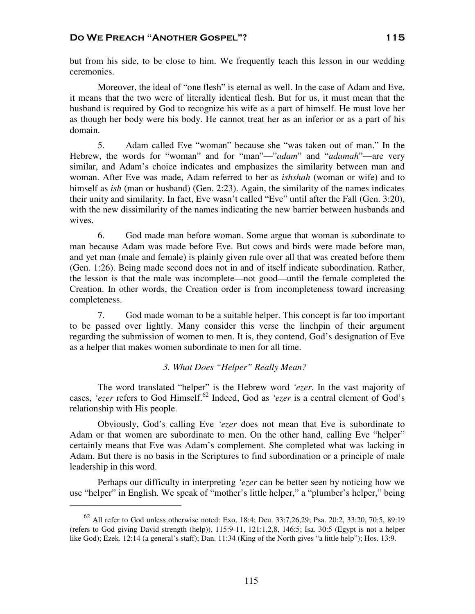but from his side, to be close to him. We frequently teach this lesson in our wedding ceremonies.

Moreover, the ideal of "one flesh" is eternal as well. In the case of Adam and Eve, it means that the two were of literally identical flesh. But for us, it must mean that the husband is required by God to recognize his wife as a part of himself. He must love her as though her body were his body. He cannot treat her as an inferior or as a part of his domain.

5. Adam called Eve "woman" because she "was taken out of man." In the Hebrew, the words for "woman" and for "man"—"*adam*" and "*adamah*"—are very similar, and Adam's choice indicates and emphasizes the similarity between man and woman. After Eve was made, Adam referred to her as *ishshah* (woman or wife) and to himself as *ish* (man or husband) (Gen. 2:23). Again, the similarity of the names indicates their unity and similarity. In fact, Eve wasn't called "Eve" until after the Fall (Gen. 3:20), with the new dissimilarity of the names indicating the new barrier between husbands and wives.

6. God made man before woman. Some argue that woman is subordinate to man because Adam was made before Eve. But cows and birds were made before man, and yet man (male and female) is plainly given rule over all that was created before them (Gen. 1:26). Being made second does not in and of itself indicate subordination. Rather, the lesson is that the male was incomplete—not good—until the female completed the Creation. In other words, the Creation order is from incompleteness toward increasing completeness.

7. God made woman to be a suitable helper. This concept is far too important to be passed over lightly. Many consider this verse the linchpin of their argument regarding the submission of women to men. It is, they contend, God's designation of Eve as a helper that makes women subordinate to men for all time.

# *3. What Does "Helper" Really Mean?*

The word translated "helper" is the Hebrew word *'ezer*. In the vast majority of cases, *'ezer* refers to God Himself.<sup>62</sup> Indeed, God as *'ezer* is a central element of God's relationship with His people.

Obviously, God's calling Eve *'ezer* does not mean that Eve is subordinate to Adam or that women are subordinate to men. On the other hand, calling Eve "helper" certainly means that Eve was Adam's complement. She completed what was lacking in Adam. But there is no basis in the Scriptures to find subordination or a principle of male leadership in this word.

Perhaps our difficulty in interpreting *'ezer* can be better seen by noticing how we use "helper" in English. We speak of "mother's little helper," a "plumber's helper," being

<sup>62</sup> All refer to God unless otherwise noted: Exo. 18:4; Deu. 33:7,26,29; Psa. 20:2, 33:20, 70:5, 89:19 (refers to God giving David strength (help)), 115:9-11, 121:1,2,8, 146:5; Isa. 30:5 (Egypt is not a helper like God); Ezek. 12:14 (a general's staff); Dan. 11:34 (King of the North gives "a little help"); Hos. 13:9.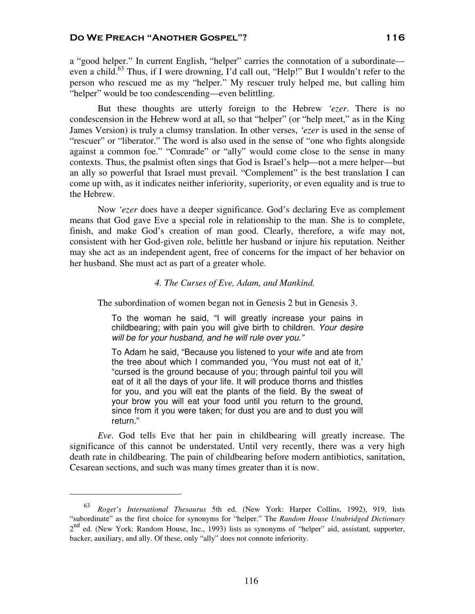a "good helper." In current English, "helper" carries the connotation of a subordinate even a child.<sup>63</sup> Thus, if I were drowning, I'd call out, "Help!" But I wouldn't refer to the person who rescued me as my "helper." My rescuer truly helped me, but calling him "helper" would be too condescending—even belittling.

But these thoughts are utterly foreign to the Hebrew *'ezer*. There is no condescension in the Hebrew word at all, so that "helper" (or "help meet," as in the King James Version) is truly a clumsy translation. In other verses, *'ezer* is used in the sense of "rescuer" or "liberator." The word is also used in the sense of "one who fights alongside against a common foe." "Comrade" or "ally" would come close to the sense in many contexts. Thus, the psalmist often sings that God is Israel's help—not a mere helper—but an ally so powerful that Israel must prevail. "Complement" is the best translation I can come up with, as it indicates neither inferiority, superiority, or even equality and is true to the Hebrew.

Now *'ezer* does have a deeper significance. God's declaring Eve as complement means that God gave Eve a special role in relationship to the man. She is to complete, finish, and make God's creation of man good. Clearly, therefore, a wife may not, consistent with her God-given role, belittle her husband or injure his reputation. Neither may she act as an independent agent, free of concerns for the impact of her behavior on her husband. She must act as part of a greater whole.

## *4. The Curses of Eve, Adam, and Mankind.*

The subordination of women began not in Genesis 2 but in Genesis 3.

To the woman he said, "I will greatly increase your pains in childbearing; with pain you will give birth to children. Your desire will be for your husband, and he will rule over you."

To Adam he said, "Because you listened to your wife and ate from the tree about which I commanded you, 'You must not eat of it,' "cursed is the ground because of you; through painful toil you will eat of it all the days of your life. It will produce thorns and thistles for you, and you will eat the plants of the field. By the sweat of your brow you will eat your food until you return to the ground, since from it you were taken; for dust you are and to dust you will return."

*Eve*. God tells Eve that her pain in childbearing will greatly increase. The significance of this cannot be understated. Until very recently, there was a very high death rate in childbearing. The pain of childbearing before modern antibiotics, sanitation, Cesarean sections, and such was many times greater than it is now.

<sup>63</sup> *Roget's International Thesaurus* 5th ed. (New York: Harper Collins, 1992), 919, lists "subordinate" as the first choice for synonyms for "helper." The *Random House Unabridged Dictionary* 2<sup>nd</sup> ed. (New York: Random House, Inc., 1993) lists as synonyms of "helper" aid, assistant, supporter, backer, auxiliary, and ally. Of these, only "ally" does not connote inferiority.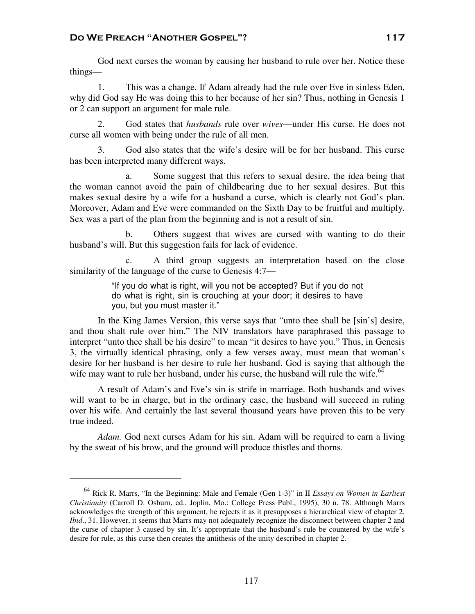God next curses the woman by causing her husband to rule over her. Notice these things—

1. This was a change. If Adam already had the rule over Eve in sinless Eden, why did God say He was doing this to her because of her sin? Thus, nothing in Genesis 1 or 2 can support an argument for male rule.

2. God states that *husbands* rule over *wives*—under His curse. He does not curse all women with being under the rule of all men.

3. God also states that the wife's desire will be for her husband. This curse has been interpreted many different ways.

a. Some suggest that this refers to sexual desire, the idea being that the woman cannot avoid the pain of childbearing due to her sexual desires. But this makes sexual desire by a wife for a husband a curse, which is clearly not God's plan. Moreover, Adam and Eve were commanded on the Sixth Day to be fruitful and multiply. Sex was a part of the plan from the beginning and is not a result of sin.

b. Others suggest that wives are cursed with wanting to do their husband's will. But this suggestion fails for lack of evidence.

c. A third group suggests an interpretation based on the close similarity of the language of the curse to Genesis 4:7—

> "If you do what is right, will you not be accepted? But if you do not do what is right, sin is crouching at your door; it desires to have you, but you must master it."

In the King James Version, this verse says that "unto thee shall be [sin's] desire, and thou shalt rule over him." The NIV translators have paraphrased this passage to interpret "unto thee shall be his desire" to mean "it desires to have you." Thus, in Genesis 3, the virtually identical phrasing, only a few verses away, must mean that woman's desire for her husband is her desire to rule her husband. God is saying that although the wife may want to rule her husband, under his curse, the husband will rule the wife.<sup>64</sup>

A result of Adam's and Eve's sin is strife in marriage. Both husbands and wives will want to be in charge, but in the ordinary case, the husband will succeed in ruling over his wife. And certainly the last several thousand years have proven this to be very true indeed.

*Adam.* God next curses Adam for his sin. Adam will be required to earn a living by the sweat of his brow, and the ground will produce thistles and thorns.

<sup>64</sup> Rick R. Marrs, "In the Beginning: Male and Female (Gen 1-3)" in II *Essays on Women in Earliest Christianity* (Carroll D. Osburn, ed., Joplin, Mo.: College Press Publ., 1995), 30 n. 78. Although Marrs acknowledges the strength of this argument, he rejects it as it presupposes a hierarchical view of chapter 2. *Ibid*., 31. However, it seems that Marrs may not adequately recognize the disconnect between chapter 2 and the curse of chapter 3 caused by sin. It's appropriate that the husband's rule be countered by the wife's desire for rule, as this curse then creates the antithesis of the unity described in chapter 2.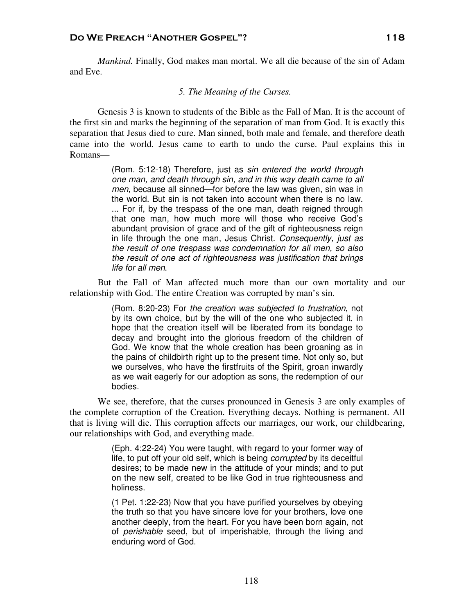*Mankind.* Finally, God makes man mortal. We all die because of the sin of Adam and Eve.

## *5. The Meaning of the Curses.*

Genesis 3 is known to students of the Bible as the Fall of Man. It is the account of the first sin and marks the beginning of the separation of man from God. It is exactly this separation that Jesus died to cure. Man sinned, both male and female, and therefore death came into the world. Jesus came to earth to undo the curse. Paul explains this in Romans—

> (Rom. 5:12-18) Therefore, just as sin entered the world through one man, and death through sin, and in this way death came to all men, because all sinned—for before the law was given, sin was in the world. But sin is not taken into account when there is no law. ... For if, by the trespass of the one man, death reigned through that one man, how much more will those who receive God's abundant provision of grace and of the gift of righteousness reign in life through the one man, Jesus Christ. Consequently, just as the result of one trespass was condemnation for all men, so also the result of one act of righteousness was justification that brings life for all men.

But the Fall of Man affected much more than our own mortality and our relationship with God. The entire Creation was corrupted by man's sin.

> (Rom. 8:20-23) For the creation was subjected to frustration, not by its own choice, but by the will of the one who subjected it, in hope that the creation itself will be liberated from its bondage to decay and brought into the glorious freedom of the children of God. We know that the whole creation has been groaning as in the pains of childbirth right up to the present time. Not only so, but we ourselves, who have the firstfruits of the Spirit, groan inwardly as we wait eagerly for our adoption as sons, the redemption of our bodies.

We see, therefore, that the curses pronounced in Genesis 3 are only examples of the complete corruption of the Creation. Everything decays. Nothing is permanent. All that is living will die. This corruption affects our marriages, our work, our childbearing, our relationships with God, and everything made.

> (Eph. 4:22-24) You were taught, with regard to your former way of life, to put off your old self, which is being corrupted by its deceitful desires; to be made new in the attitude of your minds; and to put on the new self, created to be like God in true righteousness and holiness.

> (1 Pet. 1:22-23) Now that you have purified yourselves by obeying the truth so that you have sincere love for your brothers, love one another deeply, from the heart. For you have been born again, not of perishable seed, but of imperishable, through the living and enduring word of God.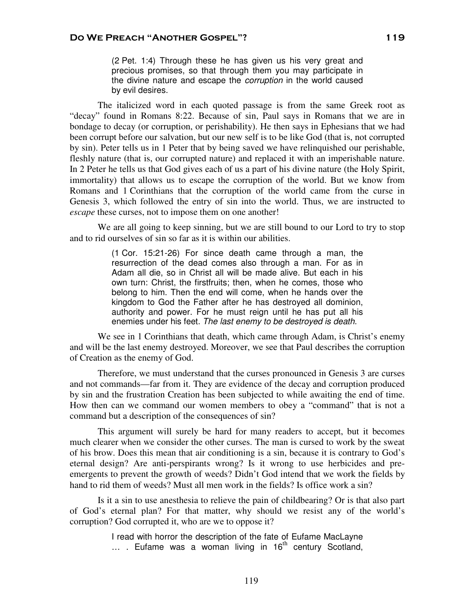(2 Pet. 1:4) Through these he has given us his very great and precious promises, so that through them you may participate in the divine nature and escape the corruption in the world caused by evil desires.

The italicized word in each quoted passage is from the same Greek root as "decay" found in Romans 8:22. Because of sin, Paul says in Romans that we are in bondage to decay (or corruption, or perishability). He then says in Ephesians that we had been corrupt before our salvation, but our new self is to be like God (that is, not corrupted by sin). Peter tells us in 1 Peter that by being saved we have relinquished our perishable, fleshly nature (that is, our corrupted nature) and replaced it with an imperishable nature. In 2 Peter he tells us that God gives each of us a part of his divine nature (the Holy Spirit, immortality) that allows us to escape the corruption of the world. But we know from Romans and 1 Corinthians that the corruption of the world came from the curse in Genesis 3, which followed the entry of sin into the world. Thus, we are instructed to *escape* these curses, not to impose them on one another!

We are all going to keep sinning, but we are still bound to our Lord to try to stop and to rid ourselves of sin so far as it is within our abilities.

> (1 Cor. 15:21-26) For since death came through a man, the resurrection of the dead comes also through a man. For as in Adam all die, so in Christ all will be made alive. But each in his own turn: Christ, the firstfruits; then, when he comes, those who belong to him. Then the end will come, when he hands over the kingdom to God the Father after he has destroyed all dominion, authority and power. For he must reign until he has put all his enemies under his feet. The last enemy to be destroyed is death.

We see in 1 Corinthians that death, which came through Adam, is Christ's enemy and will be the last enemy destroyed. Moreover, we see that Paul describes the corruption of Creation as the enemy of God.

Therefore, we must understand that the curses pronounced in Genesis 3 are curses and not commands—far from it. They are evidence of the decay and corruption produced by sin and the frustration Creation has been subjected to while awaiting the end of time. How then can we command our women members to obey a "command" that is not a command but a description of the consequences of sin?

This argument will surely be hard for many readers to accept, but it becomes much clearer when we consider the other curses. The man is cursed to work by the sweat of his brow. Does this mean that air conditioning is a sin, because it is contrary to God's eternal design? Are anti-perspirants wrong? Is it wrong to use herbicides and preemergents to prevent the growth of weeds? Didn't God intend that we work the fields by hand to rid them of weeds? Must all men work in the fields? Is office work a sin?

Is it a sin to use anesthesia to relieve the pain of childbearing? Or is that also part of God's eternal plan? For that matter, why should we resist any of the world's corruption? God corrupted it, who are we to oppose it?

> I read with horror the description of the fate of Eufame MacLayne  $\ldots$  . Eufame was a woman living in 16<sup>th</sup> century Scotland,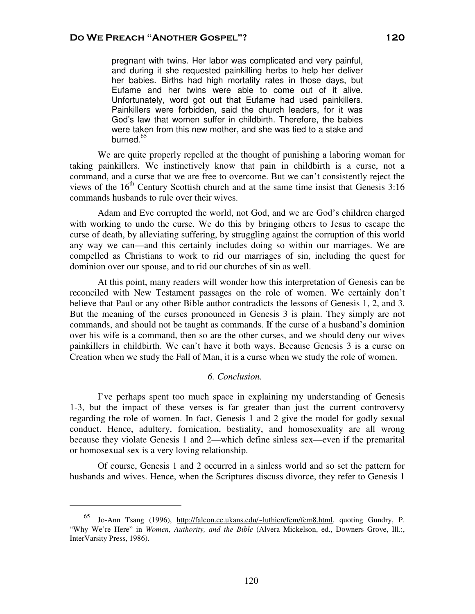pregnant with twins. Her labor was complicated and very painful, and during it she requested painkilling herbs to help her deliver her babies. Births had high mortality rates in those days, but Eufame and her twins were able to come out of it alive. Unfortunately, word got out that Eufame had used painkillers. Painkillers were forbidden, said the church leaders, for it was God's law that women suffer in childbirth. Therefore, the babies were taken from this new mother, and she was tied to a stake and burned. $65$ 

We are quite properly repelled at the thought of punishing a laboring woman for taking painkillers. We instinctively know that pain in childbirth is a curse, not a command, and a curse that we are free to overcome. But we can't consistently reject the views of the  $16<sup>th</sup>$  Century Scottish church and at the same time insist that Genesis 3:16 commands husbands to rule over their wives.

Adam and Eve corrupted the world, not God, and we are God's children charged with working to undo the curse. We do this by bringing others to Jesus to escape the curse of death, by alleviating suffering, by struggling against the corruption of this world any way we can—and this certainly includes doing so within our marriages. We are compelled as Christians to work to rid our marriages of sin, including the quest for dominion over our spouse, and to rid our churches of sin as well.

At this point, many readers will wonder how this interpretation of Genesis can be reconciled with New Testament passages on the role of women. We certainly don't believe that Paul or any other Bible author contradicts the lessons of Genesis 1, 2, and 3. But the meaning of the curses pronounced in Genesis 3 is plain. They simply are not commands, and should not be taught as commands. If the curse of a husband's dominion over his wife is a command, then so are the other curses, and we should deny our wives painkillers in childbirth. We can't have it both ways. Because Genesis 3 is a curse on Creation when we study the Fall of Man, it is a curse when we study the role of women.

## *6. Conclusion.*

I've perhaps spent too much space in explaining my understanding of Genesis 1-3, but the impact of these verses is far greater than just the current controversy regarding the role of women. In fact, Genesis 1 and 2 give the model for godly sexual conduct. Hence, adultery, fornication, bestiality, and homosexuality are all wrong because they violate Genesis 1 and 2—which define sinless sex—even if the premarital or homosexual sex is a very loving relationship.

Of course, Genesis 1 and 2 occurred in a sinless world and so set the pattern for husbands and wives. Hence, when the Scriptures discuss divorce, they refer to Genesis 1

<sup>65</sup> Jo-Ann Tsang (1996), http://falcon.cc.ukans.edu/~luthien/fem/fem8.html, quoting Gundry, P. "Why We're Here" in *Women, Authority, and the Bible* (Alvera Mickelson, ed., Downers Grove, Ill.:, InterVarsity Press, 1986).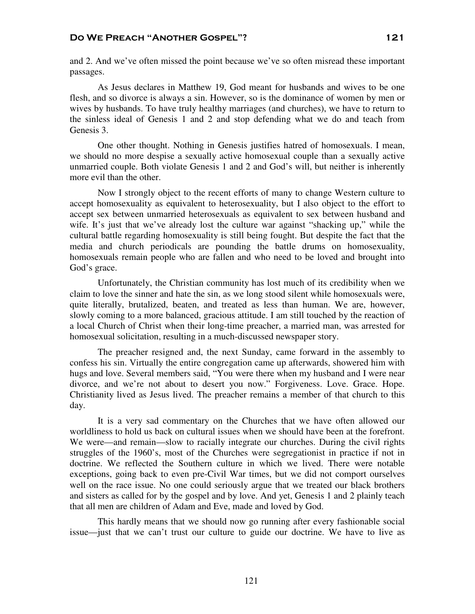and 2. And we've often missed the point because we've so often misread these important passages.

As Jesus declares in Matthew 19, God meant for husbands and wives to be one flesh, and so divorce is always a sin. However, so is the dominance of women by men or wives by husbands. To have truly healthy marriages (and churches), we have to return to the sinless ideal of Genesis 1 and 2 and stop defending what we do and teach from Genesis 3.

One other thought. Nothing in Genesis justifies hatred of homosexuals. I mean, we should no more despise a sexually active homosexual couple than a sexually active unmarried couple. Both violate Genesis 1 and 2 and God's will, but neither is inherently more evil than the other.

Now I strongly object to the recent efforts of many to change Western culture to accept homosexuality as equivalent to heterosexuality, but I also object to the effort to accept sex between unmarried heterosexuals as equivalent to sex between husband and wife. It's just that we've already lost the culture war against "shacking up," while the cultural battle regarding homosexuality is still being fought. But despite the fact that the media and church periodicals are pounding the battle drums on homosexuality, homosexuals remain people who are fallen and who need to be loved and brought into God's grace.

Unfortunately, the Christian community has lost much of its credibility when we claim to love the sinner and hate the sin, as we long stood silent while homosexuals were, quite literally, brutalized, beaten, and treated as less than human. We are, however, slowly coming to a more balanced, gracious attitude. I am still touched by the reaction of a local Church of Christ when their long-time preacher, a married man, was arrested for homosexual solicitation, resulting in a much-discussed newspaper story.

The preacher resigned and, the next Sunday, came forward in the assembly to confess his sin. Virtually the entire congregation came up afterwards, showered him with hugs and love. Several members said, "You were there when my husband and I were near divorce, and we're not about to desert you now." Forgiveness. Love. Grace. Hope. Christianity lived as Jesus lived. The preacher remains a member of that church to this day.

It is a very sad commentary on the Churches that we have often allowed our worldliness to hold us back on cultural issues when we should have been at the forefront. We were—and remain—slow to racially integrate our churches. During the civil rights struggles of the 1960's, most of the Churches were segregationist in practice if not in doctrine. We reflected the Southern culture in which we lived. There were notable exceptions, going back to even pre-Civil War times, but we did not comport ourselves well on the race issue. No one could seriously argue that we treated our black brothers and sisters as called for by the gospel and by love. And yet, Genesis 1 and 2 plainly teach that all men are children of Adam and Eve, made and loved by God.

This hardly means that we should now go running after every fashionable social issue—just that we can't trust our culture to guide our doctrine. We have to live as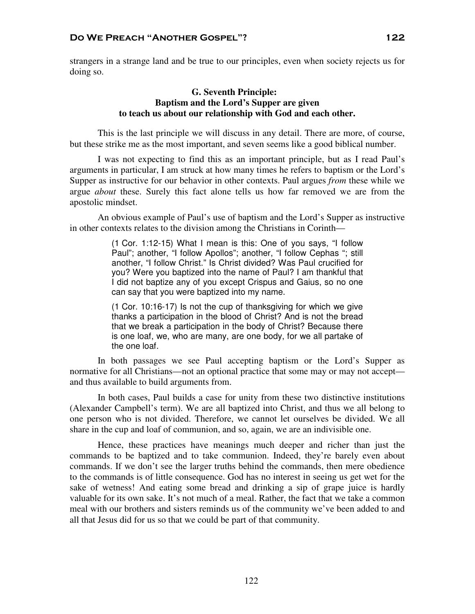strangers in a strange land and be true to our principles, even when society rejects us for doing so.

# **G. Seventh Principle: Baptism and the Lord's Supper are given to teach us about our relationship with God and each other.**

This is the last principle we will discuss in any detail. There are more, of course, but these strike me as the most important, and seven seems like a good biblical number.

I was not expecting to find this as an important principle, but as I read Paul's arguments in particular, I am struck at how many times he refers to baptism or the Lord's Supper as instructive for our behavior in other contexts. Paul argues *from* these while we argue *about* these. Surely this fact alone tells us how far removed we are from the apostolic mindset.

An obvious example of Paul's use of baptism and the Lord's Supper as instructive in other contexts relates to the division among the Christians in Corinth—

> (1 Cor. 1:12-15) What I mean is this: One of you says, "I follow Paul"; another, "I follow Apollos"; another, "I follow Cephas "; still another, "I follow Christ." Is Christ divided? Was Paul crucified for you? Were you baptized into the name of Paul? I am thankful that I did not baptize any of you except Crispus and Gaius, so no one can say that you were baptized into my name.

> (1 Cor. 10:16-17) Is not the cup of thanksgiving for which we give thanks a participation in the blood of Christ? And is not the bread that we break a participation in the body of Christ? Because there is one loaf, we, who are many, are one body, for we all partake of the one loaf.

In both passages we see Paul accepting baptism or the Lord's Supper as normative for all Christians—not an optional practice that some may or may not accept and thus available to build arguments from.

In both cases, Paul builds a case for unity from these two distinctive institutions (Alexander Campbell's term). We are all baptized into Christ, and thus we all belong to one person who is not divided. Therefore, we cannot let ourselves be divided. We all share in the cup and loaf of communion, and so, again, we are an indivisible one.

Hence, these practices have meanings much deeper and richer than just the commands to be baptized and to take communion. Indeed, they're barely even about commands. If we don't see the larger truths behind the commands, then mere obedience to the commands is of little consequence. God has no interest in seeing us get wet for the sake of wetness! And eating some bread and drinking a sip of grape juice is hardly valuable for its own sake. It's not much of a meal. Rather, the fact that we take a common meal with our brothers and sisters reminds us of the community we've been added to and all that Jesus did for us so that we could be part of that community.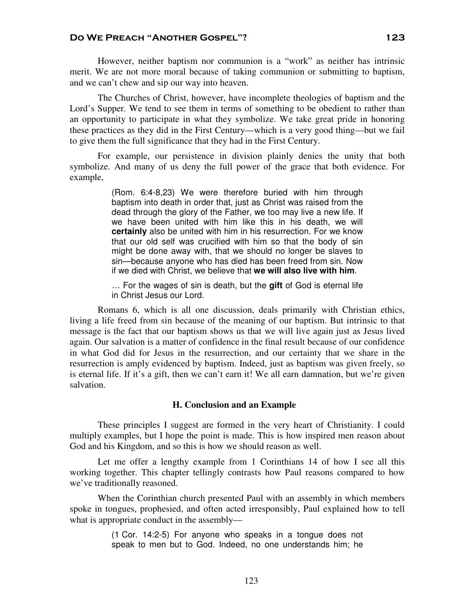However, neither baptism nor communion is a "work" as neither has intrinsic merit. We are not more moral because of taking communion or submitting to baptism, and we can't chew and sip our way into heaven.

The Churches of Christ, however, have incomplete theologies of baptism and the Lord's Supper. We tend to see them in terms of something to be obedient to rather than an opportunity to participate in what they symbolize. We take great pride in honoring these practices as they did in the First Century—which is a very good thing—but we fail to give them the full significance that they had in the First Century.

For example, our persistence in division plainly denies the unity that both symbolize. And many of us deny the full power of the grace that both evidence. For example,

> (Rom. 6:4-8,23) We were therefore buried with him through baptism into death in order that, just as Christ was raised from the dead through the glory of the Father, we too may live a new life. If we have been united with him like this in his death, we will **certainly** also be united with him in his resurrection. For we know that our old self was crucified with him so that the body of sin might be done away with, that we should no longer be slaves to sin—because anyone who has died has been freed from sin. Now if we died with Christ, we believe that **we will also live with him**.

> … For the wages of sin is death, but the **gift** of God is eternal life in Christ Jesus our Lord.

Romans 6, which is all one discussion, deals primarily with Christian ethics, living a life freed from sin because of the meaning of our baptism. But intrinsic to that message is the fact that our baptism shows us that we will live again just as Jesus lived again. Our salvation is a matter of confidence in the final result because of our confidence in what God did for Jesus in the resurrection, and our certainty that we share in the resurrection is amply evidenced by baptism. Indeed, just as baptism was given freely, so is eternal life. If it's a gift, then we can't earn it! We all earn damnation, but we're given salvation.

## **H. Conclusion and an Example**

These principles I suggest are formed in the very heart of Christianity. I could multiply examples, but I hope the point is made. This is how inspired men reason about God and his Kingdom, and so this is how we should reason as well.

Let me offer a lengthy example from 1 Corinthians 14 of how I see all this working together. This chapter tellingly contrasts how Paul reasons compared to how we've traditionally reasoned.

When the Corinthian church presented Paul with an assembly in which members spoke in tongues, prophesied, and often acted irresponsibly, Paul explained how to tell what is appropriate conduct in the assembly—

> (1 Cor. 14:2-5) For anyone who speaks in a tongue does not speak to men but to God. Indeed, no one understands him; he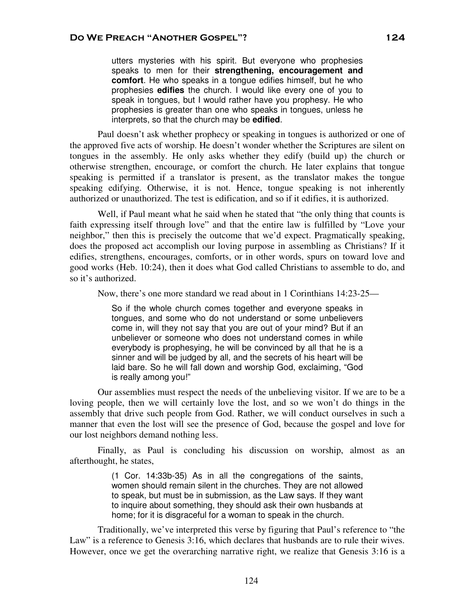utters mysteries with his spirit. But everyone who prophesies speaks to men for their **strengthening, encouragement and comfort**. He who speaks in a tongue edifies himself, but he who prophesies **edifies** the church. I would like every one of you to speak in tongues, but I would rather have you prophesy. He who prophesies is greater than one who speaks in tongues, unless he interprets, so that the church may be **edified**.

Paul doesn't ask whether prophecy or speaking in tongues is authorized or one of the approved five acts of worship. He doesn't wonder whether the Scriptures are silent on tongues in the assembly. He only asks whether they edify (build up) the church or otherwise strengthen, encourage, or comfort the church. He later explains that tongue speaking is permitted if a translator is present, as the translator makes the tongue speaking edifying. Otherwise, it is not. Hence, tongue speaking is not inherently authorized or unauthorized. The test is edification, and so if it edifies, it is authorized.

Well, if Paul meant what he said when he stated that "the only thing that counts is faith expressing itself through love" and that the entire law is fulfilled by "Love your neighbor," then this is precisely the outcome that we'd expect. Pragmatically speaking, does the proposed act accomplish our loving purpose in assembling as Christians? If it edifies, strengthens, encourages, comforts, or in other words, spurs on toward love and good works (Heb. 10:24), then it does what God called Christians to assemble to do, and so it's authorized.

Now, there's one more standard we read about in 1 Corinthians 14:23-25—

So if the whole church comes together and everyone speaks in tongues, and some who do not understand or some unbelievers come in, will they not say that you are out of your mind? But if an unbeliever or someone who does not understand comes in while everybody is prophesying, he will be convinced by all that he is a sinner and will be judged by all, and the secrets of his heart will be laid bare. So he will fall down and worship God, exclaiming, "God is really among you!"

Our assemblies must respect the needs of the unbelieving visitor. If we are to be a loving people, then we will certainly love the lost, and so we won't do things in the assembly that drive such people from God. Rather, we will conduct ourselves in such a manner that even the lost will see the presence of God, because the gospel and love for our lost neighbors demand nothing less.

Finally, as Paul is concluding his discussion on worship, almost as an afterthought, he states,

> (1 Cor. 14:33b-35) As in all the congregations of the saints, women should remain silent in the churches. They are not allowed to speak, but must be in submission, as the Law says. If they want to inquire about something, they should ask their own husbands at home; for it is disgraceful for a woman to speak in the church.

Traditionally, we've interpreted this verse by figuring that Paul's reference to "the Law" is a reference to Genesis 3:16, which declares that husbands are to rule their wives. However, once we get the overarching narrative right, we realize that Genesis 3:16 is a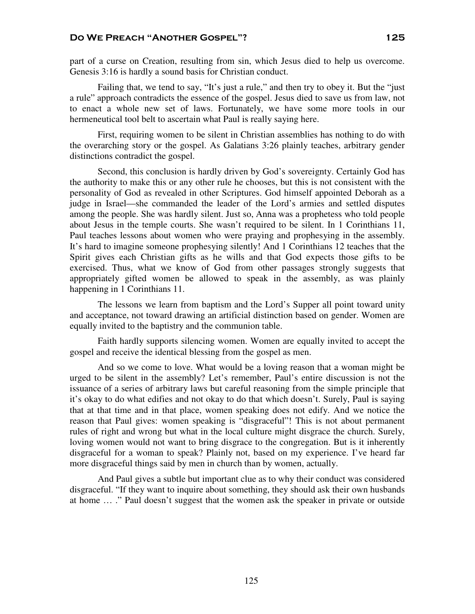Failing that, we tend to say, "It's just a rule," and then try to obey it. But the "just a rule" approach contradicts the essence of the gospel. Jesus died to save us from law, not to enact a whole new set of laws. Fortunately, we have some more tools in our hermeneutical tool belt to ascertain what Paul is really saying here.

First, requiring women to be silent in Christian assemblies has nothing to do with the overarching story or the gospel. As Galatians 3:26 plainly teaches, arbitrary gender distinctions contradict the gospel.

Second, this conclusion is hardly driven by God's sovereignty. Certainly God has the authority to make this or any other rule he chooses, but this is not consistent with the personality of God as revealed in other Scriptures. God himself appointed Deborah as a judge in Israel—she commanded the leader of the Lord's armies and settled disputes among the people. She was hardly silent. Just so, Anna was a prophetess who told people about Jesus in the temple courts. She wasn't required to be silent. In 1 Corinthians 11, Paul teaches lessons about women who were praying and prophesying in the assembly. It's hard to imagine someone prophesying silently! And 1 Corinthians 12 teaches that the Spirit gives each Christian gifts as he wills and that God expects those gifts to be exercised. Thus, what we know of God from other passages strongly suggests that appropriately gifted women be allowed to speak in the assembly, as was plainly happening in 1 Corinthians 11.

The lessons we learn from baptism and the Lord's Supper all point toward unity and acceptance, not toward drawing an artificial distinction based on gender. Women are equally invited to the baptistry and the communion table.

Faith hardly supports silencing women. Women are equally invited to accept the gospel and receive the identical blessing from the gospel as men.

And so we come to love. What would be a loving reason that a woman might be urged to be silent in the assembly? Let's remember, Paul's entire discussion is not the issuance of a series of arbitrary laws but careful reasoning from the simple principle that it's okay to do what edifies and not okay to do that which doesn't. Surely, Paul is saying that at that time and in that place, women speaking does not edify. And we notice the reason that Paul gives: women speaking is "disgraceful"! This is not about permanent rules of right and wrong but what in the local culture might disgrace the church. Surely, loving women would not want to bring disgrace to the congregation. But is it inherently disgraceful for a woman to speak? Plainly not, based on my experience. I've heard far more disgraceful things said by men in church than by women, actually.

And Paul gives a subtle but important clue as to why their conduct was considered disgraceful. "If they want to inquire about something, they should ask their own husbands at home … ." Paul doesn't suggest that the women ask the speaker in private or outside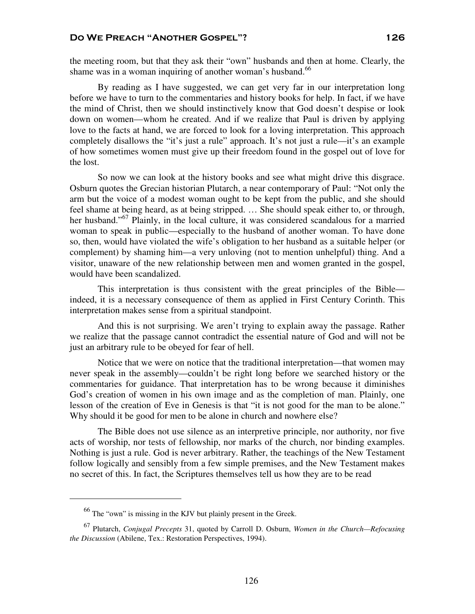the meeting room, but that they ask their "own" husbands and then at home. Clearly, the shame was in a woman inquiring of another woman's husband.<sup>66</sup>

By reading as I have suggested, we can get very far in our interpretation long before we have to turn to the commentaries and history books for help. In fact, if we have the mind of Christ, then we should instinctively know that God doesn't despise or look down on women—whom he created. And if we realize that Paul is driven by applying love to the facts at hand, we are forced to look for a loving interpretation. This approach completely disallows the "it's just a rule" approach. It's not just a rule—it's an example of how sometimes women must give up their freedom found in the gospel out of love for the lost.

So now we can look at the history books and see what might drive this disgrace. Osburn quotes the Grecian historian Plutarch, a near contemporary of Paul: "Not only the arm but the voice of a modest woman ought to be kept from the public, and she should feel shame at being heard, as at being stripped. … She should speak either to, or through, her husband."<sup>67</sup> Plainly, in the local culture, it was considered scandalous for a married woman to speak in public—especially to the husband of another woman. To have done so, then, would have violated the wife's obligation to her husband as a suitable helper (or complement) by shaming him—a very unloving (not to mention unhelpful) thing. And a visitor, unaware of the new relationship between men and women granted in the gospel, would have been scandalized.

This interpretation is thus consistent with the great principles of the Bible indeed, it is a necessary consequence of them as applied in First Century Corinth. This interpretation makes sense from a spiritual standpoint.

And this is not surprising. We aren't trying to explain away the passage. Rather we realize that the passage cannot contradict the essential nature of God and will not be just an arbitrary rule to be obeyed for fear of hell.

Notice that we were on notice that the traditional interpretation—that women may never speak in the assembly—couldn't be right long before we searched history or the commentaries for guidance. That interpretation has to be wrong because it diminishes God's creation of women in his own image and as the completion of man. Plainly, one lesson of the creation of Eve in Genesis is that "it is not good for the man to be alone." Why should it be good for men to be alone in church and nowhere else?

The Bible does not use silence as an interpretive principle, nor authority, nor five acts of worship, nor tests of fellowship, nor marks of the church, nor binding examples. Nothing is just a rule. God is never arbitrary. Rather, the teachings of the New Testament follow logically and sensibly from a few simple premises, and the New Testament makes no secret of this. In fact, the Scriptures themselves tell us how they are to be read

<sup>66</sup> The "own" is missing in the KJV but plainly present in the Greek.

<sup>67</sup> Plutarch, *Conjugal Precepts* 31, quoted by Carroll D. Osburn, *Women in the Church—Refocusing the Discussion* (Abilene, Tex.: Restoration Perspectives, 1994).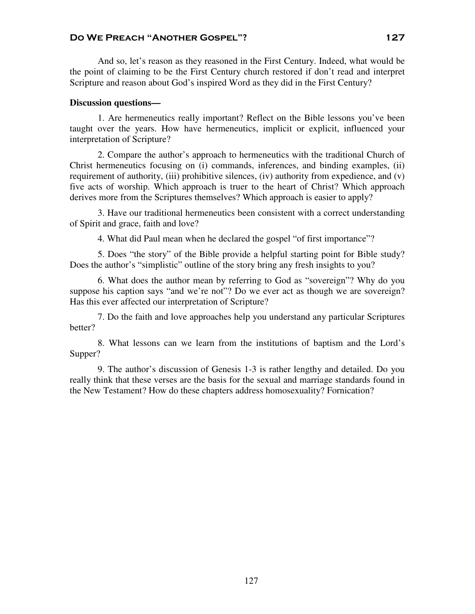And so, let's reason as they reasoned in the First Century. Indeed, what would be the point of claiming to be the First Century church restored if don't read and interpret Scripture and reason about God's inspired Word as they did in the First Century?

#### **Discussion questions—**

1. Are hermeneutics really important? Reflect on the Bible lessons you've been taught over the years. How have hermeneutics, implicit or explicit, influenced your interpretation of Scripture?

2. Compare the author's approach to hermeneutics with the traditional Church of Christ hermeneutics focusing on (i) commands, inferences, and binding examples, (ii) requirement of authority, (iii) prohibitive silences, (iv) authority from expedience, and (v) five acts of worship. Which approach is truer to the heart of Christ? Which approach derives more from the Scriptures themselves? Which approach is easier to apply?

3. Have our traditional hermeneutics been consistent with a correct understanding of Spirit and grace, faith and love?

4. What did Paul mean when he declared the gospel "of first importance"?

5. Does "the story" of the Bible provide a helpful starting point for Bible study? Does the author's "simplistic" outline of the story bring any fresh insights to you?

6. What does the author mean by referring to God as "sovereign"? Why do you suppose his caption says "and we're not"? Do we ever act as though we are sovereign? Has this ever affected our interpretation of Scripture?

7. Do the faith and love approaches help you understand any particular Scriptures better?

 8. What lessons can we learn from the institutions of baptism and the Lord's Supper?

 9. The author's discussion of Genesis 1-3 is rather lengthy and detailed. Do you really think that these verses are the basis for the sexual and marriage standards found in the New Testament? How do these chapters address homosexuality? Fornication?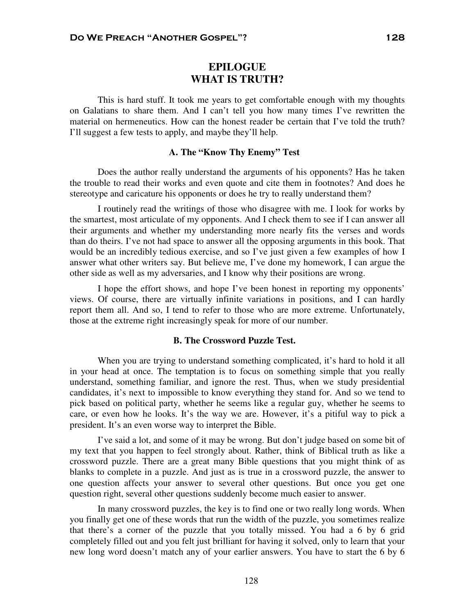# **EPILOGUE WHAT IS TRUTH?**

This is hard stuff. It took me years to get comfortable enough with my thoughts on Galatians to share them. And I can't tell you how many times I've rewritten the material on hermeneutics. How can the honest reader be certain that I've told the truth? I'll suggest a few tests to apply, and maybe they'll help.

#### **A. The "Know Thy Enemy" Test**

Does the author really understand the arguments of his opponents? Has he taken the trouble to read their works and even quote and cite them in footnotes? And does he stereotype and caricature his opponents or does he try to really understand them?

I routinely read the writings of those who disagree with me. I look for works by the smartest, most articulate of my opponents. And I check them to see if I can answer all their arguments and whether my understanding more nearly fits the verses and words than do theirs. I've not had space to answer all the opposing arguments in this book. That would be an incredibly tedious exercise, and so I've just given a few examples of how I answer what other writers say. But believe me, I've done my homework, I can argue the other side as well as my adversaries, and I know why their positions are wrong.

I hope the effort shows, and hope I've been honest in reporting my opponents' views. Of course, there are virtually infinite variations in positions, and I can hardly report them all. And so, I tend to refer to those who are more extreme. Unfortunately, those at the extreme right increasingly speak for more of our number.

### **B. The Crossword Puzzle Test.**

When you are trying to understand something complicated, it's hard to hold it all in your head at once. The temptation is to focus on something simple that you really understand, something familiar, and ignore the rest. Thus, when we study presidential candidates, it's next to impossible to know everything they stand for. And so we tend to pick based on political party, whether he seems like a regular guy, whether he seems to care, or even how he looks. It's the way we are. However, it's a pitiful way to pick a president. It's an even worse way to interpret the Bible.

I've said a lot, and some of it may be wrong. But don't judge based on some bit of my text that you happen to feel strongly about. Rather, think of Biblical truth as like a crossword puzzle. There are a great many Bible questions that you might think of as blanks to complete in a puzzle. And just as is true in a crossword puzzle, the answer to one question affects your answer to several other questions. But once you get one question right, several other questions suddenly become much easier to answer.

In many crossword puzzles, the key is to find one or two really long words. When you finally get one of these words that run the width of the puzzle, you sometimes realize that there's a corner of the puzzle that you totally missed. You had a 6 by 6 grid completely filled out and you felt just brilliant for having it solved, only to learn that your new long word doesn't match any of your earlier answers. You have to start the 6 by 6

128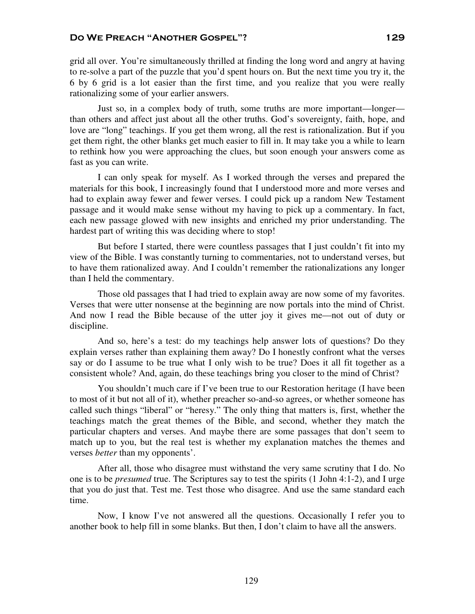grid all over. You're simultaneously thrilled at finding the long word and angry at having to re-solve a part of the puzzle that you'd spent hours on. But the next time you try it, the 6 by 6 grid is a lot easier than the first time, and you realize that you were really rationalizing some of your earlier answers.

Just so, in a complex body of truth, some truths are more important—longer than others and affect just about all the other truths. God's sovereignty, faith, hope, and love are "long" teachings. If you get them wrong, all the rest is rationalization. But if you get them right, the other blanks get much easier to fill in. It may take you a while to learn to rethink how you were approaching the clues, but soon enough your answers come as fast as you can write.

I can only speak for myself. As I worked through the verses and prepared the materials for this book, I increasingly found that I understood more and more verses and had to explain away fewer and fewer verses. I could pick up a random New Testament passage and it would make sense without my having to pick up a commentary. In fact, each new passage glowed with new insights and enriched my prior understanding. The hardest part of writing this was deciding where to stop!

But before I started, there were countless passages that I just couldn't fit into my view of the Bible. I was constantly turning to commentaries, not to understand verses, but to have them rationalized away. And I couldn't remember the rationalizations any longer than I held the commentary.

Those old passages that I had tried to explain away are now some of my favorites. Verses that were utter nonsense at the beginning are now portals into the mind of Christ. And now I read the Bible because of the utter joy it gives me—not out of duty or discipline.

And so, here's a test: do my teachings help answer lots of questions? Do they explain verses rather than explaining them away? Do I honestly confront what the verses say or do I assume to be true what I only wish to be true? Does it all fit together as a consistent whole? And, again, do these teachings bring you closer to the mind of Christ?

You shouldn't much care if I've been true to our Restoration heritage (I have been to most of it but not all of it), whether preacher so-and-so agrees, or whether someone has called such things "liberal" or "heresy." The only thing that matters is, first, whether the teachings match the great themes of the Bible, and second, whether they match the particular chapters and verses. And maybe there are some passages that don't seem to match up to you, but the real test is whether my explanation matches the themes and verses *better* than my opponents'.

After all, those who disagree must withstand the very same scrutiny that I do. No one is to be *presumed* true. The Scriptures say to test the spirits (1 John 4:1-2), and I urge that you do just that. Test me. Test those who disagree. And use the same standard each time.

Now, I know I've not answered all the questions. Occasionally I refer you to another book to help fill in some blanks. But then, I don't claim to have all the answers.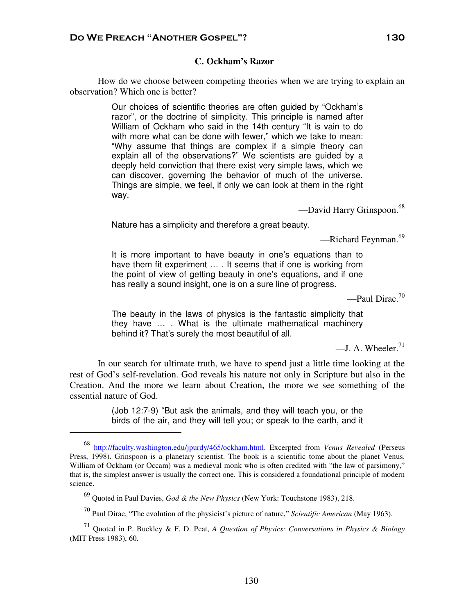## **C. Ockham's Razor**

How do we choose between competing theories when we are trying to explain an observation? Which one is better?

> Our choices of scientific theories are often guided by "Ockham's razor", or the doctrine of simplicity. This principle is named after William of Ockham who said in the 14th century "It is vain to do with more what can be done with fewer," which we take to mean: "Why assume that things are complex if a simple theory can explain all of the observations?" We scientists are guided by a deeply held conviction that there exist very simple laws, which we can discover, governing the behavior of much of the universe. Things are simple, we feel, if only we can look at them in the right way.

> > -David Harry Grinspoon.<sup>68</sup>

Nature has a simplicity and therefore a great beauty.

 $-$ Richard Feynman.<sup>69</sup>

It is more important to have beauty in one's equations than to have them fit experiment … . It seems that if one is working from the point of view of getting beauty in one's equations, and if one has really a sound insight, one is on a sure line of progress.

—Paul Dirac. $^{70}$ 

The beauty in the laws of physics is the fantastic simplicity that they have … . What is the ultimate mathematical machinery behind it? That's surely the most beautiful of all.

 $-$ J. A. Wheeler. $^{71}$ 

In our search for ultimate truth, we have to spend just a little time looking at the rest of God's self-revelation. God reveals his nature not only in Scripture but also in the Creation. And the more we learn about Creation, the more we see something of the essential nature of God.

> (Job 12:7-9) "But ask the animals, and they will teach you, or the birds of the air, and they will tell you; or speak to the earth, and it

<sup>68</sup> http://faculty.washington.edu/jpurdy/465/ockham.html. Excerpted from *Venus Revealed* (Perseus Press, 1998). Grinspoon is a planetary scientist. The book is a scientific tome about the planet Venus. William of Ockham (or Occam) was a medieval monk who is often credited with "the law of parsimony," that is, the simplest answer is usually the correct one. This is considered a foundational principle of modern science.

<sup>69</sup> Quoted in Paul Davies, *God & the New Physics* (New York: Touchstone 1983), 218.

<sup>70</sup> Paul Dirac, "The evolution of the physicist's picture of nature," *Scientific American* (May 1963).

<sup>71</sup> Quoted in P. Buckley & F. D. Peat, *A Question of Physics: Conversations in Physics & Biology* (MIT Press 1983), 60.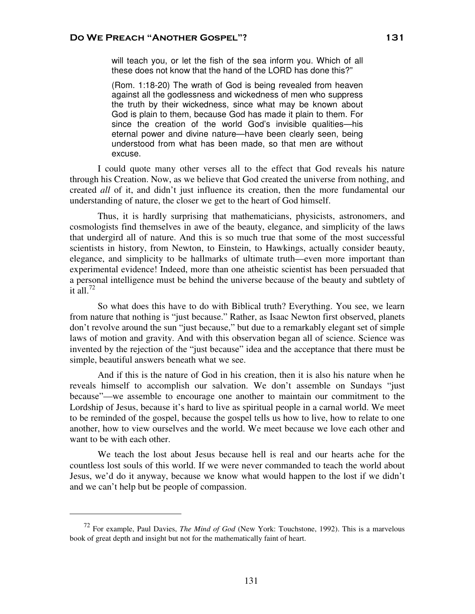will teach you, or let the fish of the sea inform you. Which of all these does not know that the hand of the LORD has done this?"

(Rom. 1:18-20) The wrath of God is being revealed from heaven against all the godlessness and wickedness of men who suppress the truth by their wickedness, since what may be known about God is plain to them, because God has made it plain to them. For since the creation of the world God's invisible qualities—his eternal power and divine nature—have been clearly seen, being understood from what has been made, so that men are without excuse.

I could quote many other verses all to the effect that God reveals his nature through his Creation. Now, as we believe that God created the universe from nothing, and created *all* of it, and didn't just influence its creation, then the more fundamental our understanding of nature, the closer we get to the heart of God himself.

Thus, it is hardly surprising that mathematicians, physicists, astronomers, and cosmologists find themselves in awe of the beauty, elegance, and simplicity of the laws that undergird all of nature. And this is so much true that some of the most successful scientists in history, from Newton, to Einstein, to Hawkings, actually consider beauty, elegance, and simplicity to be hallmarks of ultimate truth—even more important than experimental evidence! Indeed, more than one atheistic scientist has been persuaded that a personal intelligence must be behind the universe because of the beauty and subtlety of it all.<sup>72</sup>

So what does this have to do with Biblical truth? Everything. You see, we learn from nature that nothing is "just because." Rather, as Isaac Newton first observed, planets don't revolve around the sun "just because," but due to a remarkably elegant set of simple laws of motion and gravity. And with this observation began all of science. Science was invented by the rejection of the "just because" idea and the acceptance that there must be simple, beautiful answers beneath what we see.

And if this is the nature of God in his creation, then it is also his nature when he reveals himself to accomplish our salvation. We don't assemble on Sundays "just because"—we assemble to encourage one another to maintain our commitment to the Lordship of Jesus, because it's hard to live as spiritual people in a carnal world. We meet to be reminded of the gospel, because the gospel tells us how to live, how to relate to one another, how to view ourselves and the world. We meet because we love each other and want to be with each other.

We teach the lost about Jesus because hell is real and our hearts ache for the countless lost souls of this world. If we were never commanded to teach the world about Jesus, we'd do it anyway, because we know what would happen to the lost if we didn't and we can't help but be people of compassion.

<sup>72</sup> For example, Paul Davies, *The Mind of God* (New York: Touchstone, 1992). This is a marvelous book of great depth and insight but not for the mathematically faint of heart.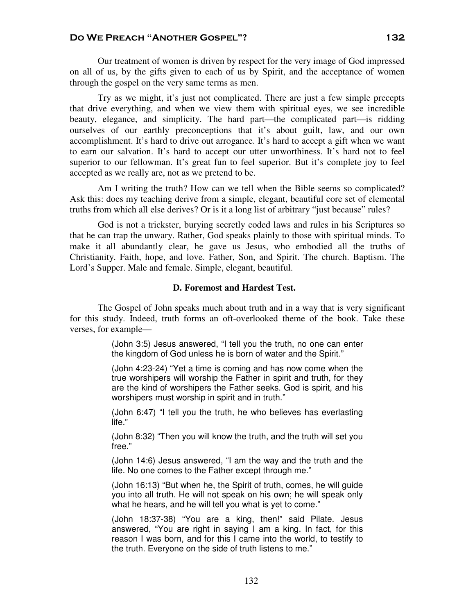Our treatment of women is driven by respect for the very image of God impressed on all of us, by the gifts given to each of us by Spirit, and the acceptance of women through the gospel on the very same terms as men.

Try as we might, it's just not complicated. There are just a few simple precepts that drive everything, and when we view them with spiritual eyes, we see incredible beauty, elegance, and simplicity. The hard part—the complicated part—is ridding ourselves of our earthly preconceptions that it's about guilt, law, and our own accomplishment. It's hard to drive out arrogance. It's hard to accept a gift when we want to earn our salvation. It's hard to accept our utter unworthiness. It's hard not to feel superior to our fellowman. It's great fun to feel superior. But it's complete joy to feel accepted as we really are, not as we pretend to be.

Am I writing the truth? How can we tell when the Bible seems so complicated? Ask this: does my teaching derive from a simple, elegant, beautiful core set of elemental truths from which all else derives? Or is it a long list of arbitrary "just because" rules?

God is not a trickster, burying secretly coded laws and rules in his Scriptures so that he can trap the unwary. Rather, God speaks plainly to those with spiritual minds. To make it all abundantly clear, he gave us Jesus, who embodied all the truths of Christianity. Faith, hope, and love. Father, Son, and Spirit. The church. Baptism. The Lord's Supper. Male and female. Simple, elegant, beautiful.

## **D. Foremost and Hardest Test.**

The Gospel of John speaks much about truth and in a way that is very significant for this study. Indeed, truth forms an oft-overlooked theme of the book. Take these verses, for example—

> (John 3:5) Jesus answered, "I tell you the truth, no one can enter the kingdom of God unless he is born of water and the Spirit."

> (John 4:23-24) "Yet a time is coming and has now come when the true worshipers will worship the Father in spirit and truth, for they are the kind of worshipers the Father seeks. God is spirit, and his worshipers must worship in spirit and in truth."

> (John 6:47) "I tell you the truth, he who believes has everlasting life."

> (John 8:32) "Then you will know the truth, and the truth will set you free."

> (John 14:6) Jesus answered, "I am the way and the truth and the life. No one comes to the Father except through me."

> (John 16:13) "But when he, the Spirit of truth, comes, he will guide you into all truth. He will not speak on his own; he will speak only what he hears, and he will tell you what is yet to come."

> (John 18:37-38) "You are a king, then!" said Pilate. Jesus answered, "You are right in saying I am a king. In fact, for this reason I was born, and for this I came into the world, to testify to the truth. Everyone on the side of truth listens to me."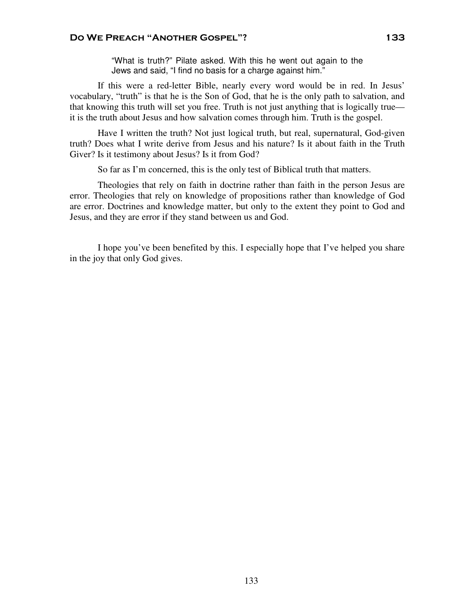"What is truth?" Pilate asked. With this he went out again to the Jews and said, "I find no basis for a charge against him."

If this were a red-letter Bible, nearly every word would be in red. In Jesus' vocabulary, "truth" is that he is the Son of God, that he is the only path to salvation, and that knowing this truth will set you free. Truth is not just anything that is logically true it is the truth about Jesus and how salvation comes through him. Truth is the gospel.

Have I written the truth? Not just logical truth, but real, supernatural, God-given truth? Does what I write derive from Jesus and his nature? Is it about faith in the Truth Giver? Is it testimony about Jesus? Is it from God?

So far as I'm concerned, this is the only test of Biblical truth that matters.

Theologies that rely on faith in doctrine rather than faith in the person Jesus are error. Theologies that rely on knowledge of propositions rather than knowledge of God are error. Doctrines and knowledge matter, but only to the extent they point to God and Jesus, and they are error if they stand between us and God.

I hope you've been benefited by this. I especially hope that I've helped you share in the joy that only God gives.